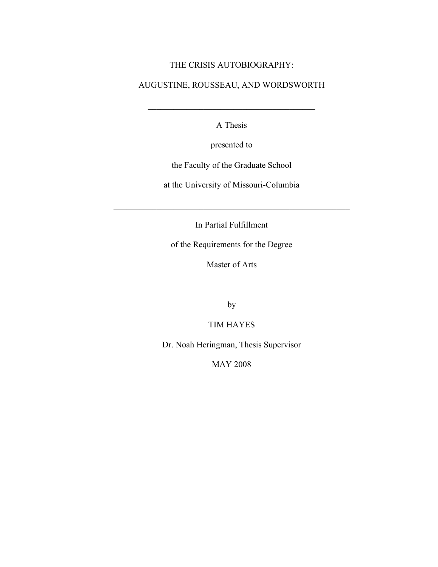#### THE CRISIS AUTOBIOGRAPHY:

## AUGUSTINE, ROUSSEAU, AND WORDSWORTH

A Thesis

 $\mathcal{L}_\text{max}$  and  $\mathcal{L}_\text{max}$  and  $\mathcal{L}_\text{max}$  and  $\mathcal{L}_\text{max}$ 

presented to

the Faculty of the Graduate School

at the University of Missouri-Columbia

In Partial Fulfillment

 $\mathcal{L}_\text{max}$  and  $\mathcal{L}_\text{max}$  and  $\mathcal{L}_\text{max}$  and  $\mathcal{L}_\text{max}$  and  $\mathcal{L}_\text{max}$  and  $\mathcal{L}_\text{max}$ 

of the Requirements for the Degree

Master of Arts

 $\mathcal{L}_\text{max}$  and the contract of the contract of the contract of the contract of the contract of the contract of the contract of the contract of the contract of the contract of the contract of the contract of the contrac

by

TIM HAYES

Dr. Noah Heringman, Thesis Supervisor

MAY 2008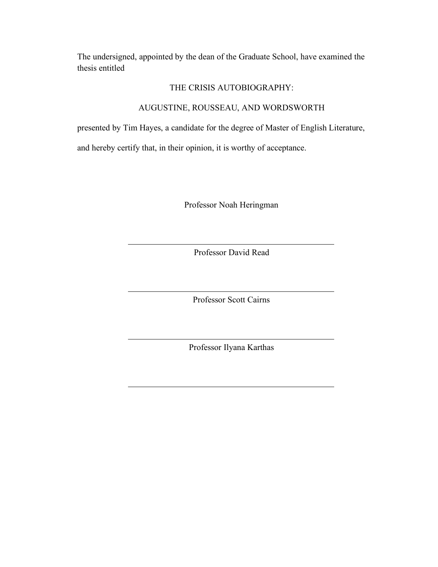The undersigned, appointed by the dean of the Graduate School, have examined the thesis entitled

#### THE CRISIS AUTOBIOGRAPHY:

## AUGUSTINE, ROUSSEAU, AND WORDSWORTH

presented by Tim Hayes, a candidate for the degree of Master of English Literature,

and hereby certify that, in their opinion, it is worthy of acceptance.

Professor Noah Heringman

Professor David Read

Professor Scott Cairns

Professor Ilyana Karthas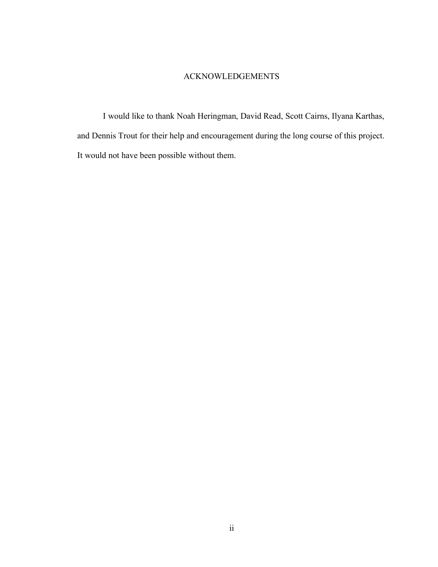### ACKNOWLEDGEMENTS

I would like to thank Noah Heringman, David Read, Scott Cairns, Ilyana Karthas, and Dennis Trout for their help and encouragement during the long course of this project. It would not have been possible without them.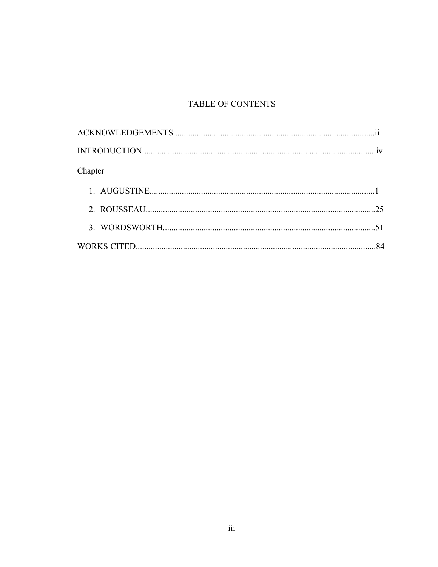# TABLE OF CONTENTS

| Chapter |  |
|---------|--|
|         |  |
|         |  |
|         |  |
|         |  |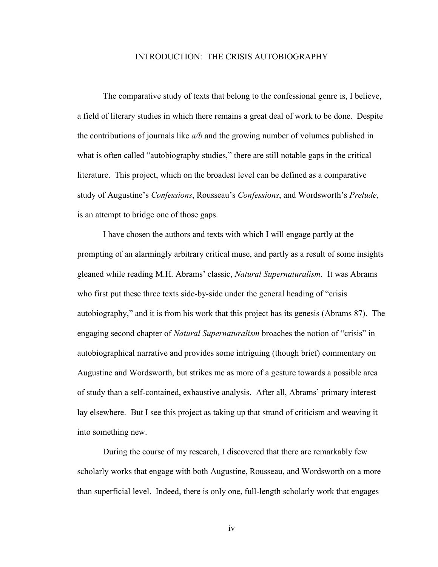#### INTRODUCTION: THE CRISIS AUTOBIOGRAPHY

The comparative study of texts that belong to the confessional genre is, I believe, a field of literary studies in which there remains a great deal of work to be done. Despite the contributions of journals like *a/b* and the growing number of volumes published in what is often called "autobiography studies," there are still notable gaps in the critical literature. This project, which on the broadest level can be defined as a comparative study of Augustine's *Confessions*, Rousseau's *Confessions*, and Wordsworth's *Prelude*, is an attempt to bridge one of those gaps.

I have chosen the authors and texts with which I will engage partly at the prompting of an alarmingly arbitrary critical muse, and partly as a result of some insights gleaned while reading M.H. Abrams' classic, *Natural Supernaturalism*. It was Abrams who first put these three texts side-by-side under the general heading of "crisis" autobiography," and it is from his work that this project has its genesis (Abrams 87). The engaging second chapter of *Natural Supernaturalism* broaches the notion of "crisis" in autobiographical narrative and provides some intriguing (though brief) commentary on Augustine and Wordsworth, but strikes me as more of a gesture towards a possible area of study than a self-contained, exhaustive analysis. After all, Abrams' primary interest lay elsewhere. But I see this project as taking up that strand of criticism and weaving it into something new.

During the course of my research, I discovered that there are remarkably few scholarly works that engage with both Augustine, Rousseau, and Wordsworth on a more than superficial level. Indeed, there is only one, full-length scholarly work that engages

iv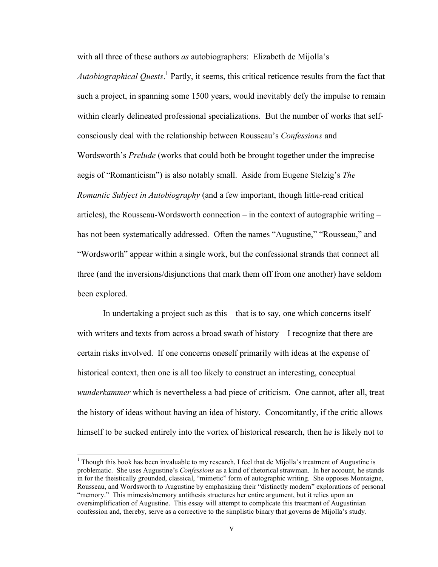with all three of these authors *as* autobiographers: Elizabeth de Mijolla's

*Autobiographical Quests*. <sup>1</sup> Partly, it seems, this critical reticence results from the fact that such a project, in spanning some 1500 years, would inevitably defy the impulse to remain within clearly delineated professional specializations. But the number of works that selfconsciously deal with the relationship between Rousseau's *Confessions* and Wordsworth's *Prelude* (works that could both be brought together under the imprecise aegis of "Romanticism") is also notably small. Aside from Eugene Stelzig's *The Romantic Subject in Autobiography* (and a few important, though little-read critical articles), the Rousseau-Wordsworth connection – in the context of autographic writing – has not been systematically addressed. Often the names "Augustine," "Rousseau," and "Wordsworth" appear within a single work, but the confessional strands that connect all three (and the inversions/disjunctions that mark them off from one another) have seldom been explored.

In undertaking a project such as this – that is to say, one which concerns itself with writers and texts from across a broad swath of history - I recognize that there are certain risks involved. If one concerns oneself primarily with ideas at the expense of historical context, then one is all too likely to construct an interesting, conceptual *wunderkammer* which is nevertheless a bad piece of criticism. One cannot, after all, treat the history of ideas without having an idea of history. Concomitantly, if the critic allows himself to be sucked entirely into the vortex of historical research, then he is likely not to

<sup>&</sup>lt;sup>1</sup> Though this book has been invaluable to my research, I feel that de Mijolla's treatment of Augustine is problematic. She uses Augustine's *Confessions* as a kind of rhetorical strawman. In her account, he stands in for the theistically grounded, classical, "mimetic" form of autographic writing. She opposes Montaigne, Rousseau, and Wordsworth to Augustine by emphasizing their "distinctly modern" explorations of personal "memory." This mimesis/memory antithesis structures her entire argument, but it relies upon an oversimplification of Augustine. This essay will attempt to complicate this treatment of Augustinian confession and, thereby, serve as a corrective to the simplistic binary that governs de Mijolla's study.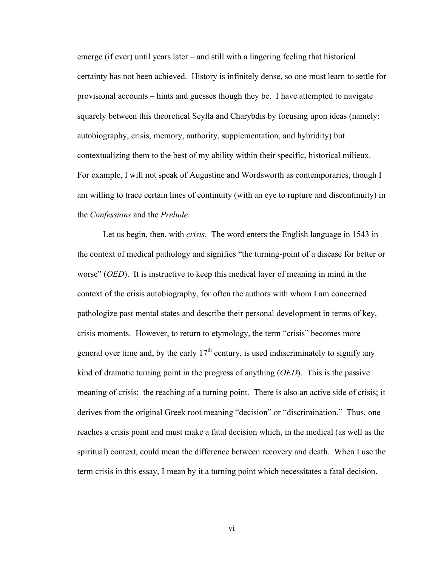emerge (if ever) until years later – and still with a lingering feeling that historical certainty has not been achieved. History is infinitely dense, so one must learn to settle for provisional accounts – hints and guesses though they be. I have attempted to navigate squarely between this theoretical Scylla and Charybdis by focusing upon ideas (namely: autobiography, crisis, memory, authority, supplementation, and hybridity) but contextualizing them to the best of my ability within their specific, historical milieux. For example, I will not speak of Augustine and Wordsworth as contemporaries, though I am willing to trace certain lines of continuity (with an eye to rupture and discontinuity) in the *Confessions* and the *Prelude*.

Let us begin, then, with *crisis*. The word enters the English language in 1543 in the context of medical pathology and signifies "the turning-point of a disease for better or worse" (*OED*). It is instructive to keep this medical layer of meaning in mind in the context of the crisis autobiography, for often the authors with whom I am concerned pathologize past mental states and describe their personal development in terms of key, crisis moments. However, to return to etymology, the term "crisis" becomes more general over time and, by the early  $17<sup>th</sup>$  century, is used indiscriminately to signify any kind of dramatic turning point in the progress of anything (*OED*). This is the passive meaning of crisis: the reaching of a turning point. There is also an active side of crisis; it derives from the original Greek root meaning "decision" or "discrimination." Thus, one reaches a crisis point and must make a fatal decision which, in the medical (as well as the spiritual) context, could mean the difference between recovery and death. When I use the term crisis in this essay, I mean by it a turning point which necessitates a fatal decision.

vi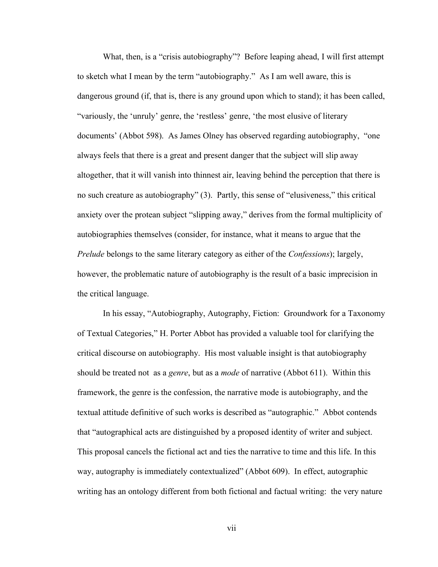What, then, is a "crisis autobiography"? Before leaping ahead, I will first attempt to sketch what I mean by the term "autobiography." As I am well aware, this is dangerous ground (if, that is, there is any ground upon which to stand); it has been called, "variously, the 'unruly' genre, the 'restless' genre, 'the most elusive of literary documents' (Abbot 598). As James Olney has observed regarding autobiography, "one always feels that there is a great and present danger that the subject will slip away altogether, that it will vanish into thinnest air, leaving behind the perception that there is no such creature as autobiography" (3). Partly, this sense of "elusiveness," this critical anxiety over the protean subject "slipping away," derives from the formal multiplicity of autobiographies themselves (consider, for instance, what it means to argue that the *Prelude* belongs to the same literary category as either of the *Confessions*); largely, however, the problematic nature of autobiography is the result of a basic imprecision in the critical language.

In his essay, "Autobiography, Autography, Fiction: Groundwork for a Taxonomy of Textual Categories," H. Porter Abbot has provided a valuable tool for clarifying the critical discourse on autobiography. His most valuable insight is that autobiography should be treated not as a *genre*, but as a *mode* of narrative (Abbot 611). Within this framework, the genre is the confession, the narrative mode is autobiography, and the textual attitude definitive of such works is described as "autographic." Abbot contends that "autographical acts are distinguished by a proposed identity of writer and subject. This proposal cancels the fictional act and ties the narrative to time and this life. In this way, autography is immediately contextualized" (Abbot 609). In effect, autographic writing has an ontology different from both fictional and factual writing: the very nature

vii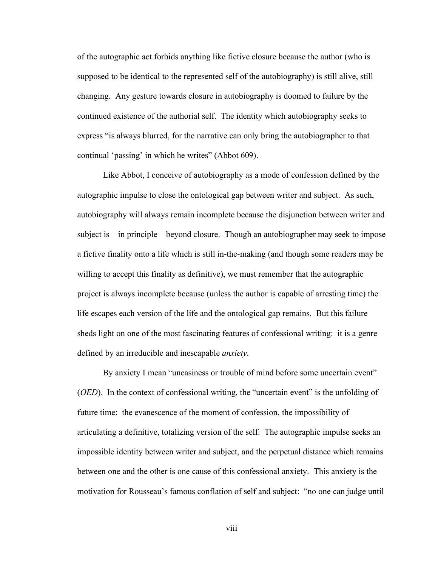of the autographic act forbids anything like fictive closure because the author (who is supposed to be identical to the represented self of the autobiography) is still alive, still changing. Any gesture towards closure in autobiography is doomed to failure by the continued existence of the authorial self. The identity which autobiography seeks to express "is always blurred, for the narrative can only bring the autobiographer to that continual 'passing' in which he writes" (Abbot 609).

Like Abbot, I conceive of autobiography as a mode of confession defined by the autographic impulse to close the ontological gap between writer and subject. As such, autobiography will always remain incomplete because the disjunction between writer and subject is – in principle – beyond closure. Though an autobiographer may seek to impose a fictive finality onto a life which is still in-the-making (and though some readers may be willing to accept this finality as definitive), we must remember that the autographic project is always incomplete because (unless the author is capable of arresting time) the life escapes each version of the life and the ontological gap remains. But this failure sheds light on one of the most fascinating features of confessional writing: it is a genre defined by an irreducible and inescapable *anxiety*.

By anxiety I mean "uneasiness or trouble of mind before some uncertain event" (*OED*). In the context of confessional writing, the "uncertain event" is the unfolding of future time: the evanescence of the moment of confession, the impossibility of articulating a definitive, totalizing version of the self. The autographic impulse seeks an impossible identity between writer and subject, and the perpetual distance which remains between one and the other is one cause of this confessional anxiety. This anxiety is the motivation for Rousseau's famous conflation of self and subject: "no one can judge until

viii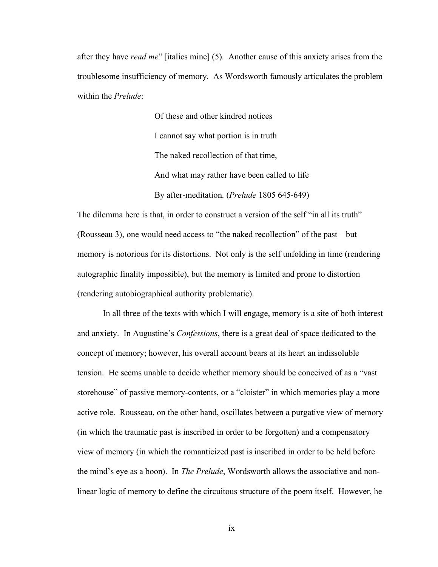after they have *read me*" [italics mine] (5). Another cause of this anxiety arises from the troublesome insufficiency of memory. As Wordsworth famously articulates the problem within the *Prelude*:

> Of these and other kindred notices I cannot say what portion is in truth The naked recollection of that time, And what may rather have been called to life By after-meditation. (*Prelude* 1805 645-649)

The dilemma here is that, in order to construct a version of the self "in all its truth" (Rousseau 3), one would need access to "the naked recollection" of the past – but memory is notorious for its distortions. Not only is the self unfolding in time (rendering autographic finality impossible), but the memory is limited and prone to distortion (rendering autobiographical authority problematic).

In all three of the texts with which I will engage, memory is a site of both interest and anxiety. In Augustine's *Confessions*, there is a great deal of space dedicated to the concept of memory; however, his overall account bears at its heart an indissoluble tension. He seems unable to decide whether memory should be conceived of as a "vast storehouse" of passive memory-contents, or a "cloister" in which memories play a more active role. Rousseau, on the other hand, oscillates between a purgative view of memory (in which the traumatic past is inscribed in order to be forgotten) and a compensatory view of memory (in which the romanticized past is inscribed in order to be held before the mind's eye as a boon). In *The Prelude*, Wordsworth allows the associative and nonlinear logic of memory to define the circuitous structure of the poem itself. However, he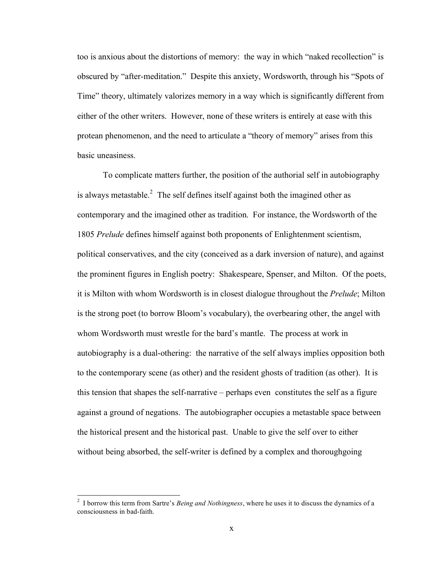too is anxious about the distortions of memory: the way in which "naked recollection" is obscured by "after-meditation." Despite this anxiety, Wordsworth, through his "Spots of Time" theory, ultimately valorizes memory in a way which is significantly different from either of the other writers. However, none of these writers is entirely at ease with this protean phenomenon, and the need to articulate a "theory of memory" arises from this basic uneasiness.

To complicate matters further, the position of the authorial self in autobiography is always metastable.<sup>2</sup> The self defines itself against both the imagined other as contemporary and the imagined other as tradition. For instance, the Wordsworth of the 1805 *Prelude* defines himself against both proponents of Enlightenment scientism, political conservatives, and the city (conceived as a dark inversion of nature), and against the prominent figures in English poetry: Shakespeare, Spenser, and Milton. Of the poets, it is Milton with whom Wordsworth is in closest dialogue throughout the *Prelude*; Milton is the strong poet (to borrow Bloom's vocabulary), the overbearing other, the angel with whom Wordsworth must wrestle for the bard's mantle. The process at work in autobiography is a dual-othering: the narrative of the self always implies opposition both to the contemporary scene (as other) and the resident ghosts of tradition (as other). It is this tension that shapes the self-narrative – perhaps even constitutes the self as a figure against a ground of negations. The autobiographer occupies a metastable space between the historical present and the historical past. Unable to give the self over to either without being absorbed, the self-writer is defined by a complex and thoroughgoing

 <sup>2</sup> <sup>I</sup> borrow this term from Sartre's *Being and Nothingness*, where he uses it to discuss the dynamics of <sup>a</sup> consciousness in bad-faith.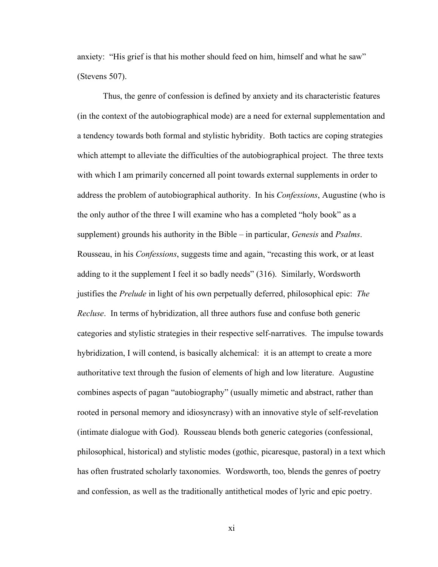anxiety: "His grief is that his mother should feed on him, himself and what he saw" (Stevens 507).

Thus, the genre of confession is defined by anxiety and its characteristic features (in the context of the autobiographical mode) are a need for external supplementation and a tendency towards both formal and stylistic hybridity. Both tactics are coping strategies which attempt to alleviate the difficulties of the autobiographical project. The three texts with which I am primarily concerned all point towards external supplements in order to address the problem of autobiographical authority. In his *Confessions*, Augustine (who is the only author of the three I will examine who has a completed "holy book" as a supplement) grounds his authority in the Bible – in particular, *Genesis* and *Psalms*. Rousseau, in his *Confessions*, suggests time and again, "recasting this work, or at least adding to it the supplement I feel it so badly needs" (316). Similarly, Wordsworth justifies the *Prelude* in light of his own perpetually deferred, philosophical epic: *The Recluse*. In terms of hybridization, all three authors fuse and confuse both generic categories and stylistic strategies in their respective self-narratives. The impulse towards hybridization, I will contend, is basically alchemical: it is an attempt to create a more authoritative text through the fusion of elements of high and low literature. Augustine combines aspects of pagan "autobiography" (usually mimetic and abstract, rather than rooted in personal memory and idiosyncrasy) with an innovative style of self-revelation (intimate dialogue with God). Rousseau blends both generic categories (confessional, philosophical, historical) and stylistic modes (gothic, picaresque, pastoral) in a text which has often frustrated scholarly taxonomies. Wordsworth, too, blends the genres of poetry and confession, as well as the traditionally antithetical modes of lyric and epic poetry.

xi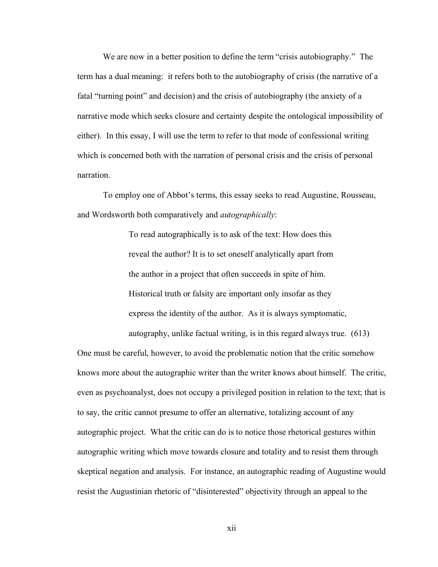We are now in a better position to define the term "crisis autobiography." The term has a dual meaning: it refers both to the autobiography of crisis (the narrative of a fatal "turning point" and decision) and the crisis of autobiography (the anxiety of a narrative mode which seeks closure and certainty despite the ontological impossibility of either). In this essay, I will use the term to refer to that mode of confessional writing which is concerned both with the narration of personal crisis and the crisis of personal narration.

To employ one of Abbot's terms, this essay seeks to read Augustine, Rousseau, and Wordsworth both comparatively and *autographically*:

> To read autographically is to ask of the text: How does this reveal the author? It is to set oneself analytically apart from the author in a project that often succeeds in spite of him. Historical truth or falsity are important only insofar as they express the identity of the author. As it is always symptomatic, autography, unlike factual writing, is in this regard always true. (613)

One must be careful, however, to avoid the problematic notion that the critic somehow knows more about the autographic writer than the writer knows about himself. The critic, even as psychoanalyst, does not occupy a privileged position in relation to the text; that is to say, the critic cannot presume to offer an alternative, totalizing account of any autographic project. What the critic can do is to notice those rhetorical gestures within autographic writing which move towards closure and totality and to resist them through skeptical negation and analysis. For instance, an autographic reading of Augustine would resist the Augustinian rhetoric of "disinterested" objectivity through an appeal to the

xii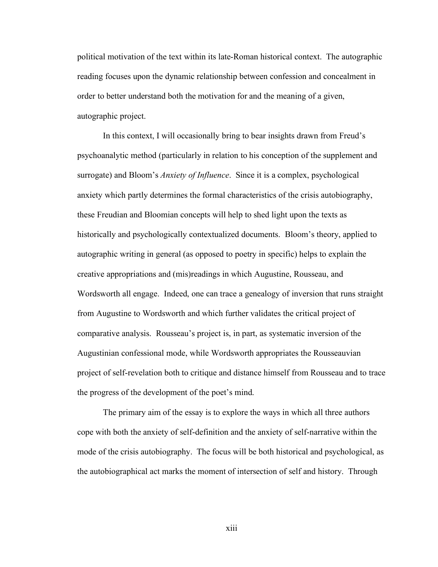political motivation of the text within its late-Roman historical context. The autographic reading focuses upon the dynamic relationship between confession and concealment in order to better understand both the motivation for and the meaning of a given, autographic project.

In this context, I will occasionally bring to bear insights drawn from Freud's psychoanalytic method (particularly in relation to his conception of the supplement and surrogate) and Bloom's *Anxiety of Influence*. Since it is a complex, psychological anxiety which partly determines the formal characteristics of the crisis autobiography, these Freudian and Bloomian concepts will help to shed light upon the texts as historically and psychologically contextualized documents. Bloom's theory, applied to autographic writing in general (as opposed to poetry in specific) helps to explain the creative appropriations and (mis)readings in which Augustine, Rousseau, and Wordsworth all engage. Indeed, one can trace a genealogy of inversion that runs straight from Augustine to Wordsworth and which further validates the critical project of comparative analysis. Rousseau's project is, in part, as systematic inversion of the Augustinian confessional mode, while Wordsworth appropriates the Rousseauvian project of self-revelation both to critique and distance himself from Rousseau and to trace the progress of the development of the poet's mind.

The primary aim of the essay is to explore the ways in which all three authors cope with both the anxiety of self-definition and the anxiety of self-narrative within the mode of the crisis autobiography. The focus will be both historical and psychological, as the autobiographical act marks the moment of intersection of self and history. Through

xiii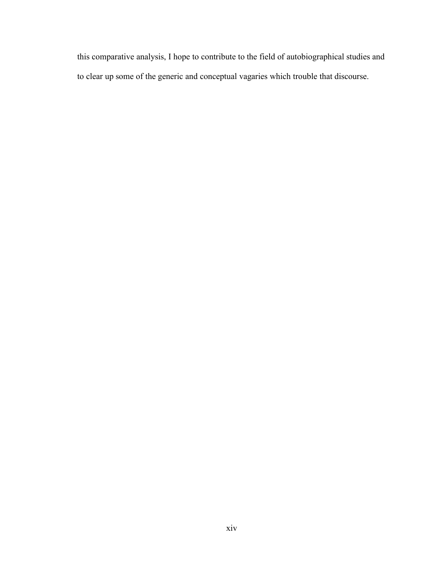this comparative analysis, I hope to contribute to the field of autobiographical studies and to clear up some of the generic and conceptual vagaries which trouble that discourse.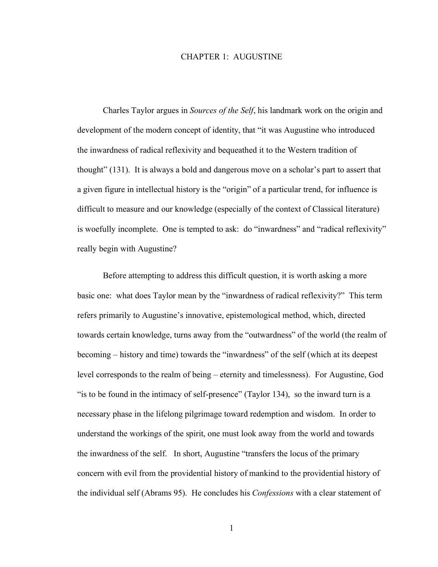#### CHAPTER 1: AUGUSTINE

Charles Taylor argues in *Sources of the Self*, his landmark work on the origin and development of the modern concept of identity, that "it was Augustine who introduced the inwardness of radical reflexivity and bequeathed it to the Western tradition of thought" (131). It is always a bold and dangerous move on a scholar's part to assert that a given figure in intellectual history is the "origin" of a particular trend, for influence is difficult to measure and our knowledge (especially of the context of Classical literature) is woefully incomplete. One is tempted to ask: do "inwardness" and "radical reflexivity" really begin with Augustine?

Before attempting to address this difficult question, it is worth asking a more basic one: what does Taylor mean by the "inwardness of radical reflexivity?" This term refers primarily to Augustine's innovative, epistemological method, which, directed towards certain knowledge, turns away from the "outwardness" of the world (the realm of becoming – history and time) towards the "inwardness" of the self (which at its deepest level corresponds to the realm of being – eternity and timelessness). For Augustine, God "is to be found in the intimacy of self-presence" (Taylor 134), so the inward turn is a necessary phase in the lifelong pilgrimage toward redemption and wisdom. In order to understand the workings of the spirit, one must look away from the world and towards the inwardness of the self. In short, Augustine "transfers the locus of the primary concern with evil from the providential history of mankind to the providential history of the individual self (Abrams 95). He concludes his *Confessions* with a clear statement of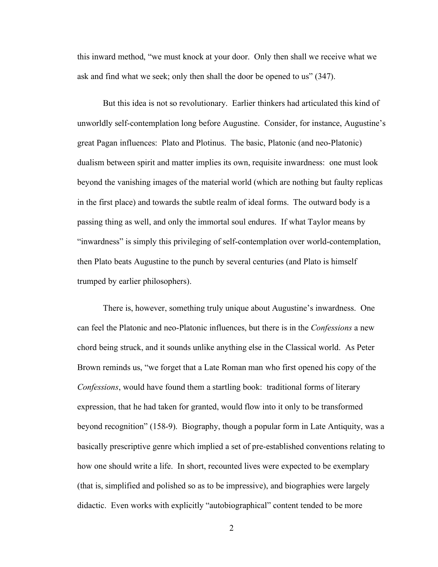this inward method, "we must knock at your door. Only then shall we receive what we ask and find what we seek; only then shall the door be opened to us" (347).

But this idea is not so revolutionary. Earlier thinkers had articulated this kind of unworldly self-contemplation long before Augustine. Consider, for instance, Augustine's great Pagan influences: Plato and Plotinus. The basic, Platonic (and neo-Platonic) dualism between spirit and matter implies its own, requisite inwardness: one must look beyond the vanishing images of the material world (which are nothing but faulty replicas in the first place) and towards the subtle realm of ideal forms. The outward body is a passing thing as well, and only the immortal soul endures. If what Taylor means by "inwardness" is simply this privileging of self-contemplation over world-contemplation, then Plato beats Augustine to the punch by several centuries (and Plato is himself trumped by earlier philosophers).

There is, however, something truly unique about Augustine's inwardness. One can feel the Platonic and neo-Platonic influences, but there is in the *Confessions* a new chord being struck, and it sounds unlike anything else in the Classical world. As Peter Brown reminds us, "we forget that a Late Roman man who first opened his copy of the *Confessions*, would have found them a startling book: traditional forms of literary expression, that he had taken for granted, would flow into it only to be transformed beyond recognition" (158-9). Biography, though a popular form in Late Antiquity, was a basically prescriptive genre which implied a set of pre-established conventions relating to how one should write a life. In short, recounted lives were expected to be exemplary (that is, simplified and polished so as to be impressive), and biographies were largely didactic. Even works with explicitly "autobiographical" content tended to be more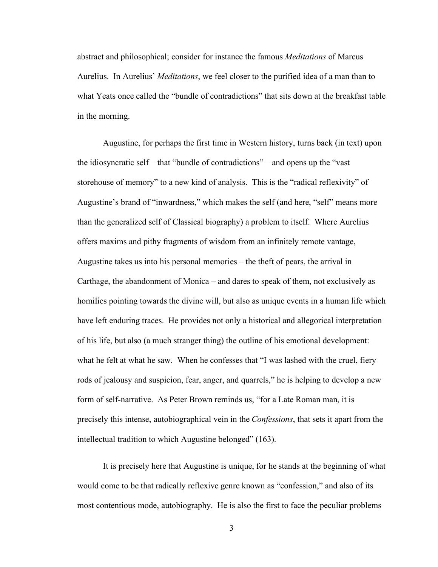abstract and philosophical; consider for instance the famous *Meditations* of Marcus Aurelius. In Aurelius' *Meditations*, we feel closer to the purified idea of a man than to what Yeats once called the "bundle of contradictions" that sits down at the breakfast table in the morning.

Augustine, for perhaps the first time in Western history, turns back (in text) upon the idiosyncratic self – that "bundle of contradictions" – and opens up the "vast storehouse of memory" to a new kind of analysis. This is the "radical reflexivity" of Augustine's brand of "inwardness," which makes the self (and here, "self" means more than the generalized self of Classical biography) a problem to itself. Where Aurelius offers maxims and pithy fragments of wisdom from an infinitely remote vantage, Augustine takes us into his personal memories – the theft of pears, the arrival in Carthage, the abandonment of Monica – and dares to speak of them, not exclusively as homilies pointing towards the divine will, but also as unique events in a human life which have left enduring traces. He provides not only a historical and allegorical interpretation of his life, but also (a much stranger thing) the outline of his emotional development: what he felt at what he saw. When he confesses that "I was lashed with the cruel, fiery rods of jealousy and suspicion, fear, anger, and quarrels," he is helping to develop a new form of self-narrative. As Peter Brown reminds us, "for a Late Roman man, it is precisely this intense, autobiographical vein in the *Confessions*, that sets it apart from the intellectual tradition to which Augustine belonged" (163).

It is precisely here that Augustine is unique, for he stands at the beginning of what would come to be that radically reflexive genre known as "confession," and also of its most contentious mode, autobiography. He is also the first to face the peculiar problems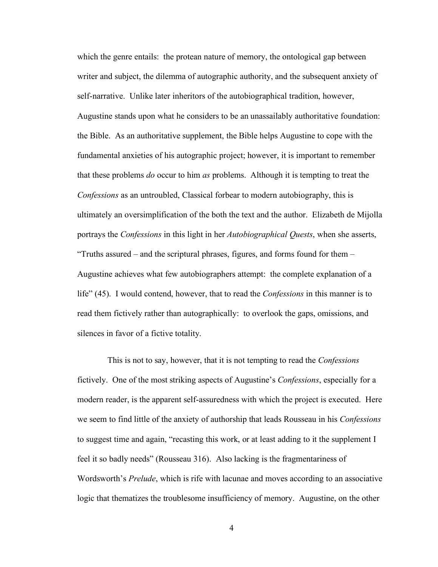which the genre entails: the protean nature of memory, the ontological gap between writer and subject, the dilemma of autographic authority, and the subsequent anxiety of self-narrative. Unlike later inheritors of the autobiographical tradition, however, Augustine stands upon what he considers to be an unassailably authoritative foundation: the Bible. As an authoritative supplement, the Bible helps Augustine to cope with the fundamental anxieties of his autographic project; however, it is important to remember that these problems *do* occur to him *as* problems. Although it is tempting to treat the *Confessions* as an untroubled, Classical forbear to modern autobiography, this is ultimately an oversimplification of the both the text and the author. Elizabeth de Mijolla portrays the *Confessions* in this light in her *Autobiographical Quests*, when she asserts, "Truths assured – and the scriptural phrases, figures, and forms found for them – Augustine achieves what few autobiographers attempt: the complete explanation of a life" (45). I would contend, however, that to read the *Confessions* in this manner is to read them fictively rather than autographically: to overlook the gaps, omissions, and silences in favor of a fictive totality.

This is not to say, however, that it is not tempting to read the *Confessions* fictively. One of the most striking aspects of Augustine's *Confessions*, especially for a modern reader, is the apparent self-assuredness with which the project is executed. Here we seem to find little of the anxiety of authorship that leads Rousseau in his *Confessions* to suggest time and again, "recasting this work, or at least adding to it the supplement I feel it so badly needs" (Rousseau 316). Also lacking is the fragmentariness of Wordsworth's *Prelude*, which is rife with lacunae and moves according to an associative logic that thematizes the troublesome insufficiency of memory. Augustine, on the other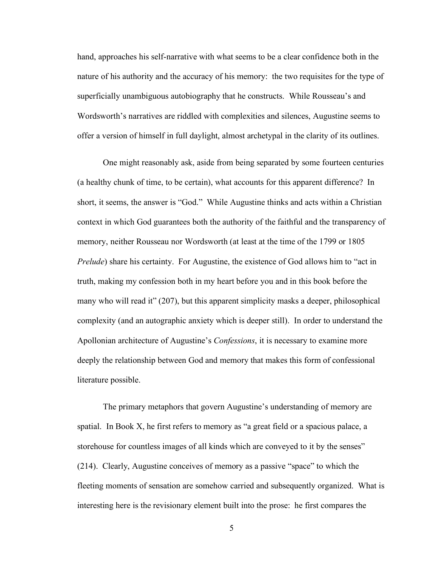hand, approaches his self-narrative with what seems to be a clear confidence both in the nature of his authority and the accuracy of his memory: the two requisites for the type of superficially unambiguous autobiography that he constructs. While Rousseau's and Wordsworth's narratives are riddled with complexities and silences, Augustine seems to offer a version of himself in full daylight, almost archetypal in the clarity of its outlines.

One might reasonably ask, aside from being separated by some fourteen centuries (a healthy chunk of time, to be certain), what accounts for this apparent difference? In short, it seems, the answer is "God." While Augustine thinks and acts within a Christian context in which God guarantees both the authority of the faithful and the transparency of memory, neither Rousseau nor Wordsworth (at least at the time of the 1799 or 1805 *Prelude*) share his certainty. For Augustine, the existence of God allows him to "act in truth, making my confession both in my heart before you and in this book before the many who will read it" (207), but this apparent simplicity masks a deeper, philosophical complexity (and an autographic anxiety which is deeper still). In order to understand the Apollonian architecture of Augustine's *Confessions*, it is necessary to examine more deeply the relationship between God and memory that makes this form of confessional literature possible.

The primary metaphors that govern Augustine's understanding of memory are spatial. In Book X, he first refers to memory as "a great field or a spacious palace, a storehouse for countless images of all kinds which are conveyed to it by the senses" (214). Clearly, Augustine conceives of memory as a passive "space" to which the fleeting moments of sensation are somehow carried and subsequently organized. What is interesting here is the revisionary element built into the prose: he first compares the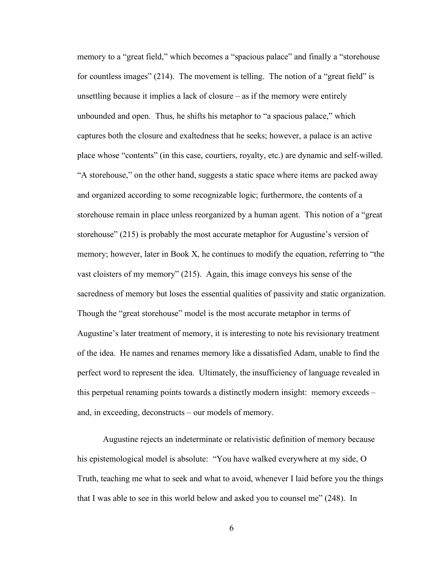memory to a "great field," which becomes a "spacious palace" and finally a "storehouse for countless images" (214). The movement is telling. The notion of a "great field" is unsettling because it implies a lack of closure – as if the memory were entirely unbounded and open. Thus, he shifts his metaphor to "a spacious palace," which captures both the closure and exaltedness that he seeks; however, a palace is an active place whose "contents" (in this case, courtiers, royalty, etc.) are dynamic and self-willed. "A storehouse," on the other hand, suggests a static space where items are packed away and organized according to some recognizable logic; furthermore, the contents of a storehouse remain in place unless reorganized by a human agent. This notion of a "great storehouse" (215) is probably the most accurate metaphor for Augustine's version of memory; however, later in Book X, he continues to modify the equation, referring to "the vast cloisters of my memory" (215). Again, this image conveys his sense of the sacredness of memory but loses the essential qualities of passivity and static organization. Though the "great storehouse" model is the most accurate metaphor in terms of Augustine's later treatment of memory, it is interesting to note his revisionary treatment of the idea. He names and renames memory like a dissatisfied Adam, unable to find the perfect word to represent the idea. Ultimately, the insufficiency of language revealed in this perpetual renaming points towards a distinctly modern insight: memory exceeds – and, in exceeding, deconstructs – our models of memory.

Augustine rejects an indeterminate or relativistic definition of memory because his epistemological model is absolute: "You have walked everywhere at my side, O Truth, teaching me what to seek and what to avoid, whenever I laid before you the things that I was able to see in this world below and asked you to counsel me" (248). In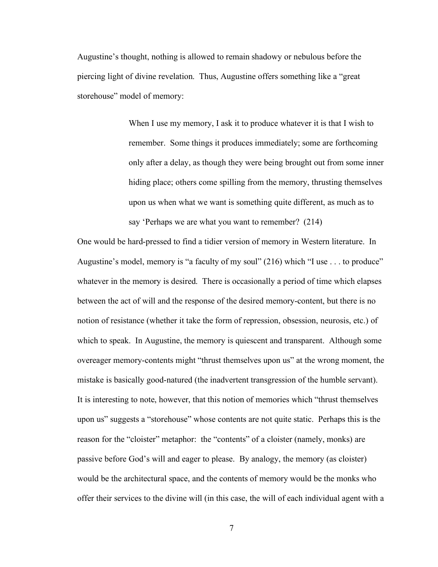Augustine's thought, nothing is allowed to remain shadowy or nebulous before the piercing light of divine revelation. Thus, Augustine offers something like a "great storehouse" model of memory:

> When I use my memory, I ask it to produce whatever it is that I wish to remember. Some things it produces immediately; some are forthcoming only after a delay, as though they were being brought out from some inner hiding place; others come spilling from the memory, thrusting themselves upon us when what we want is something quite different, as much as to say 'Perhaps we are what you want to remember? (214)

One would be hard-pressed to find a tidier version of memory in Western literature. In Augustine's model, memory is "a faculty of my soul" (216) which "I use . . . to produce" whatever in the memory is desired. There is occasionally a period of time which elapses between the act of will and the response of the desired memory-content, but there is no notion of resistance (whether it take the form of repression, obsession, neurosis, etc.) of which to speak. In Augustine, the memory is quiescent and transparent. Although some overeager memory-contents might "thrust themselves upon us" at the wrong moment, the mistake is basically good-natured (the inadvertent transgression of the humble servant). It is interesting to note, however, that this notion of memories which "thrust themselves upon us" suggests a "storehouse" whose contents are not quite static. Perhaps this is the reason for the "cloister" metaphor: the "contents" of a cloister (namely, monks) are passive before God's will and eager to please. By analogy, the memory (as cloister) would be the architectural space, and the contents of memory would be the monks who offer their services to the divine will (in this case, the will of each individual agent with a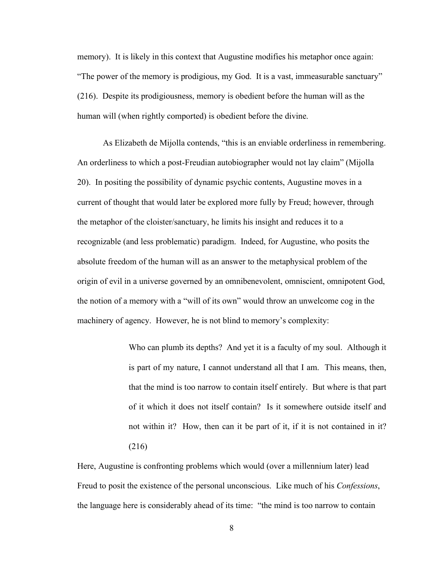memory). It is likely in this context that Augustine modifies his metaphor once again: "The power of the memory is prodigious, my God. It is a vast, immeasurable sanctuary" (216). Despite its prodigiousness, memory is obedient before the human will as the human will (when rightly comported) is obedient before the divine.

As Elizabeth de Mijolla contends, "this is an enviable orderliness in remembering. An orderliness to which a post-Freudian autobiographer would not lay claim" (Mijolla 20). In positing the possibility of dynamic psychic contents, Augustine moves in a current of thought that would later be explored more fully by Freud; however, through the metaphor of the cloister/sanctuary, he limits his insight and reduces it to a recognizable (and less problematic) paradigm. Indeed, for Augustine, who posits the absolute freedom of the human will as an answer to the metaphysical problem of the origin of evil in a universe governed by an omnibenevolent, omniscient, omnipotent God, the notion of a memory with a "will of its own" would throw an unwelcome cog in the machinery of agency. However, he is not blind to memory's complexity:

> Who can plumb its depths? And yet it is a faculty of my soul. Although it is part of my nature, I cannot understand all that I am. This means, then, that the mind is too narrow to contain itself entirely. But where is that part of it which it does not itself contain? Is it somewhere outside itself and not within it? How, then can it be part of it, if it is not contained in it? (216)

Here, Augustine is confronting problems which would (over a millennium later) lead Freud to posit the existence of the personal unconscious. Like much of his *Confessions*, the language here is considerably ahead of its time: "the mind is too narrow to contain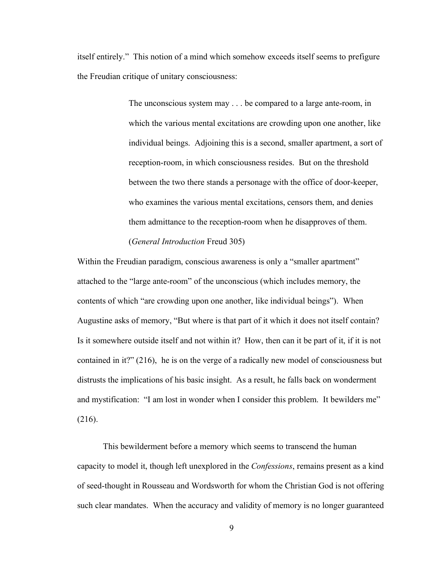itself entirely." This notion of a mind which somehow exceeds itself seems to prefigure the Freudian critique of unitary consciousness:

> The unconscious system may . . . be compared to a large ante-room, in which the various mental excitations are crowding upon one another, like individual beings. Adjoining this is a second, smaller apartment, a sort of reception-room, in which consciousness resides. But on the threshold between the two there stands a personage with the office of door-keeper, who examines the various mental excitations, censors them, and denies them admittance to the reception-room when he disapproves of them. (*General Introduction* Freud 305)

Within the Freudian paradigm, conscious awareness is only a "smaller apartment" attached to the "large ante-room" of the unconscious (which includes memory, the contents of which "are crowding upon one another, like individual beings"). When Augustine asks of memory, "But where is that part of it which it does not itself contain? Is it somewhere outside itself and not within it? How, then can it be part of it, if it is not contained in it?" (216), he is on the verge of a radically new model of consciousness but distrusts the implications of his basic insight. As a result, he falls back on wonderment and mystification: "I am lost in wonder when I consider this problem. It bewilders me" (216).

This bewilderment before a memory which seems to transcend the human capacity to model it, though left unexplored in the *Confessions*, remains present as a kind of seed-thought in Rousseau and Wordsworth for whom the Christian God is not offering such clear mandates. When the accuracy and validity of memory is no longer guaranteed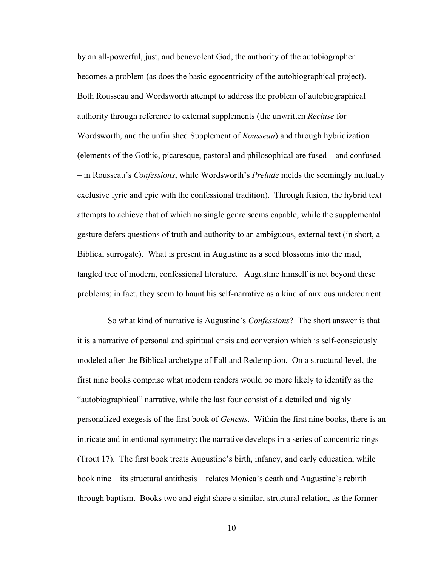by an all-powerful, just, and benevolent God, the authority of the autobiographer becomes a problem (as does the basic egocentricity of the autobiographical project). Both Rousseau and Wordsworth attempt to address the problem of autobiographical authority through reference to external supplements (the unwritten *Recluse* for Wordsworth, and the unfinished Supplement of *Rousseau*) and through hybridization (elements of the Gothic, picaresque, pastoral and philosophical are fused – and confused – in Rousseau's *Confessions*, while Wordsworth's *Prelude* melds the seemingly mutually exclusive lyric and epic with the confessional tradition). Through fusion, the hybrid text attempts to achieve that of which no single genre seems capable, while the supplemental gesture defers questions of truth and authority to an ambiguous, external text (in short, a Biblical surrogate). What is present in Augustine as a seed blossoms into the mad, tangled tree of modern, confessional literature. Augustine himself is not beyond these problems; in fact, they seem to haunt his self-narrative as a kind of anxious undercurrent.

So what kind of narrative is Augustine's *Confessions*? The short answer is that it is a narrative of personal and spiritual crisis and conversion which is self-consciously modeled after the Biblical archetype of Fall and Redemption. On a structural level, the first nine books comprise what modern readers would be more likely to identify as the "autobiographical" narrative, while the last four consist of a detailed and highly personalized exegesis of the first book of *Genesis*. Within the first nine books, there is an intricate and intentional symmetry; the narrative develops in a series of concentric rings (Trout 17). The first book treats Augustine's birth, infancy, and early education, while book nine – its structural antithesis – relates Monica's death and Augustine's rebirth through baptism. Books two and eight share a similar, structural relation, as the former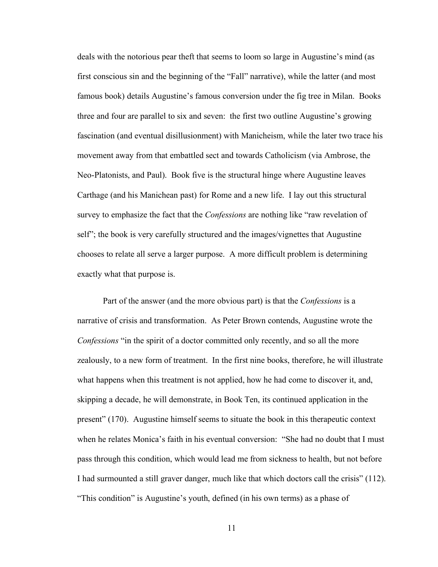deals with the notorious pear theft that seems to loom so large in Augustine's mind (as first conscious sin and the beginning of the "Fall" narrative), while the latter (and most famous book) details Augustine's famous conversion under the fig tree in Milan. Books three and four are parallel to six and seven: the first two outline Augustine's growing fascination (and eventual disillusionment) with Manicheism, while the later two trace his movement away from that embattled sect and towards Catholicism (via Ambrose, the Neo-Platonists, and Paul). Book five is the structural hinge where Augustine leaves Carthage (and his Manichean past) for Rome and a new life. I lay out this structural survey to emphasize the fact that the *Confessions* are nothing like "raw revelation of self"; the book is very carefully structured and the images/vignettes that Augustine chooses to relate all serve a larger purpose. A more difficult problem is determining exactly what that purpose is.

Part of the answer (and the more obvious part) is that the *Confessions* is a narrative of crisis and transformation. As Peter Brown contends, Augustine wrote the *Confessions* "in the spirit of a doctor committed only recently, and so all the more zealously, to a new form of treatment. In the first nine books, therefore, he will illustrate what happens when this treatment is not applied, how he had come to discover it, and, skipping a decade, he will demonstrate, in Book Ten, its continued application in the present" (170). Augustine himself seems to situate the book in this therapeutic context when he relates Monica's faith in his eventual conversion: "She had no doubt that I must pass through this condition, which would lead me from sickness to health, but not before I had surmounted a still graver danger, much like that which doctors call the crisis" (112). "This condition" is Augustine's youth, defined (in his own terms) as a phase of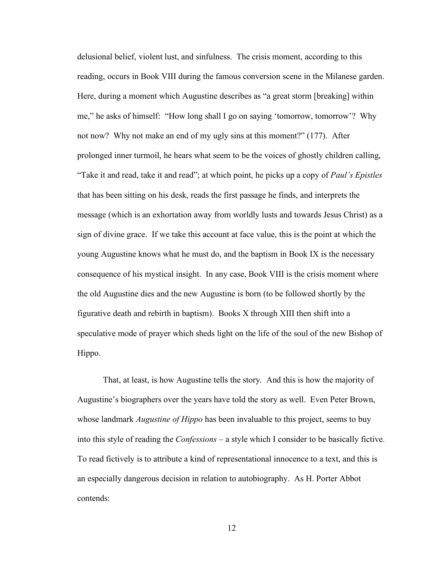delusional belief, violent lust, and sinfulness. The crisis moment, according to this reading, occurs in Book VIII during the famous conversion scene in the Milanese garden. Here, during a moment which Augustine describes as "a great storm [breaking] within me," he asks of himself: "How long shall I go on saying 'tomorrow, tomorrow'? Why not now? Why not make an end of my ugly sins at this moment?" (177). After prolonged inner turmoil, he hears what seem to be the voices of ghostly children calling, "Take it and read, take it and read"; at which point, he picks up a copy of *Paul's Epistles* that has been sitting on his desk, reads the first passage he finds, and interprets the message (which is an exhortation away from worldly lusts and towards Jesus Christ) as a sign of divine grace. If we take this account at face value, this is the point at which the young Augustine knows what he must do, and the baptism in Book IX is the necessary consequence of his mystical insight. In any case, Book VIII is the crisis moment where the old Augustine dies and the new Augustine is born (to be followed shortly by the figurative death and rebirth in baptism). Books X through XIII then shift into a speculative mode of prayer which sheds light on the life of the soul of the new Bishop of Hippo.

That, at least, is how Augustine tells the story. And this is how the majority of Augustine's biographers over the years have told the story as well. Even Peter Brown, whose landmark *Augustine of Hippo* has been invaluable to this project, seems to buy into this style of reading the *Confessions* – a style which I consider to be basically fictive. To read fictively is to attribute a kind of representational innocence to a text, and this is an especially dangerous decision in relation to autobiography. As H. Porter Abbot contends: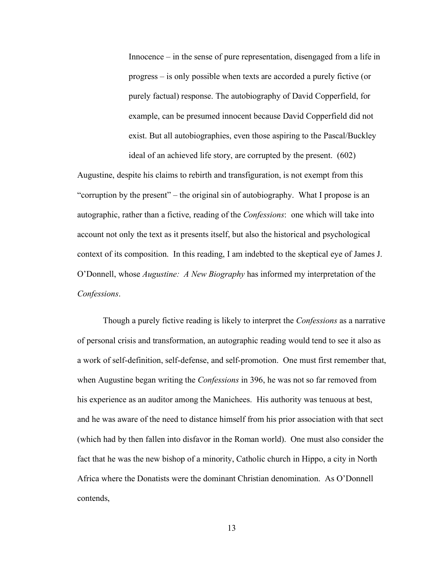Innocence – in the sense of pure representation, disengaged from a life in progress – is only possible when texts are accorded a purely fictive (or purely factual) response. The autobiography of David Copperfield, for example, can be presumed innocent because David Copperfield did not exist. But all autobiographies, even those aspiring to the Pascal/Buckley ideal of an achieved life story, are corrupted by the present. (602)

Augustine, despite his claims to rebirth and transfiguration, is not exempt from this "corruption by the present" – the original sin of autobiography. What I propose is an autographic, rather than a fictive, reading of the *Confessions*: one which will take into account not only the text as it presents itself, but also the historical and psychological context of its composition. In this reading, I am indebted to the skeptical eye of James J. O'Donnell, whose *Augustine: A New Biography* has informed my interpretation of the *Confessions*.

Though a purely fictive reading is likely to interpret the *Confessions* as a narrative of personal crisis and transformation, an autographic reading would tend to see it also as a work of self-definition, self-defense, and self-promotion. One must first remember that, when Augustine began writing the *Confessions* in 396, he was not so far removed from his experience as an auditor among the Manichees. His authority was tenuous at best, and he was aware of the need to distance himself from his prior association with that sect (which had by then fallen into disfavor in the Roman world). One must also consider the fact that he was the new bishop of a minority, Catholic church in Hippo, a city in North Africa where the Donatists were the dominant Christian denomination. As O'Donnell contends,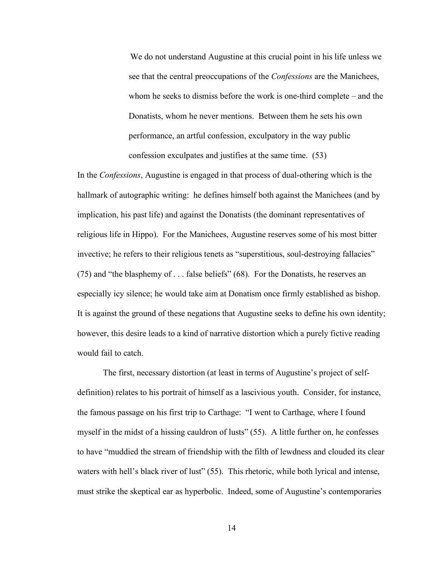We do not understand Augustine at this crucial point in his life unless we see that the central preoccupations of the *Confessions* are the Manichees, whom he seeks to dismiss before the work is one-third complete – and the Donatists, whom he never mentions. Between them he sets his own performance, an artful confession, exculpatory in the way public confession exculpates and justifies at the same time. (53)

In the *Confessions*, Augustine is engaged in that process of dual-othering which is the hallmark of autographic writing: he defines himself both against the Manichees (and by implication, his past life) and against the Donatists (the dominant representatives of religious life in Hippo). For the Manichees, Augustine reserves some of his most bitter invective; he refers to their religious tenets as "superstitious, soul-destroying fallacies" (75) and "the blasphemy of . . . false beliefs" (68). For the Donatists, he reserves an especially icy silence; he would take aim at Donatism once firmly established as bishop. It is against the ground of these negations that Augustine seeks to define his own identity; however, this desire leads to a kind of narrative distortion which a purely fictive reading would fail to catch.

The first, necessary distortion (at least in terms of Augustine's project of selfdefinition) relates to his portrait of himself as a lascivious youth. Consider, for instance, the famous passage on his first trip to Carthage: "I went to Carthage, where I found myself in the midst of a hissing cauldron of lusts" (55). A little further on, he confesses to have "muddied the stream of friendship with the filth of lewdness and clouded its clear waters with hell's black river of lust" (55). This rhetoric, while both lyrical and intense, must strike the skeptical ear as hyperbolic. Indeed, some of Augustine's contemporaries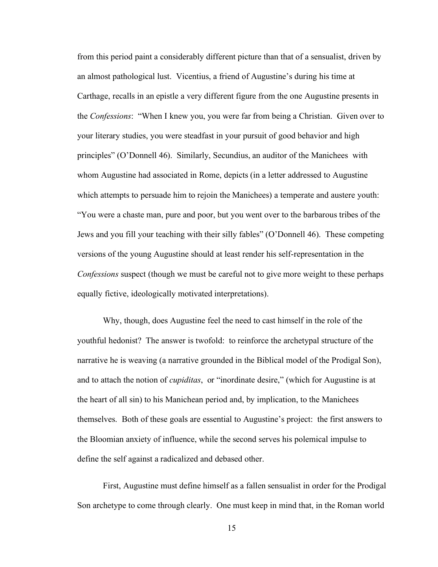from this period paint a considerably different picture than that of a sensualist, driven by an almost pathological lust. Vicentius, a friend of Augustine's during his time at Carthage, recalls in an epistle a very different figure from the one Augustine presents in the *Confessions*: "When I knew you, you were far from being a Christian. Given over to your literary studies, you were steadfast in your pursuit of good behavior and high principles" (O'Donnell 46). Similarly, Secundius, an auditor of the Manichees with whom Augustine had associated in Rome, depicts (in a letter addressed to Augustine which attempts to persuade him to rejoin the Manichees) a temperate and austere youth: "You were a chaste man, pure and poor, but you went over to the barbarous tribes of the Jews and you fill your teaching with their silly fables" (O'Donnell 46). These competing versions of the young Augustine should at least render his self-representation in the *Confessions* suspect (though we must be careful not to give more weight to these perhaps equally fictive, ideologically motivated interpretations).

Why, though, does Augustine feel the need to cast himself in the role of the youthful hedonist? The answer is twofold: to reinforce the archetypal structure of the narrative he is weaving (a narrative grounded in the Biblical model of the Prodigal Son), and to attach the notion of *cupiditas*, or "inordinate desire," (which for Augustine is at the heart of all sin) to his Manichean period and, by implication, to the Manichees themselves. Both of these goals are essential to Augustine's project: the first answers to the Bloomian anxiety of influence, while the second serves his polemical impulse to define the self against a radicalized and debased other.

First, Augustine must define himself as a fallen sensualist in order for the Prodigal Son archetype to come through clearly. One must keep in mind that, in the Roman world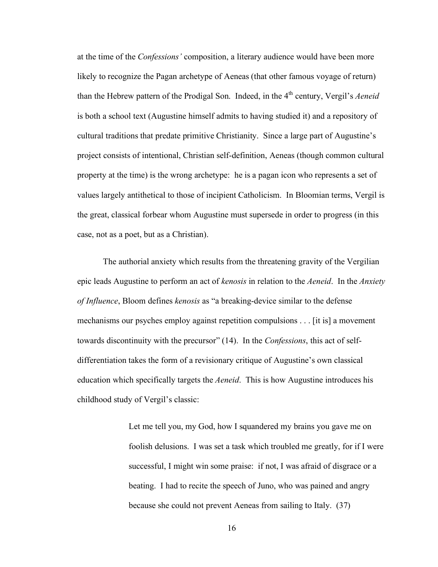at the time of the *Confessions'* composition, a literary audience would have been more likely to recognize the Pagan archetype of Aeneas (that other famous voyage of return) than the Hebrew pattern of the Prodigal Son. Indeed, in the 4<sup>th</sup> century, Vergil's *Aeneid* is both a school text (Augustine himself admits to having studied it) and a repository of cultural traditions that predate primitive Christianity. Since a large part of Augustine's project consists of intentional, Christian self-definition, Aeneas (though common cultural property at the time) is the wrong archetype: he is a pagan icon who represents a set of values largely antithetical to those of incipient Catholicism. In Bloomian terms, Vergil is the great, classical forbear whom Augustine must supersede in order to progress (in this case, not as a poet, but as a Christian).

The authorial anxiety which results from the threatening gravity of the Vergilian epic leads Augustine to perform an act of *kenosis* in relation to the *Aeneid*. In the *Anxiety of Influence*, Bloom defines *kenosis* as "a breaking-device similar to the defense mechanisms our psyches employ against repetition compulsions . . . [it is] a movement towards discontinuity with the precursor" (14). In the *Confessions*, this act of selfdifferentiation takes the form of a revisionary critique of Augustine's own classical education which specifically targets the *Aeneid*. This is how Augustine introduces his childhood study of Vergil's classic:

> Let me tell you, my God, how I squandered my brains you gave me on foolish delusions. I was set a task which troubled me greatly, for if I were successful, I might win some praise: if not, I was afraid of disgrace or a beating. I had to recite the speech of Juno, who was pained and angry because she could not prevent Aeneas from sailing to Italy. (37)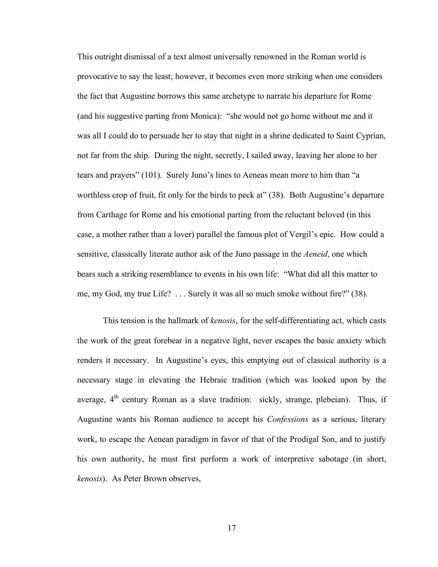This outright dismissal of a text almost universally renowned in the Roman world is provocative to say the least; however, it becomes even more striking when one considers the fact that Augustine borrows this same archetype to narrate his departure for Rome (and his suggestive parting from Monica): "she would not go home without me and it was all I could do to persuade her to stay that night in a shrine dedicated to Saint Cyprian, not far from the ship. During the night, secretly, I sailed away, leaving her alone to her tears and prayers" (101). Surely Juno's lines to Aeneas mean more to him than "a worthless crop of fruit, fit only for the birds to peck at" (38). Both Augustine's departure from Carthage for Rome and his emotional parting from the reluctant beloved (in this case, a mother rather than a lover) parallel the famous plot of Vergil's epic. How could a sensitive, classically literate author ask of the Juno passage in the *Aeneid*, one which bears such a striking resemblance to events in his own life: "What did all this matter to me, my God, my true Life? . . . Surely it was all so much smoke without fire?" (38).

This tension is the hallmark of *kenosis*, for the self-differentiating act, which casts the work of the great forebear in a negative light, never escapes the basic anxiety which renders it necessary. In Augustine's eyes, this emptying out of classical authority is a necessary stage in elevating the Hebraic tradition (which was looked upon by the average,  $4<sup>th</sup>$  century Roman as a slave tradition: sickly, strange, plebeian). Thus, if Augustine wants his Roman audience to accept his *Confessions* as a serious, literary work, to escape the Aenean paradigm in favor of that of the Prodigal Son, and to justify his own authority, he must first perform a work of interpretive sabotage (in short, *kenosis*). As Peter Brown observes,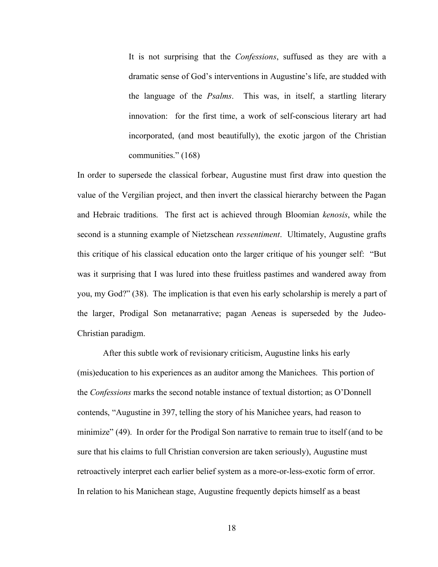It is not surprising that the *Confessions*, suffused as they are with a dramatic sense of God's interventions in Augustine's life, are studded with the language of the *Psalms*. This was, in itself, a startling literary innovation: for the first time, a work of self-conscious literary art had incorporated, (and most beautifully), the exotic jargon of the Christian communities." (168)

In order to supersede the classical forbear, Augustine must first draw into question the value of the Vergilian project, and then invert the classical hierarchy between the Pagan and Hebraic traditions. The first act is achieved through Bloomian *kenosis*, while the second is a stunning example of Nietzschean *ressentiment*. Ultimately, Augustine grafts this critique of his classical education onto the larger critique of his younger self: "But was it surprising that I was lured into these fruitless pastimes and wandered away from you, my God?" (38). The implication is that even his early scholarship is merely a part of the larger, Prodigal Son metanarrative; pagan Aeneas is superseded by the Judeo-Christian paradigm.

After this subtle work of revisionary criticism, Augustine links his early (mis)education to his experiences as an auditor among the Manichees. This portion of the *Confessions* marks the second notable instance of textual distortion; as O'Donnell contends, "Augustine in 397, telling the story of his Manichee years, had reason to minimize" (49). In order for the Prodigal Son narrative to remain true to itself (and to be sure that his claims to full Christian conversion are taken seriously), Augustine must retroactively interpret each earlier belief system as a more-or-less-exotic form of error. In relation to his Manichean stage, Augustine frequently depicts himself as a beast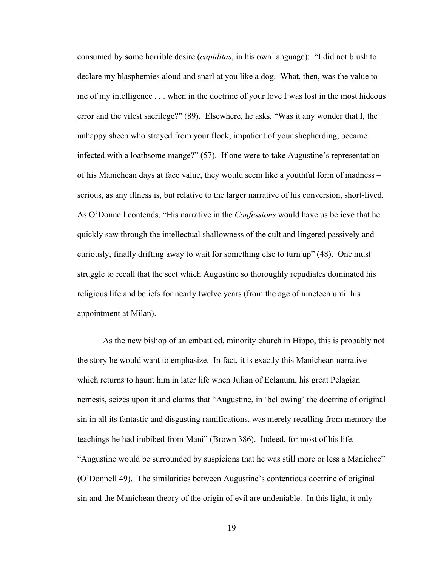consumed by some horrible desire (*cupiditas*, in his own language): "I did not blush to declare my blasphemies aloud and snarl at you like a dog. What, then, was the value to me of my intelligence . . . when in the doctrine of your love I was lost in the most hideous error and the vilest sacrilege?" (89). Elsewhere, he asks, "Was it any wonder that I, the unhappy sheep who strayed from your flock, impatient of your shepherding, became infected with a loathsome mange?" (57). If one were to take Augustine's representation of his Manichean days at face value, they would seem like a youthful form of madness – serious, as any illness is, but relative to the larger narrative of his conversion, short-lived. As O'Donnell contends, "His narrative in the *Confessions* would have us believe that he quickly saw through the intellectual shallowness of the cult and lingered passively and curiously, finally drifting away to wait for something else to turn up" (48). One must struggle to recall that the sect which Augustine so thoroughly repudiates dominated his religious life and beliefs for nearly twelve years (from the age of nineteen until his appointment at Milan).

As the new bishop of an embattled, minority church in Hippo, this is probably not the story he would want to emphasize. In fact, it is exactly this Manichean narrative which returns to haunt him in later life when Julian of Eclanum, his great Pelagian nemesis, seizes upon it and claims that "Augustine, in 'bellowing' the doctrine of original sin in all its fantastic and disgusting ramifications, was merely recalling from memory the teachings he had imbibed from Mani" (Brown 386). Indeed, for most of his life, "Augustine would be surrounded by suspicions that he was still more or less a Manichee" (O'Donnell 49). The similarities between Augustine's contentious doctrine of original sin and the Manichean theory of the origin of evil are undeniable. In this light, it only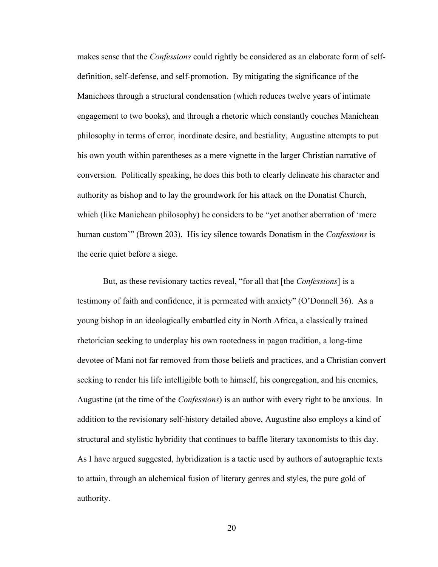makes sense that the *Confessions* could rightly be considered as an elaborate form of selfdefinition, self-defense, and self-promotion. By mitigating the significance of the Manichees through a structural condensation (which reduces twelve years of intimate engagement to two books), and through a rhetoric which constantly couches Manichean philosophy in terms of error, inordinate desire, and bestiality, Augustine attempts to put his own youth within parentheses as a mere vignette in the larger Christian narrative of conversion. Politically speaking, he does this both to clearly delineate his character and authority as bishop and to lay the groundwork for his attack on the Donatist Church, which (like Manichean philosophy) he considers to be "yet another aberration of 'mere human custom'" (Brown 203). His icy silence towards Donatism in the *Confessions* is the eerie quiet before a siege.

But, as these revisionary tactics reveal, "for all that [the *Confessions*] is a testimony of faith and confidence, it is permeated with anxiety" (O'Donnell 36). As a young bishop in an ideologically embattled city in North Africa, a classically trained rhetorician seeking to underplay his own rootedness in pagan tradition, a long-time devotee of Mani not far removed from those beliefs and practices, and a Christian convert seeking to render his life intelligible both to himself, his congregation, and his enemies, Augustine (at the time of the *Confessions*) is an author with every right to be anxious. In addition to the revisionary self-history detailed above, Augustine also employs a kind of structural and stylistic hybridity that continues to baffle literary taxonomists to this day. As I have argued suggested, hybridization is a tactic used by authors of autographic texts to attain, through an alchemical fusion of literary genres and styles, the pure gold of authority.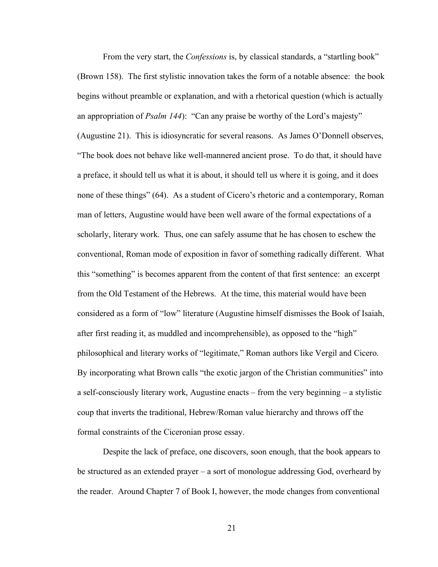From the very start, the *Confessions* is, by classical standards, a "startling book" (Brown 158). The first stylistic innovation takes the form of a notable absence: the book begins without preamble or explanation, and with a rhetorical question (which is actually an appropriation of *Psalm 144*): "Can any praise be worthy of the Lord's majesty" (Augustine 21). This is idiosyncratic for several reasons. As James O'Donnell observes, "The book does not behave like well-mannered ancient prose. To do that, it should have a preface, it should tell us what it is about, it should tell us where it is going, and it does none of these things" (64). As a student of Cicero's rhetoric and a contemporary, Roman man of letters, Augustine would have been well aware of the formal expectations of a scholarly, literary work. Thus, one can safely assume that he has chosen to eschew the conventional, Roman mode of exposition in favor of something radically different. What this "something" is becomes apparent from the content of that first sentence: an excerpt from the Old Testament of the Hebrews. At the time, this material would have been considered as a form of "low" literature (Augustine himself dismisses the Book of Isaiah, after first reading it, as muddled and incomprehensible), as opposed to the "high" philosophical and literary works of "legitimate," Roman authors like Vergil and Cicero. By incorporating what Brown calls "the exotic jargon of the Christian communities" into a self-consciously literary work, Augustine enacts – from the very beginning – a stylistic coup that inverts the traditional, Hebrew/Roman value hierarchy and throws off the formal constraints of the Ciceronian prose essay.

Despite the lack of preface, one discovers, soon enough, that the book appears to be structured as an extended prayer – a sort of monologue addressing God, overheard by the reader. Around Chapter 7 of Book I, however, the mode changes from conventional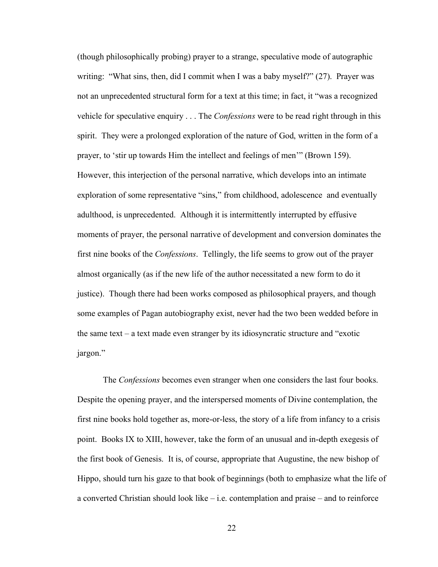(though philosophically probing) prayer to a strange, speculative mode of autographic writing: "What sins, then, did I commit when I was a baby myself?" (27). Prayer was not an unprecedented structural form for a text at this time; in fact, it "was a recognized vehicle for speculative enquiry . . . The *Confessions* were to be read right through in this spirit. They were a prolonged exploration of the nature of God, written in the form of a prayer, to 'stir up towards Him the intellect and feelings of men'" (Brown 159). However, this interjection of the personal narrative, which develops into an intimate exploration of some representative "sins," from childhood, adolescence and eventually adulthood, is unprecedented. Although it is intermittently interrupted by effusive moments of prayer, the personal narrative of development and conversion dominates the first nine books of the *Confessions*. Tellingly, the life seems to grow out of the prayer almost organically (as if the new life of the author necessitated a new form to do it justice). Though there had been works composed as philosophical prayers, and though some examples of Pagan autobiography exist, never had the two been wedded before in the same text – a text made even stranger by its idiosyncratic structure and "exotic jargon."

The *Confessions* becomes even stranger when one considers the last four books. Despite the opening prayer, and the interspersed moments of Divine contemplation, the first nine books hold together as, more-or-less, the story of a life from infancy to a crisis point. Books IX to XIII, however, take the form of an unusual and in-depth exegesis of the first book of Genesis. It is, of course, appropriate that Augustine, the new bishop of Hippo, should turn his gaze to that book of beginnings (both to emphasize what the life of a converted Christian should look like – i.e. contemplation and praise – and to reinforce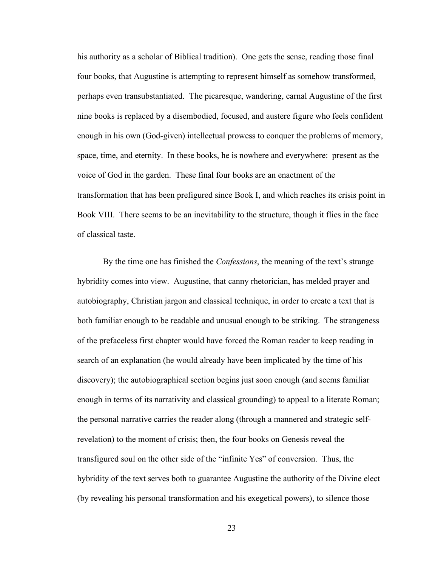his authority as a scholar of Biblical tradition). One gets the sense, reading those final four books, that Augustine is attempting to represent himself as somehow transformed, perhaps even transubstantiated. The picaresque, wandering, carnal Augustine of the first nine books is replaced by a disembodied, focused, and austere figure who feels confident enough in his own (God-given) intellectual prowess to conquer the problems of memory, space, time, and eternity. In these books, he is nowhere and everywhere: present as the voice of God in the garden. These final four books are an enactment of the transformation that has been prefigured since Book I, and which reaches its crisis point in Book VIII. There seems to be an inevitability to the structure, though it flies in the face of classical taste.

By the time one has finished the *Confessions*, the meaning of the text's strange hybridity comes into view. Augustine, that canny rhetorician, has melded prayer and autobiography, Christian jargon and classical technique, in order to create a text that is both familiar enough to be readable and unusual enough to be striking. The strangeness of the prefaceless first chapter would have forced the Roman reader to keep reading in search of an explanation (he would already have been implicated by the time of his discovery); the autobiographical section begins just soon enough (and seems familiar enough in terms of its narrativity and classical grounding) to appeal to a literate Roman; the personal narrative carries the reader along (through a mannered and strategic selfrevelation) to the moment of crisis; then, the four books on Genesis reveal the transfigured soul on the other side of the "infinite Yes" of conversion. Thus, the hybridity of the text serves both to guarantee Augustine the authority of the Divine elect (by revealing his personal transformation and his exegetical powers), to silence those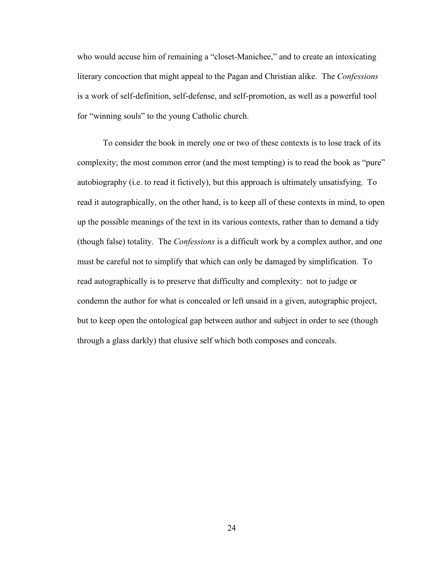who would accuse him of remaining a "closet-Manichee," and to create an intoxicating literary concoction that might appeal to the Pagan and Christian alike. The *Confessions* is a work of self-definition, self-defense, and self-promotion, as well as a powerful tool for "winning souls" to the young Catholic church.

To consider the book in merely one or two of these contexts is to lose track of its complexity; the most common error (and the most tempting) is to read the book as "pure" autobiography (i.e. to read it fictively), but this approach is ultimately unsatisfying. To read it autographically, on the other hand, is to keep all of these contexts in mind, to open up the possible meanings of the text in its various contexts, rather than to demand a tidy (though false) totality. The *Confessions* is a difficult work by a complex author, and one must be careful not to simplify that which can only be damaged by simplification. To read autographically is to preserve that difficulty and complexity: not to judge or condemn the author for what is concealed or left unsaid in a given, autographic project, but to keep open the ontological gap between author and subject in order to see (though through a glass darkly) that elusive self which both composes and conceals.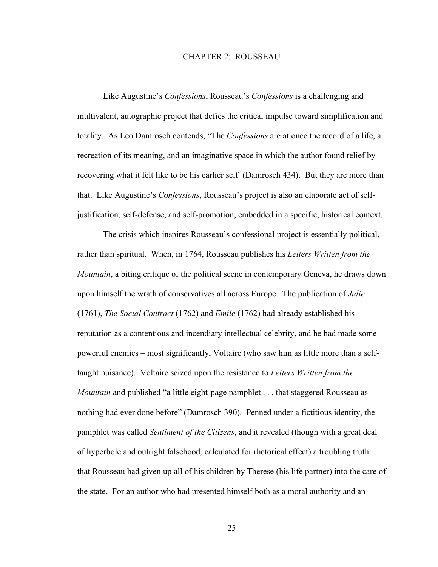## CHAPTER 2: ROUSSEAU

Like Augustine's *Confessions*, Rousseau's *Confessions* is a challenging and multivalent, autographic project that defies the critical impulse toward simplification and totality. As Leo Damrosch contends, "The *Confessions* are at once the record of a life, a recreation of its meaning, and an imaginative space in which the author found relief by recovering what it felt like to be his earlier self (Damrosch 434). But they are more than that. Like Augustine's *Confessions*, Rousseau's project is also an elaborate act of selfjustification, self-defense, and self-promotion, embedded in a specific, historical context.

The crisis which inspires Rousseau's confessional project is essentially political, rather than spiritual. When, in 1764, Rousseau publishes his *Letters Written from the Mountain*, a biting critique of the political scene in contemporary Geneva, he draws down upon himself the wrath of conservatives all across Europe. The publication of *Julie* (1761), *The Social Contract* (1762) and *Emile* (1762) had already established his reputation as a contentious and incendiary intellectual celebrity, and he had made some powerful enemies – most significantly, Voltaire (who saw him as little more than a selftaught nuisance). Voltaire seized upon the resistance to *Letters Written from the Mountain* and published "a little eight-page pamphlet . . . that staggered Rousseau as nothing had ever done before" (Damrosch 390). Penned under a fictitious identity, the pamphlet was called *Sentiment of the Citizens*, and it revealed (though with a great deal of hyperbole and outright falsehood, calculated for rhetorical effect) a troubling truth: that Rousseau had given up all of his children by Therese (his life partner) into the care of the state. For an author who had presented himself both as a moral authority and an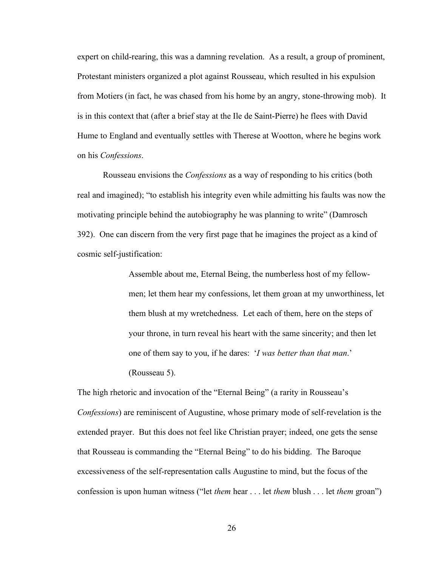expert on child-rearing, this was a damning revelation. As a result, a group of prominent, Protestant ministers organized a plot against Rousseau, which resulted in his expulsion from Motiers (in fact, he was chased from his home by an angry, stone-throwing mob). It is in this context that (after a brief stay at the Ile de Saint-Pierre) he flees with David Hume to England and eventually settles with Therese at Wootton, where he begins work on his *Confessions*.

Rousseau envisions the *Confessions* as a way of responding to his critics (both real and imagined); "to establish his integrity even while admitting his faults was now the motivating principle behind the autobiography he was planning to write" (Damrosch 392). One can discern from the very first page that he imagines the project as a kind of cosmic self-justification:

> Assemble about me, Eternal Being, the numberless host of my fellowmen; let them hear my confessions, let them groan at my unworthiness, let them blush at my wretchedness. Let each of them, here on the steps of your throne, in turn reveal his heart with the same sincerity; and then let one of them say to you, if he dares: '*I was better than that man*.' (Rousseau 5).

The high rhetoric and invocation of the "Eternal Being" (a rarity in Rousseau's *Confessions*) are reminiscent of Augustine, whose primary mode of self-revelation is the extended prayer. But this does not feel like Christian prayer; indeed, one gets the sense that Rousseau is commanding the "Eternal Being" to do his bidding. The Baroque excessiveness of the self-representation calls Augustine to mind, but the focus of the confession is upon human witness ("let *them* hear . . . let *them* blush . . . let *them* groan")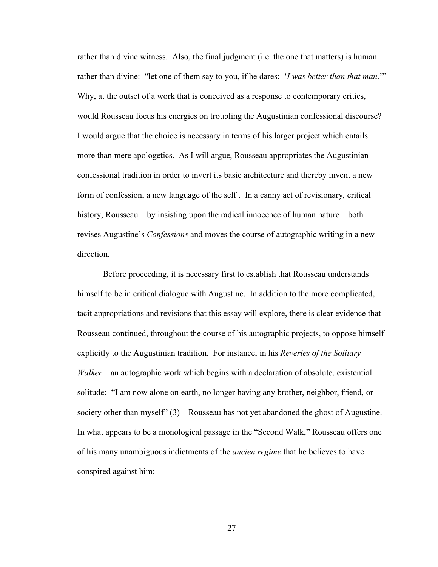rather than divine witness. Also, the final judgment (i.e. the one that matters) is human rather than divine: "let one of them say to you, if he dares: '*I was better than that man*.'" Why, at the outset of a work that is conceived as a response to contemporary critics, would Rousseau focus his energies on troubling the Augustinian confessional discourse? I would argue that the choice is necessary in terms of his larger project which entails more than mere apologetics. As I will argue, Rousseau appropriates the Augustinian confessional tradition in order to invert its basic architecture and thereby invent a new form of confession, a new language of the self . In a canny act of revisionary, critical history, Rousseau – by insisting upon the radical innocence of human nature – both revises Augustine's *Confessions* and moves the course of autographic writing in a new direction.

Before proceeding, it is necessary first to establish that Rousseau understands himself to be in critical dialogue with Augustine. In addition to the more complicated, tacit appropriations and revisions that this essay will explore, there is clear evidence that Rousseau continued, throughout the course of his autographic projects, to oppose himself explicitly to the Augustinian tradition. For instance, in his *Reveries of the Solitary Walker* – an autographic work which begins with a declaration of absolute, existential solitude: "I am now alone on earth, no longer having any brother, neighbor, friend, or society other than myself"  $(3)$  – Rousseau has not yet abandoned the ghost of Augustine. In what appears to be a monological passage in the "Second Walk," Rousseau offers one of his many unambiguous indictments of the *ancien regime* that he believes to have conspired against him: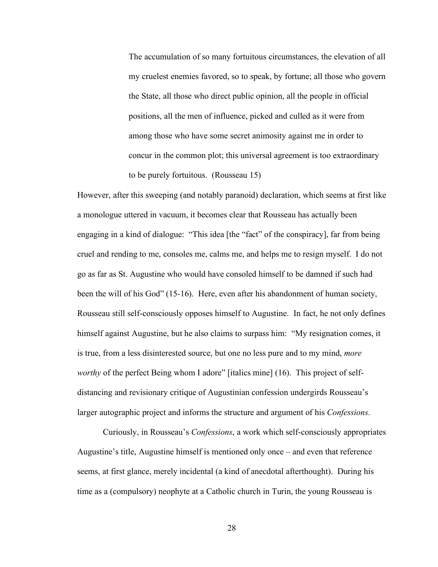The accumulation of so many fortuitous circumstances, the elevation of all my cruelest enemies favored, so to speak, by fortune; all those who govern the State, all those who direct public opinion, all the people in official positions, all the men of influence, picked and culled as it were from among those who have some secret animosity against me in order to concur in the common plot; this universal agreement is too extraordinary to be purely fortuitous. (Rousseau 15)

However, after this sweeping (and notably paranoid) declaration, which seems at first like a monologue uttered in vacuum, it becomes clear that Rousseau has actually been engaging in a kind of dialogue: "This idea [the "fact" of the conspiracy], far from being cruel and rending to me, consoles me, calms me, and helps me to resign myself. I do not go as far as St. Augustine who would have consoled himself to be damned if such had been the will of his God" (15-16). Here, even after his abandonment of human society, Rousseau still self-consciously opposes himself to Augustine. In fact, he not only defines himself against Augustine, but he also claims to surpass him: "My resignation comes, it is true, from a less disinterested source, but one no less pure and to my mind, *more worthy* of the perfect Being whom I adore" [italics mine] (16). This project of selfdistancing and revisionary critique of Augustinian confession undergirds Rousseau's larger autographic project and informs the structure and argument of his *Confessions*.

Curiously, in Rousseau's *Confessions*, a work which self-consciously appropriates Augustine's title, Augustine himself is mentioned only once – and even that reference seems, at first glance, merely incidental (a kind of anecdotal afterthought). During his time as a (compulsory) neophyte at a Catholic church in Turin, the young Rousseau is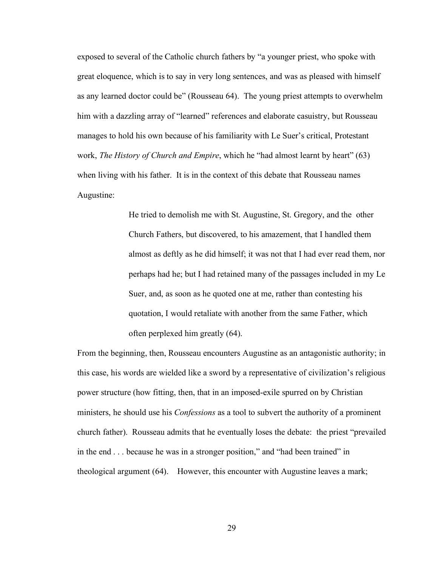exposed to several of the Catholic church fathers by "a younger priest, who spoke with great eloquence, which is to say in very long sentences, and was as pleased with himself as any learned doctor could be" (Rousseau 64). The young priest attempts to overwhelm him with a dazzling array of "learned" references and elaborate casuistry, but Rousseau manages to hold his own because of his familiarity with Le Suer's critical, Protestant work, *The History of Church and Empire*, which he "had almost learnt by heart" (63) when living with his father. It is in the context of this debate that Rousseau names Augustine:

> He tried to demolish me with St. Augustine, St. Gregory, and the other Church Fathers, but discovered, to his amazement, that I handled them almost as deftly as he did himself; it was not that I had ever read them, nor perhaps had he; but I had retained many of the passages included in my Le Suer, and, as soon as he quoted one at me, rather than contesting his quotation, I would retaliate with another from the same Father, which often perplexed him greatly (64).

From the beginning, then, Rousseau encounters Augustine as an antagonistic authority; in this case, his words are wielded like a sword by a representative of civilization's religious power structure (how fitting, then, that in an imposed-exile spurred on by Christian ministers, he should use his *Confessions* as a tool to subvert the authority of a prominent church father). Rousseau admits that he eventually loses the debate: the priest "prevailed in the end . . . because he was in a stronger position," and "had been trained" in theological argument (64). However, this encounter with Augustine leaves a mark;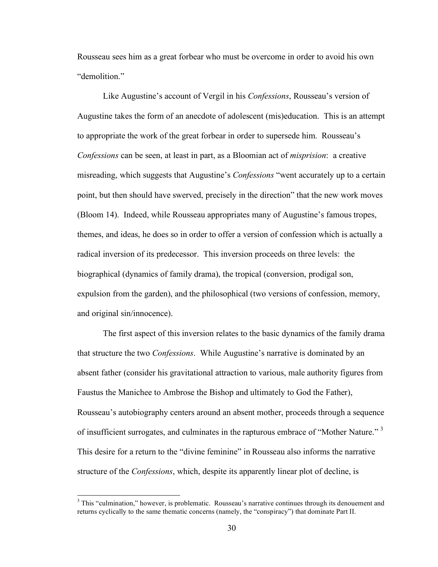Rousseau sees him as a great forbear who must be overcome in order to avoid his own "demolition."

Like Augustine's account of Vergil in his *Confessions*, Rousseau's version of Augustine takes the form of an anecdote of adolescent (mis)education. This is an attempt to appropriate the work of the great forbear in order to supersede him. Rousseau's *Confessions* can be seen, at least in part, as a Bloomian act of *misprision*: a creative misreading, which suggests that Augustine's *Confessions* "went accurately up to a certain point, but then should have swerved, precisely in the direction" that the new work moves (Bloom 14). Indeed, while Rousseau appropriates many of Augustine's famous tropes, themes, and ideas, he does so in order to offer a version of confession which is actually a radical inversion of its predecessor. This inversion proceeds on three levels: the biographical (dynamics of family drama), the tropical (conversion, prodigal son, expulsion from the garden), and the philosophical (two versions of confession, memory, and original sin/innocence).

The first aspect of this inversion relates to the basic dynamics of the family drama that structure the two *Confessions*. While Augustine's narrative is dominated by an absent father (consider his gravitational attraction to various, male authority figures from Faustus the Manichee to Ambrose the Bishop and ultimately to God the Father), Rousseau's autobiography centers around an absent mother, proceeds through a sequence of insufficient surrogates, and culminates in the rapturous embrace of "Mother Nature."<sup>3</sup> This desire for a return to the "divine feminine" in Rousseau also informs the narrative structure of the *Confessions*, which, despite its apparently linear plot of decline, is

<sup>&</sup>lt;sup>3</sup> This "culmination," however, is problematic. Rousseau's narrative continues through its denouement and returns cyclically to the same thematic concerns (namely, the "conspiracy") that dominate Part II.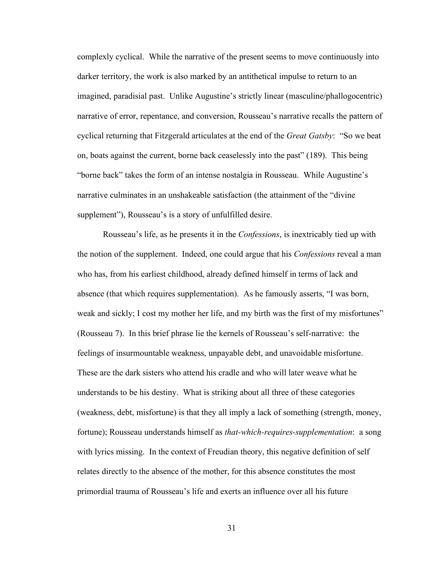complexly cyclical. While the narrative of the present seems to move continuously into darker territory, the work is also marked by an antithetical impulse to return to an imagined, paradisial past. Unlike Augustine's strictly linear (masculine/phallogocentric) narrative of error, repentance, and conversion, Rousseau's narrative recalls the pattern of cyclical returning that Fitzgerald articulates at the end of the *Great Gatsby*: "So we beat on, boats against the current, borne back ceaselessly into the past" (189). This being "borne back" takes the form of an intense nostalgia in Rousseau. While Augustine's narrative culminates in an unshakeable satisfaction (the attainment of the "divine supplement"), Rousseau's is a story of unfulfilled desire.

Rousseau's life, as he presents it in the *Confessions*, is inextricably tied up with the notion of the supplement. Indeed, one could argue that his *Confessions* reveal a man who has, from his earliest childhood, already defined himself in terms of lack and absence (that which requires supplementation). As he famously asserts, "I was born, weak and sickly; I cost my mother her life, and my birth was the first of my misfortunes" (Rousseau 7). In this brief phrase lie the kernels of Rousseau's self-narrative: the feelings of insurmountable weakness, unpayable debt, and unavoidable misfortune. These are the dark sisters who attend his cradle and who will later weave what he understands to be his destiny. What is striking about all three of these categories (weakness, debt, misfortune) is that they all imply a lack of something (strength, money, fortune); Rousseau understands himself as *that-which-requires-supplementation*: a song with lyrics missing. In the context of Freudian theory, this negative definition of self relates directly to the absence of the mother, for this absence constitutes the most primordial trauma of Rousseau's life and exerts an influence over all his future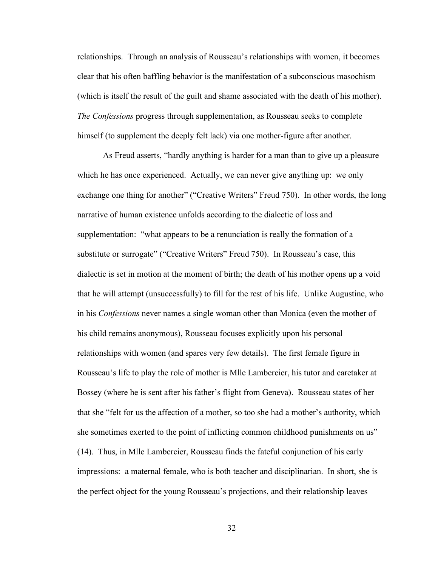relationships. Through an analysis of Rousseau's relationships with women, it becomes clear that his often baffling behavior is the manifestation of a subconscious masochism (which is itself the result of the guilt and shame associated with the death of his mother). *The Confessions* progress through supplementation, as Rousseau seeks to complete himself (to supplement the deeply felt lack) via one mother-figure after another.

As Freud asserts, "hardly anything is harder for a man than to give up a pleasure which he has once experienced. Actually, we can never give anything up: we only exchange one thing for another" ("Creative Writers" Freud 750). In other words, the long narrative of human existence unfolds according to the dialectic of loss and supplementation: "what appears to be a renunciation is really the formation of a substitute or surrogate" ("Creative Writers" Freud 750). In Rousseau's case, this dialectic is set in motion at the moment of birth; the death of his mother opens up a void that he will attempt (unsuccessfully) to fill for the rest of his life. Unlike Augustine, who in his *Confessions* never names a single woman other than Monica (even the mother of his child remains anonymous), Rousseau focuses explicitly upon his personal relationships with women (and spares very few details). The first female figure in Rousseau's life to play the role of mother is Mlle Lambercier, his tutor and caretaker at Bossey (where he is sent after his father's flight from Geneva). Rousseau states of her that she "felt for us the affection of a mother, so too she had a mother's authority, which she sometimes exerted to the point of inflicting common childhood punishments on us" (14). Thus, in Mlle Lambercier, Rousseau finds the fateful conjunction of his early impressions: a maternal female, who is both teacher and disciplinarian. In short, she is the perfect object for the young Rousseau's projections, and their relationship leaves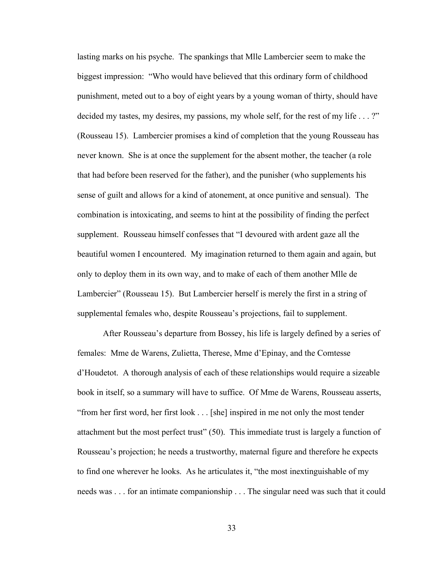lasting marks on his psyche. The spankings that Mlle Lambercier seem to make the biggest impression: "Who would have believed that this ordinary form of childhood punishment, meted out to a boy of eight years by a young woman of thirty, should have decided my tastes, my desires, my passions, my whole self, for the rest of my life . . . ?" (Rousseau 15). Lambercier promises a kind of completion that the young Rousseau has never known. She is at once the supplement for the absent mother, the teacher (a role that had before been reserved for the father), and the punisher (who supplements his sense of guilt and allows for a kind of atonement, at once punitive and sensual). The combination is intoxicating, and seems to hint at the possibility of finding the perfect supplement. Rousseau himself confesses that "I devoured with ardent gaze all the beautiful women I encountered. My imagination returned to them again and again, but only to deploy them in its own way, and to make of each of them another Mlle de Lambercier" (Rousseau 15). But Lambercier herself is merely the first in a string of supplemental females who, despite Rousseau's projections, fail to supplement.

After Rousseau's departure from Bossey, his life is largely defined by a series of females: Mme de Warens, Zulietta, Therese, Mme d'Epinay, and the Comtesse d'Houdetot. A thorough analysis of each of these relationships would require a sizeable book in itself, so a summary will have to suffice. Of Mme de Warens, Rousseau asserts, "from her first word, her first look . . . [she] inspired in me not only the most tender attachment but the most perfect trust" (50). This immediate trust is largely a function of Rousseau's projection; he needs a trustworthy, maternal figure and therefore he expects to find one wherever he looks. As he articulates it, "the most inextinguishable of my needs was . . . for an intimate companionship . . . The singular need was such that it could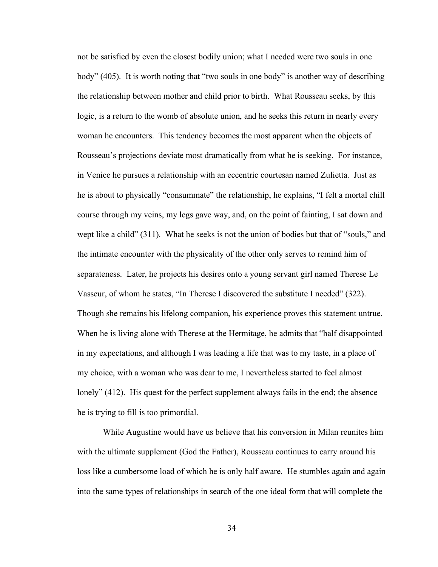not be satisfied by even the closest bodily union; what I needed were two souls in one body" (405). It is worth noting that "two souls in one body" is another way of describing the relationship between mother and child prior to birth. What Rousseau seeks, by this logic, is a return to the womb of absolute union, and he seeks this return in nearly every woman he encounters. This tendency becomes the most apparent when the objects of Rousseau's projections deviate most dramatically from what he is seeking. For instance, in Venice he pursues a relationship with an eccentric courtesan named Zulietta. Just as he is about to physically "consummate" the relationship, he explains, "I felt a mortal chill course through my veins, my legs gave way, and, on the point of fainting, I sat down and wept like a child" (311). What he seeks is not the union of bodies but that of "souls," and the intimate encounter with the physicality of the other only serves to remind him of separateness. Later, he projects his desires onto a young servant girl named Therese Le Vasseur, of whom he states, "In Therese I discovered the substitute I needed" (322). Though she remains his lifelong companion, his experience proves this statement untrue. When he is living alone with Therese at the Hermitage, he admits that "half disappointed in my expectations, and although I was leading a life that was to my taste, in a place of my choice, with a woman who was dear to me, I nevertheless started to feel almost lonely" (412). His quest for the perfect supplement always fails in the end; the absence he is trying to fill is too primordial.

While Augustine would have us believe that his conversion in Milan reunites him with the ultimate supplement (God the Father), Rousseau continues to carry around his loss like a cumbersome load of which he is only half aware. He stumbles again and again into the same types of relationships in search of the one ideal form that will complete the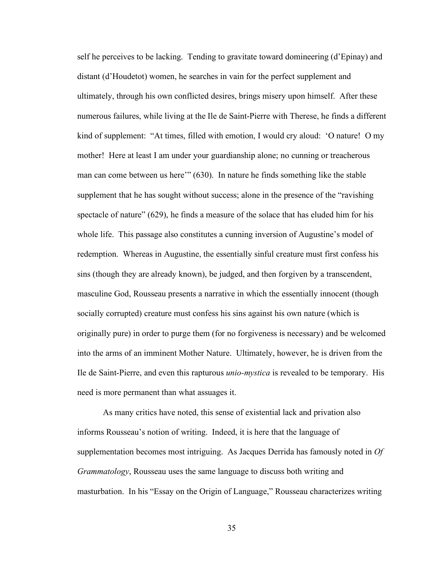self he perceives to be lacking. Tending to gravitate toward domineering (d'Epinay) and distant (d'Houdetot) women, he searches in vain for the perfect supplement and ultimately, through his own conflicted desires, brings misery upon himself. After these numerous failures, while living at the Ile de Saint-Pierre with Therese, he finds a different kind of supplement: "At times, filled with emotion, I would cry aloud: 'O nature! O my mother! Here at least I am under your guardianship alone; no cunning or treacherous man can come between us here'" (630). In nature he finds something like the stable supplement that he has sought without success; alone in the presence of the "ravishing spectacle of nature" (629), he finds a measure of the solace that has eluded him for his whole life. This passage also constitutes a cunning inversion of Augustine's model of redemption. Whereas in Augustine, the essentially sinful creature must first confess his sins (though they are already known), be judged, and then forgiven by a transcendent, masculine God, Rousseau presents a narrative in which the essentially innocent (though socially corrupted) creature must confess his sins against his own nature (which is originally pure) in order to purge them (for no forgiveness is necessary) and be welcomed into the arms of an imminent Mother Nature. Ultimately, however, he is driven from the Ile de Saint-Pierre, and even this rapturous *unio-mystica* is revealed to be temporary. His need is more permanent than what assuages it.

As many critics have noted, this sense of existential lack and privation also informs Rousseau's notion of writing. Indeed, it is here that the language of supplementation becomes most intriguing. As Jacques Derrida has famously noted in *Of Grammatology*, Rousseau uses the same language to discuss both writing and masturbation. In his "Essay on the Origin of Language," Rousseau characterizes writing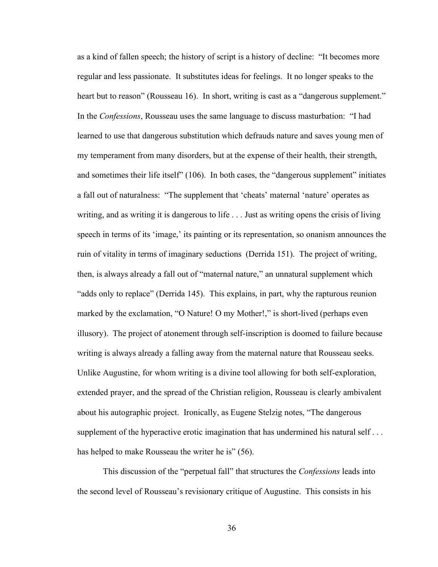as a kind of fallen speech; the history of script is a history of decline: "It becomes more regular and less passionate. It substitutes ideas for feelings. It no longer speaks to the heart but to reason" (Rousseau 16). In short, writing is cast as a "dangerous supplement." In the *Confessions*, Rousseau uses the same language to discuss masturbation: "I had learned to use that dangerous substitution which defrauds nature and saves young men of my temperament from many disorders, but at the expense of their health, their strength, and sometimes their life itself" (106). In both cases, the "dangerous supplement" initiates a fall out of naturalness: "The supplement that 'cheats' maternal 'nature' operates as writing, and as writing it is dangerous to life . . . Just as writing opens the crisis of living speech in terms of its 'image,' its painting or its representation, so onanism announces the ruin of vitality in terms of imaginary seductions (Derrida 151). The project of writing, then, is always already a fall out of "maternal nature," an unnatural supplement which "adds only to replace" (Derrida 145). This explains, in part, why the rapturous reunion marked by the exclamation, "O Nature! O my Mother!," is short-lived (perhaps even illusory). The project of atonement through self-inscription is doomed to failure because writing is always already a falling away from the maternal nature that Rousseau seeks. Unlike Augustine, for whom writing is a divine tool allowing for both self-exploration, extended prayer, and the spread of the Christian religion, Rousseau is clearly ambivalent about his autographic project. Ironically, as Eugene Stelzig notes, "The dangerous supplement of the hyperactive erotic imagination that has undermined his natural self... has helped to make Rousseau the writer he is" (56).

This discussion of the "perpetual fall" that structures the *Confessions* leads into the second level of Rousseau's revisionary critique of Augustine. This consists in his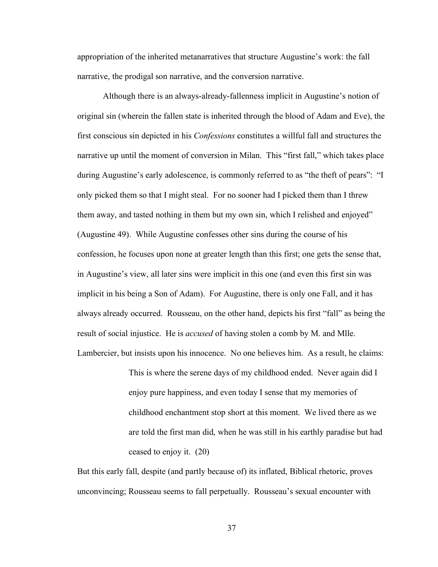appropriation of the inherited metanarratives that structure Augustine's work: the fall narrative, the prodigal son narrative, and the conversion narrative.

Although there is an always-already-fallenness implicit in Augustine's notion of original sin (wherein the fallen state is inherited through the blood of Adam and Eve), the first conscious sin depicted in his *Confessions* constitutes a willful fall and structures the narrative up until the moment of conversion in Milan. This "first fall," which takes place during Augustine's early adolescence, is commonly referred to as "the theft of pears": "I only picked them so that I might steal. For no sooner had I picked them than I threw them away, and tasted nothing in them but my own sin, which I relished and enjoyed" (Augustine 49). While Augustine confesses other sins during the course of his confession, he focuses upon none at greater length than this first; one gets the sense that, in Augustine's view, all later sins were implicit in this one (and even this first sin was implicit in his being a Son of Adam). For Augustine, there is only one Fall, and it has always already occurred. Rousseau, on the other hand, depicts his first "fall" as being the result of social injustice. He is *accused* of having stolen a comb by M. and Mlle. Lambercier, but insists upon his innocence. No one believes him. As a result, he claims:

> This is where the serene days of my childhood ended. Never again did I enjoy pure happiness, and even today I sense that my memories of childhood enchantment stop short at this moment. We lived there as we are told the first man did, when he was still in his earthly paradise but had ceased to enjoy it. (20)

But this early fall, despite (and partly because of) its inflated, Biblical rhetoric, proves unconvincing; Rousseau seems to fall perpetually. Rousseau's sexual encounter with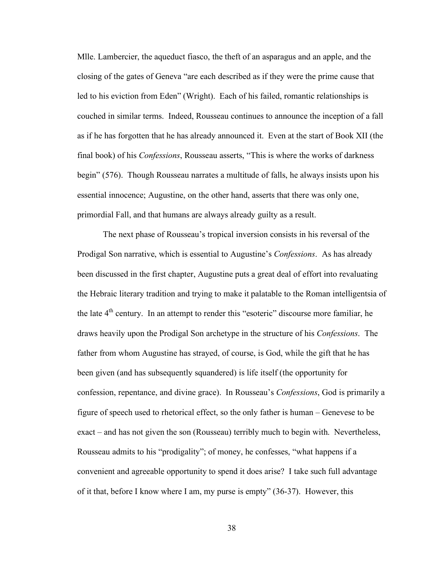Mlle. Lambercier, the aqueduct fiasco, the theft of an asparagus and an apple, and the closing of the gates of Geneva "are each described as if they were the prime cause that led to his eviction from Eden" (Wright). Each of his failed, romantic relationships is couched in similar terms. Indeed, Rousseau continues to announce the inception of a fall as if he has forgotten that he has already announced it. Even at the start of Book XII (the final book) of his *Confessions*, Rousseau asserts, "This is where the works of darkness begin" (576). Though Rousseau narrates a multitude of falls, he always insists upon his essential innocence; Augustine, on the other hand, asserts that there was only one, primordial Fall, and that humans are always already guilty as a result.

The next phase of Rousseau's tropical inversion consists in his reversal of the Prodigal Son narrative, which is essential to Augustine's *Confessions*. As has already been discussed in the first chapter, Augustine puts a great deal of effort into revaluating the Hebraic literary tradition and trying to make it palatable to the Roman intelligentsia of the late  $4<sup>th</sup>$  century. In an attempt to render this "esoteric" discourse more familiar, he draws heavily upon the Prodigal Son archetype in the structure of his *Confessions*. The father from whom Augustine has strayed, of course, is God, while the gift that he has been given (and has subsequently squandered) is life itself (the opportunity for confession, repentance, and divine grace). In Rousseau's *Confessions*, God is primarily a figure of speech used to rhetorical effect, so the only father is human – Genevese to be exact – and has not given the son (Rousseau) terribly much to begin with. Nevertheless, Rousseau admits to his "prodigality"; of money, he confesses, "what happens if a convenient and agreeable opportunity to spend it does arise? I take such full advantage of it that, before I know where I am, my purse is empty" (36-37). However, this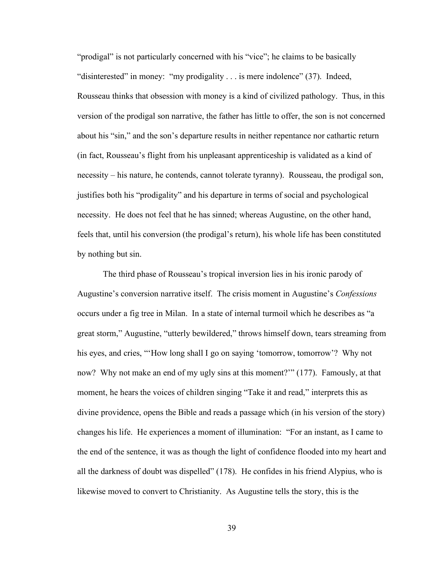"prodigal" is not particularly concerned with his "vice"; he claims to be basically "disinterested" in money: "my prodigality . . . is mere indolence" (37). Indeed, Rousseau thinks that obsession with money is a kind of civilized pathology. Thus, in this version of the prodigal son narrative, the father has little to offer, the son is not concerned about his "sin," and the son's departure results in neither repentance nor cathartic return (in fact, Rousseau's flight from his unpleasant apprenticeship is validated as a kind of necessity – his nature, he contends, cannot tolerate tyranny). Rousseau, the prodigal son, justifies both his "prodigality" and his departure in terms of social and psychological necessity. He does not feel that he has sinned; whereas Augustine, on the other hand, feels that, until his conversion (the prodigal's return), his whole life has been constituted by nothing but sin.

The third phase of Rousseau's tropical inversion lies in his ironic parody of Augustine's conversion narrative itself. The crisis moment in Augustine's *Confessions* occurs under a fig tree in Milan. In a state of internal turmoil which he describes as "a great storm," Augustine, "utterly bewildered," throws himself down, tears streaming from his eyes, and cries, "How long shall I go on saying 'tomorrow, tomorrow'? Why not now? Why not make an end of my ugly sins at this moment?" (177). Famously, at that moment, he hears the voices of children singing "Take it and read," interprets this as divine providence, opens the Bible and reads a passage which (in his version of the story) changes his life. He experiences a moment of illumination: "For an instant, as I came to the end of the sentence, it was as though the light of confidence flooded into my heart and all the darkness of doubt was dispelled" (178). He confides in his friend Alypius, who is likewise moved to convert to Christianity. As Augustine tells the story, this is the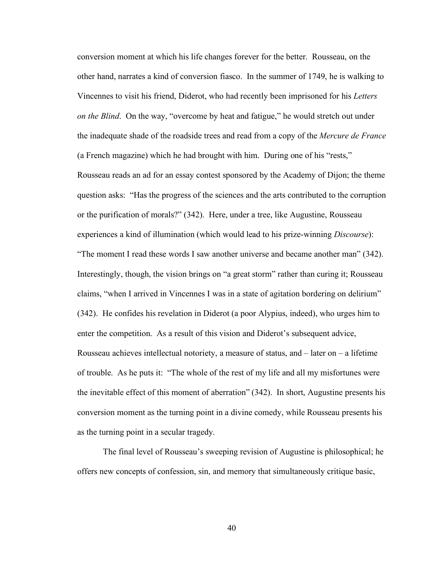conversion moment at which his life changes forever for the better. Rousseau, on the other hand, narrates a kind of conversion fiasco. In the summer of 1749, he is walking to Vincennes to visit his friend, Diderot, who had recently been imprisoned for his *Letters on the Blind*. On the way, "overcome by heat and fatigue," he would stretch out under the inadequate shade of the roadside trees and read from a copy of the *Mercure de France* (a French magazine) which he had brought with him. During one of his "rests," Rousseau reads an ad for an essay contest sponsored by the Academy of Dijon; the theme question asks: "Has the progress of the sciences and the arts contributed to the corruption or the purification of morals?" (342). Here, under a tree, like Augustine, Rousseau experiences a kind of illumination (which would lead to his prize-winning *Discourse*): "The moment I read these words I saw another universe and became another man" (342). Interestingly, though, the vision brings on "a great storm" rather than curing it; Rousseau claims, "when I arrived in Vincennes I was in a state of agitation bordering on delirium" (342). He confides his revelation in Diderot (a poor Alypius, indeed), who urges him to enter the competition. As a result of this vision and Diderot's subsequent advice, Rousseau achieves intellectual notoriety, a measure of status, and  $-$  later on  $-$  a lifetime of trouble. As he puts it: "The whole of the rest of my life and all my misfortunes were the inevitable effect of this moment of aberration" (342). In short, Augustine presents his conversion moment as the turning point in a divine comedy, while Rousseau presents his as the turning point in a secular tragedy.

The final level of Rousseau's sweeping revision of Augustine is philosophical; he offers new concepts of confession, sin, and memory that simultaneously critique basic,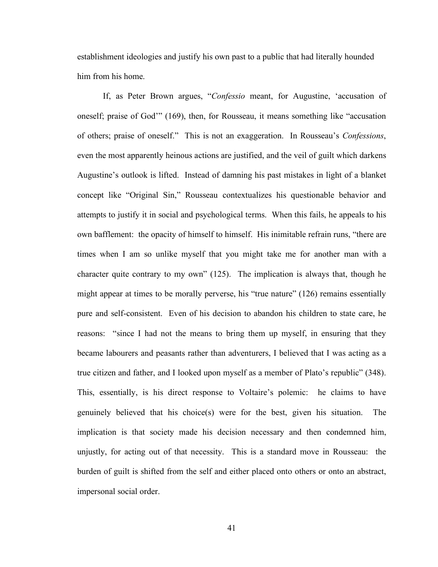establishment ideologies and justify his own past to a public that had literally hounded him from his home.

If, as Peter Brown argues, "*Confessio* meant, for Augustine, 'accusation of oneself; praise of God'" (169), then, for Rousseau, it means something like "accusation of others; praise of oneself." This is not an exaggeration. In Rousseau's *Confessions*, even the most apparently heinous actions are justified, and the veil of guilt which darkens Augustine's outlook is lifted. Instead of damning his past mistakes in light of a blanket concept like "Original Sin," Rousseau contextualizes his questionable behavior and attempts to justify it in social and psychological terms. When this fails, he appeals to his own bafflement: the opacity of himself to himself. His inimitable refrain runs, "there are times when I am so unlike myself that you might take me for another man with a character quite contrary to my own" (125). The implication is always that, though he might appear at times to be morally perverse, his "true nature" (126) remains essentially pure and self-consistent. Even of his decision to abandon his children to state care, he reasons: "since I had not the means to bring them up myself, in ensuring that they became labourers and peasants rather than adventurers, I believed that I was acting as a true citizen and father, and I looked upon myself as a member of Plato's republic" (348). This, essentially, is his direct response to Voltaire's polemic: he claims to have genuinely believed that his choice(s) were for the best, given his situation. The implication is that society made his decision necessary and then condemned him, unjustly, for acting out of that necessity. This is a standard move in Rousseau: the burden of guilt is shifted from the self and either placed onto others or onto an abstract, impersonal social order.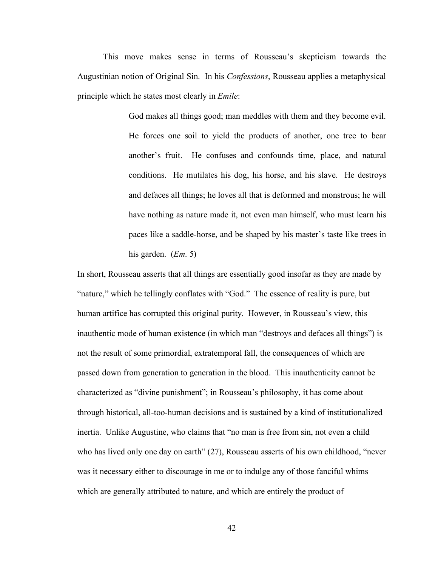This move makes sense in terms of Rousseau's skepticism towards the Augustinian notion of Original Sin. In his *Confessions*, Rousseau applies a metaphysical principle which he states most clearly in *Emile*:

> God makes all things good; man meddles with them and they become evil. He forces one soil to yield the products of another, one tree to bear another's fruit. He confuses and confounds time, place, and natural conditions. He mutilates his dog, his horse, and his slave. He destroys and defaces all things; he loves all that is deformed and monstrous; he will have nothing as nature made it, not even man himself, who must learn his paces like a saddle-horse, and be shaped by his master's taste like trees in his garden. (*Em*. 5)

In short, Rousseau asserts that all things are essentially good insofar as they are made by "nature," which he tellingly conflates with "God." The essence of reality is pure, but human artifice has corrupted this original purity. However, in Rousseau's view, this inauthentic mode of human existence (in which man "destroys and defaces all things") is not the result of some primordial, extratemporal fall, the consequences of which are passed down from generation to generation in the blood. This inauthenticity cannot be characterized as "divine punishment"; in Rousseau's philosophy, it has come about through historical, all-too-human decisions and is sustained by a kind of institutionalized inertia. Unlike Augustine, who claims that "no man is free from sin, not even a child who has lived only one day on earth" (27), Rousseau asserts of his own childhood, "never was it necessary either to discourage in me or to indulge any of those fanciful whims which are generally attributed to nature, and which are entirely the product of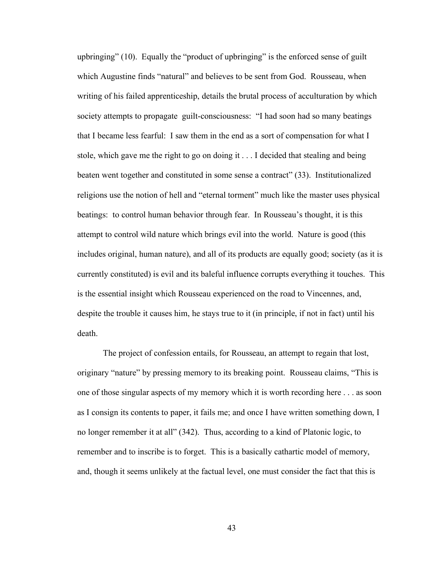upbringing" (10). Equally the "product of upbringing" is the enforced sense of guilt which Augustine finds "natural" and believes to be sent from God. Rousseau, when writing of his failed apprenticeship, details the brutal process of acculturation by which society attempts to propagate guilt-consciousness: "I had soon had so many beatings that I became less fearful: I saw them in the end as a sort of compensation for what I stole, which gave me the right to go on doing it . . . I decided that stealing and being beaten went together and constituted in some sense a contract" (33). Institutionalized religions use the notion of hell and "eternal torment" much like the master uses physical beatings: to control human behavior through fear. In Rousseau's thought, it is this attempt to control wild nature which brings evil into the world. Nature is good (this includes original, human nature), and all of its products are equally good; society (as it is currently constituted) is evil and its baleful influence corrupts everything it touches. This is the essential insight which Rousseau experienced on the road to Vincennes, and, despite the trouble it causes him, he stays true to it (in principle, if not in fact) until his death.

The project of confession entails, for Rousseau, an attempt to regain that lost, originary "nature" by pressing memory to its breaking point. Rousseau claims, "This is one of those singular aspects of my memory which it is worth recording here . . . as soon as I consign its contents to paper, it fails me; and once I have written something down, I no longer remember it at all" (342). Thus, according to a kind of Platonic logic, to remember and to inscribe is to forget. This is a basically cathartic model of memory, and, though it seems unlikely at the factual level, one must consider the fact that this is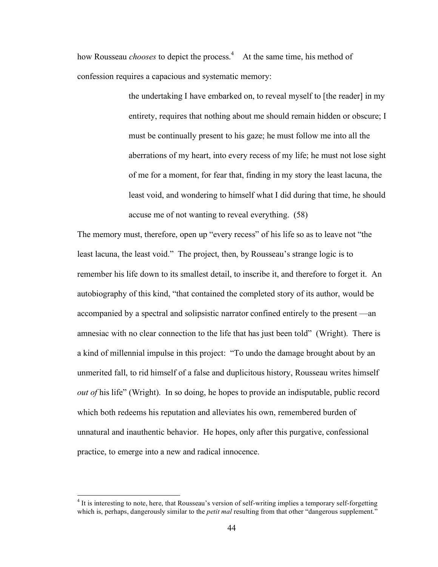how Rousseau *chooses* to depict the process.<sup>4</sup> At the same time, his method of confession requires a capacious and systematic memory:

> the undertaking I have embarked on, to reveal myself to [the reader] in my entirety, requires that nothing about me should remain hidden or obscure; I must be continually present to his gaze; he must follow me into all the aberrations of my heart, into every recess of my life; he must not lose sight of me for a moment, for fear that, finding in my story the least lacuna, the least void, and wondering to himself what I did during that time, he should accuse me of not wanting to reveal everything. (58)

The memory must, therefore, open up "every recess" of his life so as to leave not "the least lacuna, the least void." The project, then, by Rousseau's strange logic is to remember his life down to its smallest detail, to inscribe it, and therefore to forget it. An autobiography of this kind, "that contained the completed story of its author, would be accompanied by a spectral and solipsistic narrator confined entirely to the present —an amnesiac with no clear connection to the life that has just been told" (Wright). There is a kind of millennial impulse in this project: "To undo the damage brought about by an unmerited fall, to rid himself of a false and duplicitous history, Rousseau writes himself *out of* his life" (Wright). In so doing, he hopes to provide an indisputable, public record which both redeems his reputation and alleviates his own, remembered burden of unnatural and inauthentic behavior. He hopes, only after this purgative, confessional practice, to emerge into a new and radical innocence.

<sup>&</sup>lt;sup>4</sup> It is interesting to note, here, that Rousseau's version of self-writing implies a temporary self-forgetting which is, perhaps, dangerously similar to the *petit mal* resulting from that other "dangerous supplement."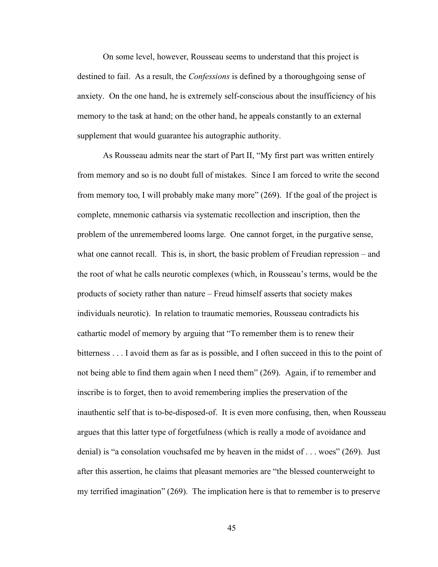On some level, however, Rousseau seems to understand that this project is destined to fail. As a result, the *Confessions* is defined by a thoroughgoing sense of anxiety. On the one hand, he is extremely self-conscious about the insufficiency of his memory to the task at hand; on the other hand, he appeals constantly to an external supplement that would guarantee his autographic authority.

As Rousseau admits near the start of Part II, "My first part was written entirely from memory and so is no doubt full of mistakes. Since I am forced to write the second from memory too, I will probably make many more" (269). If the goal of the project is complete, mnemonic catharsis via systematic recollection and inscription, then the problem of the unremembered looms large. One cannot forget, in the purgative sense, what one cannot recall. This is, in short, the basic problem of Freudian repression – and the root of what he calls neurotic complexes (which, in Rousseau's terms, would be the products of society rather than nature – Freud himself asserts that society makes individuals neurotic). In relation to traumatic memories, Rousseau contradicts his cathartic model of memory by arguing that "To remember them is to renew their bitterness . . . I avoid them as far as is possible, and I often succeed in this to the point of not being able to find them again when I need them" (269). Again, if to remember and inscribe is to forget, then to avoid remembering implies the preservation of the inauthentic self that is to-be-disposed-of. It is even more confusing, then, when Rousseau argues that this latter type of forgetfulness (which is really a mode of avoidance and denial) is "a consolation vouchsafed me by heaven in the midst of . . . woes" (269). Just after this assertion, he claims that pleasant memories are "the blessed counterweight to my terrified imagination" (269). The implication here is that to remember is to preserve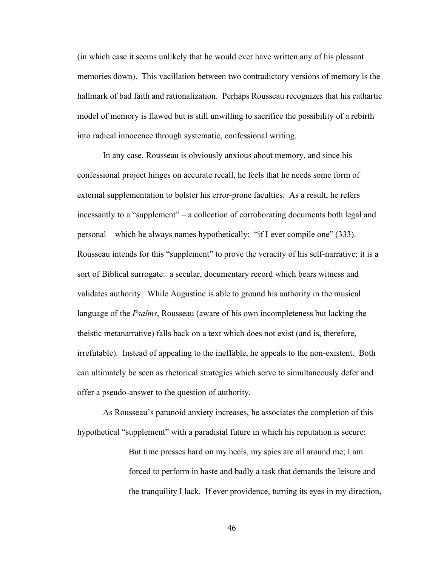(in which case it seems unlikely that he would ever have written any of his pleasant memories down). This vacillation between two contradictory versions of memory is the hallmark of bad faith and rationalization. Perhaps Rousseau recognizes that his cathartic model of memory is flawed but is still unwilling to sacrifice the possibility of a rebirth into radical innocence through systematic, confessional writing.

In any case, Rousseau is obviously anxious about memory, and since his confessional project hinges on accurate recall, he feels that he needs some form of external supplementation to bolster his error-prone faculties. As a result, he refers incessantly to a "supplement" – a collection of corroborating documents both legal and personal – which he always names hypothetically: "if I ever compile one" (333). Rousseau intends for this "supplement" to prove the veracity of his self-narrative; it is a sort of Biblical surrogate: a secular, documentary record which bears witness and validates authority. While Augustine is able to ground his authority in the musical language of the *Psalms*, Rousseau (aware of his own incompleteness but lacking the theistic metanarrative) falls back on a text which does not exist (and is, therefore, irrefutable). Instead of appealing to the ineffable, he appeals to the non-existent. Both can ultimately be seen as rhetorical strategies which serve to simultaneously defer and offer a pseudo-answer to the question of authority.

As Rousseau's paranoid anxiety increases, he associates the completion of this hypothetical "supplement" with a paradisial future in which his reputation is secure:

> But time presses hard on my heels, my spies are all around me; I am forced to perform in haste and badly a task that demands the leisure and the tranquility I lack. If ever providence, turning its eyes in my direction,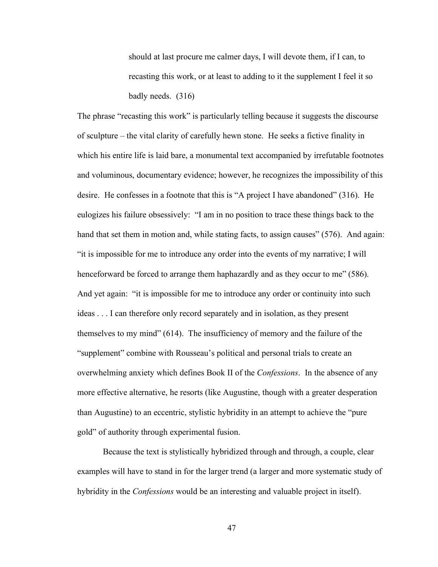should at last procure me calmer days, I will devote them, if I can, to recasting this work, or at least to adding to it the supplement I feel it so badly needs. (316)

The phrase "recasting this work" is particularly telling because it suggests the discourse of sculpture – the vital clarity of carefully hewn stone. He seeks a fictive finality in which his entire life is laid bare, a monumental text accompanied by irrefutable footnotes and voluminous, documentary evidence; however, he recognizes the impossibility of this desire. He confesses in a footnote that this is "A project I have abandoned" (316). He eulogizes his failure obsessively: "I am in no position to trace these things back to the hand that set them in motion and, while stating facts, to assign causes" (576). And again: "it is impossible for me to introduce any order into the events of my narrative; I will henceforward be forced to arrange them haphazardly and as they occur to me" (586). And yet again: "it is impossible for me to introduce any order or continuity into such ideas . . . I can therefore only record separately and in isolation, as they present themselves to my mind" (614). The insufficiency of memory and the failure of the "supplement" combine with Rousseau's political and personal trials to create an overwhelming anxiety which defines Book II of the *Confessions*. In the absence of any more effective alternative, he resorts (like Augustine, though with a greater desperation than Augustine) to an eccentric, stylistic hybridity in an attempt to achieve the "pure gold" of authority through experimental fusion.

Because the text is stylistically hybridized through and through, a couple, clear examples will have to stand in for the larger trend (a larger and more systematic study of hybridity in the *Confessions* would be an interesting and valuable project in itself).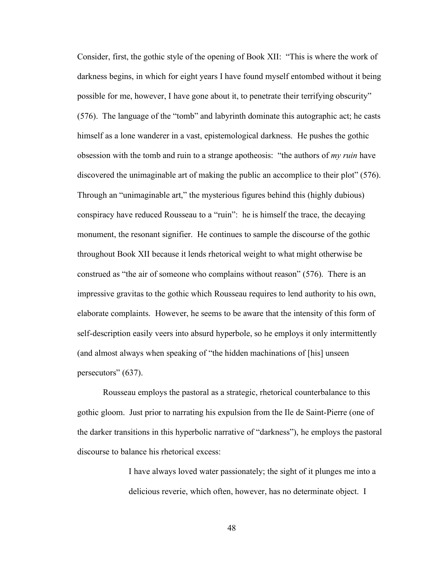Consider, first, the gothic style of the opening of Book XII: "This is where the work of darkness begins, in which for eight years I have found myself entombed without it being possible for me, however, I have gone about it, to penetrate their terrifying obscurity" (576). The language of the "tomb" and labyrinth dominate this autographic act; he casts himself as a lone wanderer in a vast, epistemological darkness. He pushes the gothic obsession with the tomb and ruin to a strange apotheosis: "the authors of *my ruin* have discovered the unimaginable art of making the public an accomplice to their plot" (576). Through an "unimaginable art," the mysterious figures behind this (highly dubious) conspiracy have reduced Rousseau to a "ruin": he is himself the trace, the decaying monument, the resonant signifier. He continues to sample the discourse of the gothic throughout Book XII because it lends rhetorical weight to what might otherwise be construed as "the air of someone who complains without reason" (576). There is an impressive gravitas to the gothic which Rousseau requires to lend authority to his own, elaborate complaints. However, he seems to be aware that the intensity of this form of self-description easily veers into absurd hyperbole, so he employs it only intermittently (and almost always when speaking of "the hidden machinations of [his] unseen persecutors" (637).

Rousseau employs the pastoral as a strategic, rhetorical counterbalance to this gothic gloom. Just prior to narrating his expulsion from the Ile de Saint-Pierre (one of the darker transitions in this hyperbolic narrative of "darkness"), he employs the pastoral discourse to balance his rhetorical excess:

> I have always loved water passionately; the sight of it plunges me into a delicious reverie, which often, however, has no determinate object. I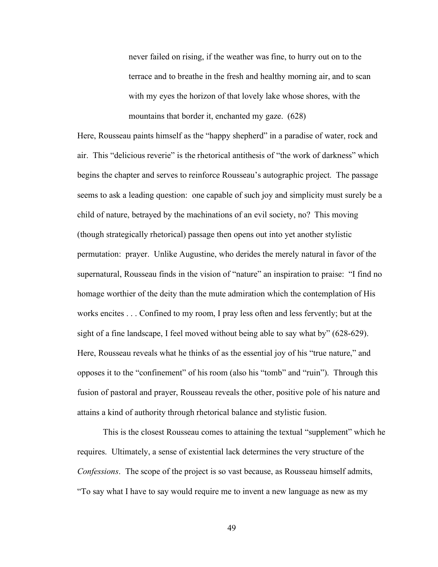never failed on rising, if the weather was fine, to hurry out on to the terrace and to breathe in the fresh and healthy morning air, and to scan with my eyes the horizon of that lovely lake whose shores, with the mountains that border it, enchanted my gaze. (628)

Here, Rousseau paints himself as the "happy shepherd" in a paradise of water, rock and air. This "delicious reverie" is the rhetorical antithesis of "the work of darkness" which begins the chapter and serves to reinforce Rousseau's autographic project. The passage seems to ask a leading question: one capable of such joy and simplicity must surely be a child of nature, betrayed by the machinations of an evil society, no? This moving (though strategically rhetorical) passage then opens out into yet another stylistic permutation: prayer. Unlike Augustine, who derides the merely natural in favor of the supernatural, Rousseau finds in the vision of "nature" an inspiration to praise: "I find no homage worthier of the deity than the mute admiration which the contemplation of His works encites . . . Confined to my room, I pray less often and less fervently; but at the sight of a fine landscape, I feel moved without being able to say what by" (628-629). Here, Rousseau reveals what he thinks of as the essential joy of his "true nature," and opposes it to the "confinement" of his room (also his "tomb" and "ruin"). Through this fusion of pastoral and prayer, Rousseau reveals the other, positive pole of his nature and attains a kind of authority through rhetorical balance and stylistic fusion.

This is the closest Rousseau comes to attaining the textual "supplement" which he requires. Ultimately, a sense of existential lack determines the very structure of the *Confessions*. The scope of the project is so vast because, as Rousseau himself admits, "To say what I have to say would require me to invent a new language as new as my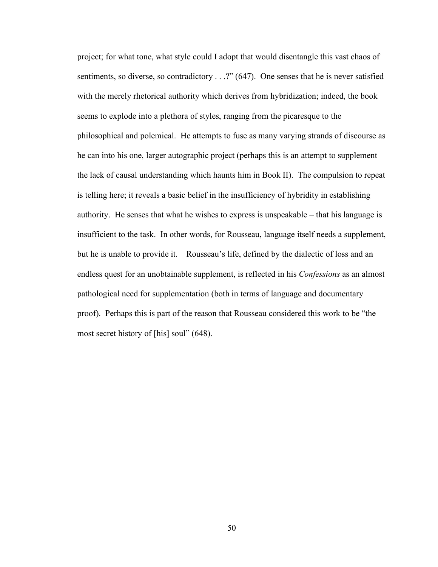project; for what tone, what style could I adopt that would disentangle this vast chaos of sentiments, so diverse, so contradictory . . .?" (647). One senses that he is never satisfied with the merely rhetorical authority which derives from hybridization; indeed, the book seems to explode into a plethora of styles, ranging from the picaresque to the philosophical and polemical. He attempts to fuse as many varying strands of discourse as he can into his one, larger autographic project (perhaps this is an attempt to supplement the lack of causal understanding which haunts him in Book II). The compulsion to repeat is telling here; it reveals a basic belief in the insufficiency of hybridity in establishing authority. He senses that what he wishes to express is unspeakable – that his language is insufficient to the task. In other words, for Rousseau, language itself needs a supplement, but he is unable to provide it. Rousseau's life, defined by the dialectic of loss and an endless quest for an unobtainable supplement, is reflected in his *Confessions* as an almost pathological need for supplementation (both in terms of language and documentary proof). Perhaps this is part of the reason that Rousseau considered this work to be "the most secret history of [his] soul" (648).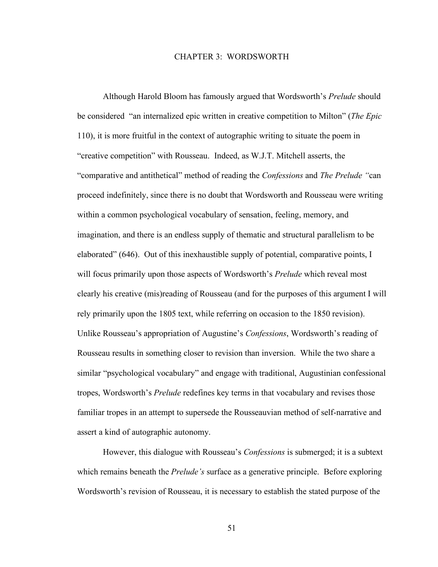## CHAPTER 3: WORDSWORTH

Although Harold Bloom has famously argued that Wordsworth's *Prelude* should be considered "an internalized epic written in creative competition to Milton" (*The Epic* 110), it is more fruitful in the context of autographic writing to situate the poem in "creative competition" with Rousseau. Indeed, as W.J.T. Mitchell asserts, the "comparative and antithetical" method of reading the *Confessions* and *The Prelude "*can proceed indefinitely, since there is no doubt that Wordsworth and Rousseau were writing within a common psychological vocabulary of sensation, feeling, memory, and imagination, and there is an endless supply of thematic and structural parallelism to be elaborated" (646). Out of this inexhaustible supply of potential, comparative points, I will focus primarily upon those aspects of Wordsworth's *Prelude* which reveal most clearly his creative (mis)reading of Rousseau (and for the purposes of this argument I will rely primarily upon the 1805 text, while referring on occasion to the 1850 revision). Unlike Rousseau's appropriation of Augustine's *Confessions*, Wordsworth's reading of Rousseau results in something closer to revision than inversion. While the two share a similar "psychological vocabulary" and engage with traditional, Augustinian confessional tropes, Wordsworth's *Prelude* redefines key terms in that vocabulary and revises those familiar tropes in an attempt to supersede the Rousseauvian method of self-narrative and assert a kind of autographic autonomy.

However, this dialogue with Rousseau's *Confessions* is submerged; it is a subtext which remains beneath the *Prelude's* surface as a generative principle. Before exploring Wordsworth's revision of Rousseau, it is necessary to establish the stated purpose of the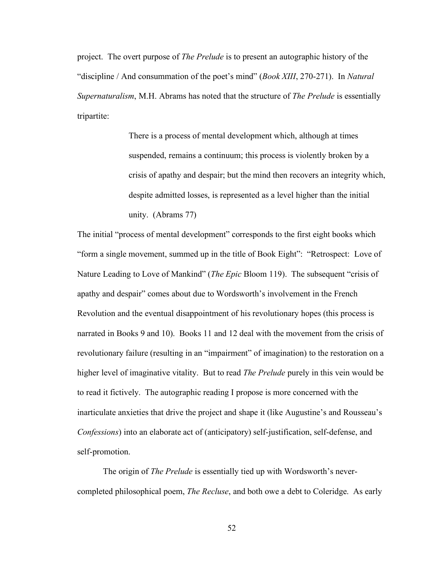project. The overt purpose of *The Prelude* is to present an autographic history of the "discipline / And consummation of the poet's mind" (*Book XIII*, 270-271). In *Natural Supernaturalism*, M.H. Abrams has noted that the structure of *The Prelude* is essentially tripartite:

> There is a process of mental development which, although at times suspended, remains a continuum; this process is violently broken by a crisis of apathy and despair; but the mind then recovers an integrity which, despite admitted losses, is represented as a level higher than the initial unity. (Abrams 77)

The initial "process of mental development" corresponds to the first eight books which "form a single movement, summed up in the title of Book Eight": "Retrospect: Love of Nature Leading to Love of Mankind" (*The Epic* Bloom 119). The subsequent "crisis of apathy and despair" comes about due to Wordsworth's involvement in the French Revolution and the eventual disappointment of his revolutionary hopes (this process is narrated in Books 9 and 10). Books 11 and 12 deal with the movement from the crisis of revolutionary failure (resulting in an "impairment" of imagination) to the restoration on a higher level of imaginative vitality. But to read *The Prelude* purely in this vein would be to read it fictively. The autographic reading I propose is more concerned with the inarticulate anxieties that drive the project and shape it (like Augustine's and Rousseau's *Confessions*) into an elaborate act of (anticipatory) self-justification, self-defense, and self-promotion.

The origin of *The Prelude* is essentially tied up with Wordsworth's nevercompleted philosophical poem, *The Recluse*, and both owe a debt to Coleridge. As early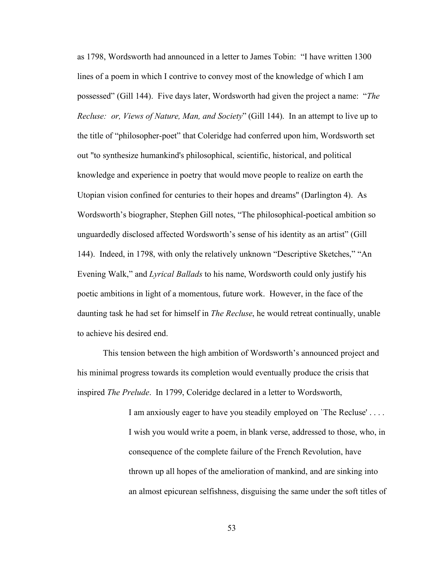as 1798, Wordsworth had announced in a letter to James Tobin: "I have written 1300 lines of a poem in which I contrive to convey most of the knowledge of which I am possessed" (Gill 144). Five days later, Wordsworth had given the project a name: "*The Recluse: or, Views of Nature, Man, and Society*" (Gill 144). In an attempt to live up to the title of "philosopher-poet" that Coleridge had conferred upon him, Wordsworth set out "to synthesize humankind's philosophical, scientific, historical, and political knowledge and experience in poetry that would move people to realize on earth the Utopian vision confined for centuries to their hopes and dreams" (Darlington 4). As Wordsworth's biographer, Stephen Gill notes, "The philosophical-poetical ambition so unguardedly disclosed affected Wordsworth's sense of his identity as an artist" (Gill 144). Indeed, in 1798, with only the relatively unknown "Descriptive Sketches," "An Evening Walk," and *Lyrical Ballads* to his name, Wordsworth could only justify his poetic ambitions in light of a momentous, future work. However, in the face of the daunting task he had set for himself in *The Recluse*, he would retreat continually, unable to achieve his desired end.

This tension between the high ambition of Wordsworth's announced project and his minimal progress towards its completion would eventually produce the crisis that inspired *The Prelude*. In 1799, Coleridge declared in a letter to Wordsworth,

> I am anxiously eager to have you steadily employed on `The Recluse' . . . . I wish you would write a poem, in blank verse, addressed to those, who, in consequence of the complete failure of the French Revolution, have thrown up all hopes of the amelioration of mankind, and are sinking into an almost epicurean selfishness, disguising the same under the soft titles of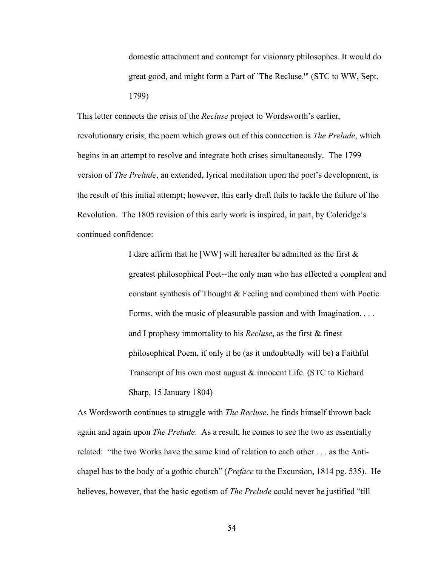domestic attachment and contempt for visionary philosophes. It would do great good, and might form a Part of `The Recluse.'" (STC to WW, Sept. 1799)

This letter connects the crisis of the *Recluse* project to Wordsworth's earlier, revolutionary crisis; the poem which grows out of this connection is *The Prelude*, which begins in an attempt to resolve and integrate both crises simultaneously. The 1799 version of *The Prelude*, an extended, lyrical meditation upon the poet's development, is the result of this initial attempt; however, this early draft fails to tackle the failure of the Revolution. The 1805 revision of this early work is inspired, in part, by Coleridge's continued confidence:

> I dare affirm that he [WW] will hereafter be admitted as the first & greatest philosophical Poet--the only man who has effected a compleat and constant synthesis of Thought & Feeling and combined them with Poetic Forms, with the music of pleasurable passion and with Imagination. . . . and I prophesy immortality to his *Recluse*, as the first & finest philosophical Poem, if only it be (as it undoubtedly will be) a Faithful Transcript of his own most august & innocent Life. (STC to Richard Sharp, 15 January 1804)

As Wordsworth continues to struggle with *The Recluse*, he finds himself thrown back again and again upon *The Prelude*. As a result, he comes to see the two as essentially related: "the two Works have the same kind of relation to each other . . . as the Antichapel has to the body of a gothic church" (*Preface* to the Excursion, 1814 pg. 535). He believes, however, that the basic egotism of *The Prelude* could never be justified "till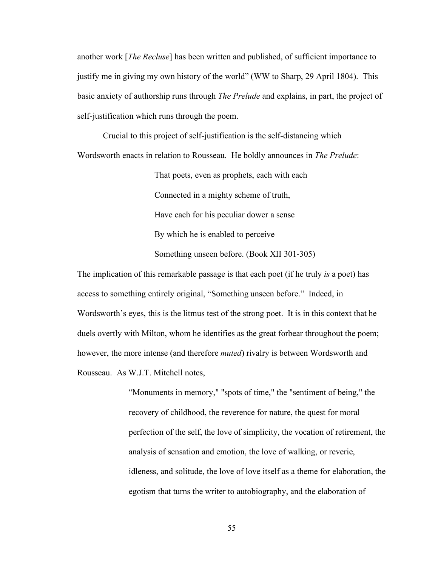another work [*The Recluse*] has been written and published, of sufficient importance to justify me in giving my own history of the world" (WW to Sharp, 29 April 1804). This basic anxiety of authorship runs through *The Prelude* and explains, in part, the project of self-justification which runs through the poem.

Crucial to this project of self-justification is the self-distancing which Wordsworth enacts in relation to Rousseau. He boldly announces in *The Prelude*:

> That poets, even as prophets, each with each Connected in a mighty scheme of truth, Have each for his peculiar dower a sense By which he is enabled to perceive Something unseen before. (Book XII 301-305)

The implication of this remarkable passage is that each poet (if he truly *is* a poet) has access to something entirely original, "Something unseen before." Indeed, in Wordsworth's eyes, this is the litmus test of the strong poet. It is in this context that he duels overtly with Milton, whom he identifies as the great forbear throughout the poem; however, the more intense (and therefore *muted*) rivalry is between Wordsworth and Rousseau. As W.J.T. Mitchell notes,

> "Monuments in memory," "spots of time," the "sentiment of being," the recovery of childhood, the reverence for nature, the quest for moral perfection of the self, the love of simplicity, the vocation of retirement, the analysis of sensation and emotion, the love of walking, or reverie, idleness, and solitude, the love of love itself as a theme for elaboration, the egotism that turns the writer to autobiography, and the elaboration of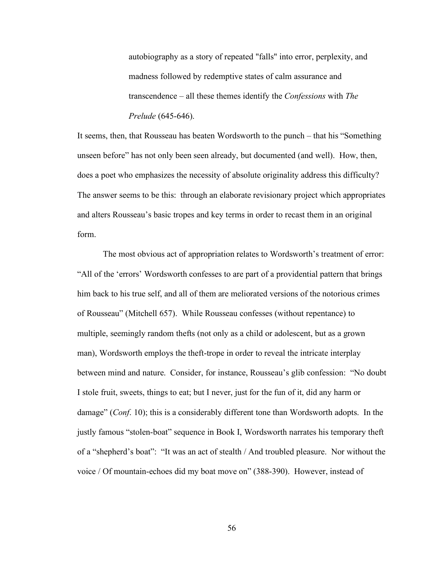autobiography as a story of repeated "falls" into error, perplexity, and madness followed by redemptive states of calm assurance and transcendence – all these themes identify the *Confessions* with *The Prelude* (645-646).

It seems, then, that Rousseau has beaten Wordsworth to the punch – that his "Something unseen before" has not only been seen already, but documented (and well). How, then, does a poet who emphasizes the necessity of absolute originality address this difficulty? The answer seems to be this: through an elaborate revisionary project which appropriates and alters Rousseau's basic tropes and key terms in order to recast them in an original form.

The most obvious act of appropriation relates to Wordsworth's treatment of error: "All of the 'errors' Wordsworth confesses to are part of a providential pattern that brings him back to his true self, and all of them are meliorated versions of the notorious crimes of Rousseau" (Mitchell 657). While Rousseau confesses (without repentance) to multiple, seemingly random thefts (not only as a child or adolescent, but as a grown man), Wordsworth employs the theft-trope in order to reveal the intricate interplay between mind and nature. Consider, for instance, Rousseau's glib confession: "No doubt I stole fruit, sweets, things to eat; but I never, just for the fun of it, did any harm or damage" (*Conf*. 10); this is a considerably different tone than Wordsworth adopts. In the justly famous "stolen-boat" sequence in Book I, Wordsworth narrates his temporary theft of a "shepherd's boat": "It was an act of stealth / And troubled pleasure. Nor without the voice / Of mountain-echoes did my boat move on" (388-390). However, instead of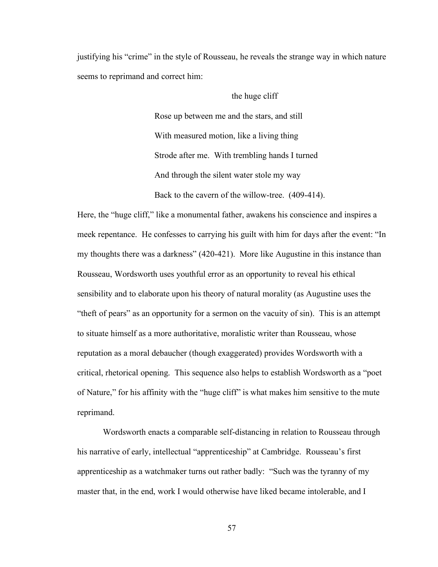justifying his "crime" in the style of Rousseau, he reveals the strange way in which nature seems to reprimand and correct him:

## the huge cliff

Rose up between me and the stars, and still With measured motion, like a living thing Strode after me. With trembling hands I turned And through the silent water stole my way Back to the cavern of the willow-tree. (409-414).

Here, the "huge cliff," like a monumental father, awakens his conscience and inspires a meek repentance. He confesses to carrying his guilt with him for days after the event: "In my thoughts there was a darkness" (420-421). More like Augustine in this instance than Rousseau, Wordsworth uses youthful error as an opportunity to reveal his ethical sensibility and to elaborate upon his theory of natural morality (as Augustine uses the "theft of pears" as an opportunity for a sermon on the vacuity of sin). This is an attempt to situate himself as a more authoritative, moralistic writer than Rousseau, whose reputation as a moral debaucher (though exaggerated) provides Wordsworth with a critical, rhetorical opening. This sequence also helps to establish Wordsworth as a "poet of Nature," for his affinity with the "huge cliff" is what makes him sensitive to the mute reprimand.

Wordsworth enacts a comparable self-distancing in relation to Rousseau through his narrative of early, intellectual "apprenticeship" at Cambridge. Rousseau's first apprenticeship as a watchmaker turns out rather badly: "Such was the tyranny of my master that, in the end, work I would otherwise have liked became intolerable, and I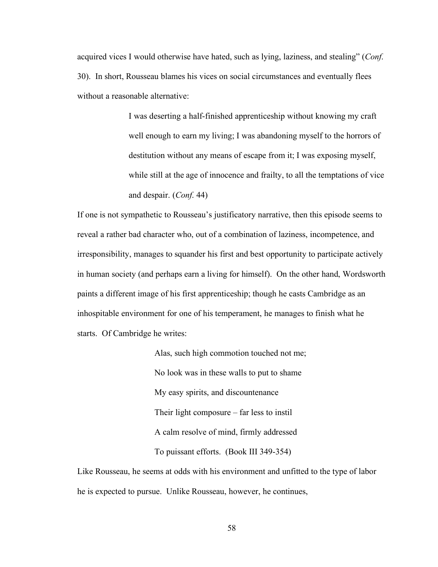acquired vices I would otherwise have hated, such as lying, laziness, and stealing" (*Conf*. 30). In short, Rousseau blames his vices on social circumstances and eventually flees without a reasonable alternative:

> I was deserting a half-finished apprenticeship without knowing my craft well enough to earn my living; I was abandoning myself to the horrors of destitution without any means of escape from it; I was exposing myself, while still at the age of innocence and frailty, to all the temptations of vice and despair. (*Conf*. 44)

If one is not sympathetic to Rousseau's justificatory narrative, then this episode seems to reveal a rather bad character who, out of a combination of laziness, incompetence, and irresponsibility, manages to squander his first and best opportunity to participate actively in human society (and perhaps earn a living for himself). On the other hand, Wordsworth paints a different image of his first apprenticeship; though he casts Cambridge as an inhospitable environment for one of his temperament, he manages to finish what he starts. Of Cambridge he writes:

> Alas, such high commotion touched not me; No look was in these walls to put to shame My easy spirits, and discountenance Their light composure – far less to instil A calm resolve of mind, firmly addressed To puissant efforts. (Book III 349-354)

Like Rousseau, he seems at odds with his environment and unfitted to the type of labor he is expected to pursue. Unlike Rousseau, however, he continues,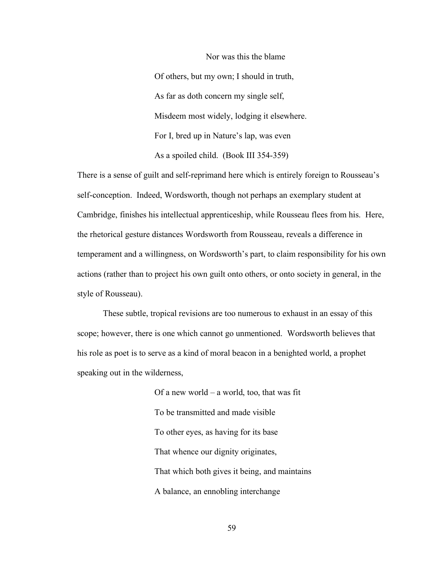Nor was this the blame Of others, but my own; I should in truth, As far as doth concern my single self, Misdeem most widely, lodging it elsewhere. For I, bred up in Nature's lap, was even As a spoiled child. (Book III 354-359)

There is a sense of guilt and self-reprimand here which is entirely foreign to Rousseau's self-conception. Indeed, Wordsworth, though not perhaps an exemplary student at Cambridge, finishes his intellectual apprenticeship, while Rousseau flees from his. Here, the rhetorical gesture distances Wordsworth from Rousseau, reveals a difference in temperament and a willingness, on Wordsworth's part, to claim responsibility for his own actions (rather than to project his own guilt onto others, or onto society in general, in the style of Rousseau).

These subtle, tropical revisions are too numerous to exhaust in an essay of this scope; however, there is one which cannot go unmentioned. Wordsworth believes that his role as poet is to serve as a kind of moral beacon in a benighted world, a prophet speaking out in the wilderness,

> Of a new world – a world, too, that was fit To be transmitted and made visible To other eyes, as having for its base That whence our dignity originates, That which both gives it being, and maintains A balance, an ennobling interchange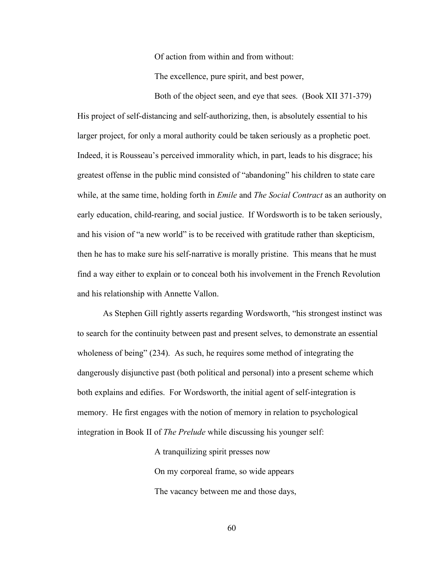Of action from within and from without:

The excellence, pure spirit, and best power,

Both of the object seen, and eye that sees. (Book XII 371-379) His project of self-distancing and self-authorizing, then, is absolutely essential to his larger project, for only a moral authority could be taken seriously as a prophetic poet. Indeed, it is Rousseau's perceived immorality which, in part, leads to his disgrace; his greatest offense in the public mind consisted of "abandoning" his children to state care while, at the same time, holding forth in *Emile* and *The Social Contract* as an authority on early education, child-rearing, and social justice. If Wordsworth is to be taken seriously, and his vision of "a new world" is to be received with gratitude rather than skepticism, then he has to make sure his self-narrative is morally pristine. This means that he must find a way either to explain or to conceal both his involvement in the French Revolution and his relationship with Annette Vallon.

As Stephen Gill rightly asserts regarding Wordsworth, "his strongest instinct was to search for the continuity between past and present selves, to demonstrate an essential wholeness of being" (234). As such, he requires some method of integrating the dangerously disjunctive past (both political and personal) into a present scheme which both explains and edifies. For Wordsworth, the initial agent of self-integration is memory. He first engages with the notion of memory in relation to psychological integration in Book II of *The Prelude* while discussing his younger self:

> A tranquilizing spirit presses now On my corporeal frame, so wide appears The vacancy between me and those days,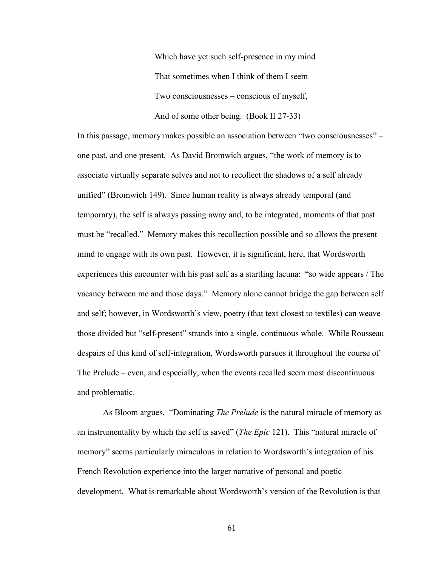Which have yet such self-presence in my mind That sometimes when I think of them I seem Two consciousnesses – conscious of myself, And of some other being. (Book II 27-33)

In this passage, memory makes possible an association between "two consciousnesses" – one past, and one present. As David Bromwich argues, "the work of memory is to associate virtually separate selves and not to recollect the shadows of a self already unified" (Bromwich 149). Since human reality is always already temporal (and temporary), the self is always passing away and, to be integrated, moments of that past must be "recalled." Memory makes this recollection possible and so allows the present mind to engage with its own past. However, it is significant, here, that Wordsworth experiences this encounter with his past self as a startling lacuna: "so wide appears / The vacancy between me and those days." Memory alone cannot bridge the gap between self and self; however, in Wordsworth's view, poetry (that text closest to textiles) can weave those divided but "self-present" strands into a single, continuous whole. While Rousseau despairs of this kind of self-integration, Wordsworth pursues it throughout the course of The Prelude – even, and especially, when the events recalled seem most discontinuous and problematic.

As Bloom argues, "Dominating *The Prelude* is the natural miracle of memory as an instrumentality by which the self is saved" (*The Epic* 121). This "natural miracle of memory" seems particularly miraculous in relation to Wordsworth's integration of his French Revolution experience into the larger narrative of personal and poetic development. What is remarkable about Wordsworth's version of the Revolution is that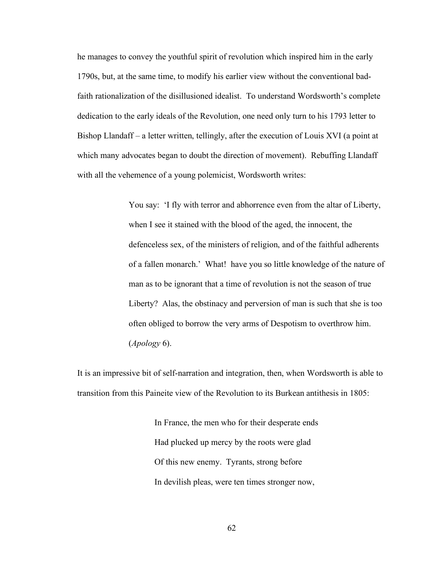he manages to convey the youthful spirit of revolution which inspired him in the early 1790s, but, at the same time, to modify his earlier view without the conventional badfaith rationalization of the disillusioned idealist. To understand Wordsworth's complete dedication to the early ideals of the Revolution, one need only turn to his 1793 letter to Bishop Llandaff – a letter written, tellingly, after the execution of Louis XVI (a point at which many advocates began to doubt the direction of movement). Rebuffing Llandaff with all the vehemence of a young polemicist, Wordsworth writes:

> You say: 'I fly with terror and abhorrence even from the altar of Liberty, when I see it stained with the blood of the aged, the innocent, the defenceless sex, of the ministers of religion, and of the faithful adherents of a fallen monarch.' What! have you so little knowledge of the nature of man as to be ignorant that a time of revolution is not the season of true Liberty? Alas, the obstinacy and perversion of man is such that she is too often obliged to borrow the very arms of Despotism to overthrow him. (*Apology* 6).

It is an impressive bit of self-narration and integration, then, when Wordsworth is able to transition from this Paineite view of the Revolution to its Burkean antithesis in 1805:

> In France, the men who for their desperate ends Had plucked up mercy by the roots were glad Of this new enemy. Tyrants, strong before In devilish pleas, were ten times stronger now,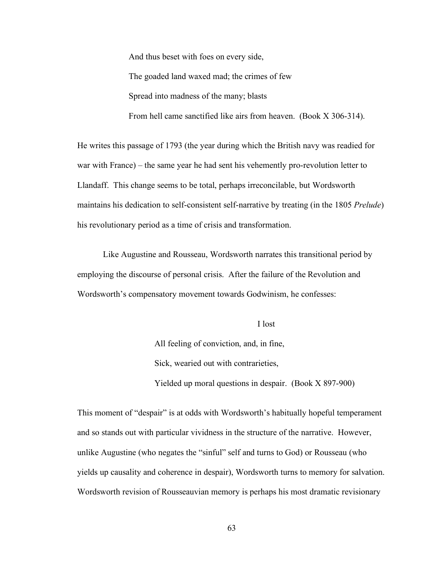And thus beset with foes on every side, The goaded land waxed mad; the crimes of few Spread into madness of the many; blasts From hell came sanctified like airs from heaven. (Book X 306-314).

He writes this passage of 1793 (the year during which the British navy was readied for war with France) – the same year he had sent his vehemently pro-revolution letter to Llandaff. This change seems to be total, perhaps irreconcilable, but Wordsworth maintains his dedication to self-consistent self-narrative by treating (in the 1805 *Prelude*) his revolutionary period as a time of crisis and transformation.

Like Augustine and Rousseau, Wordsworth narrates this transitional period by employing the discourse of personal crisis. After the failure of the Revolution and Wordsworth's compensatory movement towards Godwinism, he confesses:

## I lost

All feeling of conviction, and, in fine, Sick, wearied out with contrarieties, Yielded up moral questions in despair. (Book X 897-900)

This moment of "despair" is at odds with Wordsworth's habitually hopeful temperament and so stands out with particular vividness in the structure of the narrative. However, unlike Augustine (who negates the "sinful" self and turns to God) or Rousseau (who yields up causality and coherence in despair), Wordsworth turns to memory for salvation. Wordsworth revision of Rousseauvian memory is perhaps his most dramatic revisionary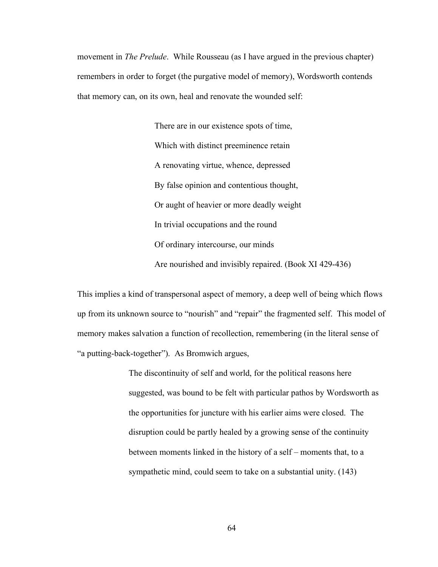movement in *The Prelude*. While Rousseau (as I have argued in the previous chapter) remembers in order to forget (the purgative model of memory), Wordsworth contends that memory can, on its own, heal and renovate the wounded self:

> There are in our existence spots of time, Which with distinct preeminence retain A renovating virtue, whence, depressed By false opinion and contentious thought, Or aught of heavier or more deadly weight In trivial occupations and the round Of ordinary intercourse, our minds Are nourished and invisibly repaired. (Book XI 429-436)

This implies a kind of transpersonal aspect of memory, a deep well of being which flows up from its unknown source to "nourish" and "repair" the fragmented self. This model of memory makes salvation a function of recollection, remembering (in the literal sense of "a putting-back-together"). As Bromwich argues,

> The discontinuity of self and world, for the political reasons here suggested, was bound to be felt with particular pathos by Wordsworth as the opportunities for juncture with his earlier aims were closed. The disruption could be partly healed by a growing sense of the continuity between moments linked in the history of a self – moments that, to a sympathetic mind, could seem to take on a substantial unity. (143)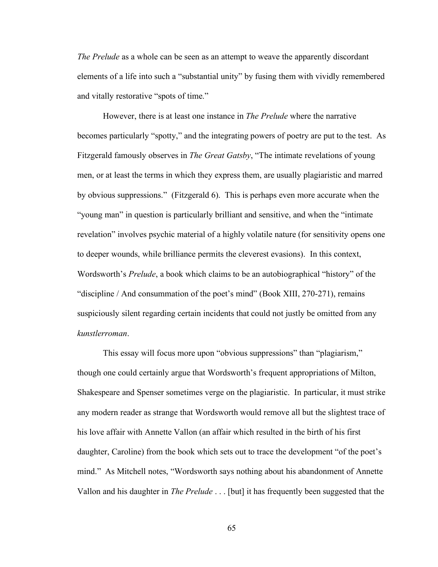*The Prelude* as a whole can be seen as an attempt to weave the apparently discordant elements of a life into such a "substantial unity" by fusing them with vividly remembered and vitally restorative "spots of time."

However, there is at least one instance in *The Prelude* where the narrative becomes particularly "spotty," and the integrating powers of poetry are put to the test. As Fitzgerald famously observes in *The Great Gatsby*, "The intimate revelations of young men, or at least the terms in which they express them, are usually plagiaristic and marred by obvious suppressions." (Fitzgerald 6). This is perhaps even more accurate when the "young man" in question is particularly brilliant and sensitive, and when the "intimate revelation" involves psychic material of a highly volatile nature (for sensitivity opens one to deeper wounds, while brilliance permits the cleverest evasions). In this context, Wordsworth's *Prelude*, a book which claims to be an autobiographical "history" of the "discipline / And consummation of the poet's mind" (Book XIII, 270-271), remains suspiciously silent regarding certain incidents that could not justly be omitted from any *kunstlerroman*.

This essay will focus more upon "obvious suppressions" than "plagiarism," though one could certainly argue that Wordsworth's frequent appropriations of Milton, Shakespeare and Spenser sometimes verge on the plagiaristic. In particular, it must strike any modern reader as strange that Wordsworth would remove all but the slightest trace of his love affair with Annette Vallon (an affair which resulted in the birth of his first daughter, Caroline) from the book which sets out to trace the development "of the poet's mind." As Mitchell notes, "Wordsworth says nothing about his abandonment of Annette Vallon and his daughter in *The Prelude* . . . [but] it has frequently been suggested that the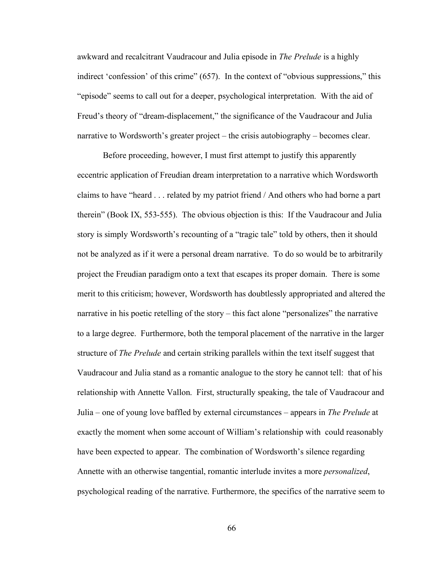awkward and recalcitrant Vaudracour and Julia episode in *The Prelude* is a highly indirect 'confession' of this crime" (657). In the context of "obvious suppressions," this "episode" seems to call out for a deeper, psychological interpretation. With the aid of Freud's theory of "dream-displacement," the significance of the Vaudracour and Julia narrative to Wordsworth's greater project – the crisis autobiography – becomes clear.

Before proceeding, however, I must first attempt to justify this apparently eccentric application of Freudian dream interpretation to a narrative which Wordsworth claims to have "heard . . . related by my patriot friend / And others who had borne a part therein" (Book IX, 553-555). The obvious objection is this: If the Vaudracour and Julia story is simply Wordsworth's recounting of a "tragic tale" told by others, then it should not be analyzed as if it were a personal dream narrative. To do so would be to arbitrarily project the Freudian paradigm onto a text that escapes its proper domain. There is some merit to this criticism; however, Wordsworth has doubtlessly appropriated and altered the narrative in his poetic retelling of the story – this fact alone "personalizes" the narrative to a large degree. Furthermore, both the temporal placement of the narrative in the larger structure of *The Prelude* and certain striking parallels within the text itself suggest that Vaudracour and Julia stand as a romantic analogue to the story he cannot tell: that of his relationship with Annette Vallon. First, structurally speaking, the tale of Vaudracour and Julia – one of young love baffled by external circumstances – appears in *The Prelude* at exactly the moment when some account of William's relationship with could reasonably have been expected to appear. The combination of Wordsworth's silence regarding Annette with an otherwise tangential, romantic interlude invites a more *personalized*, psychological reading of the narrative. Furthermore, the specifics of the narrative seem to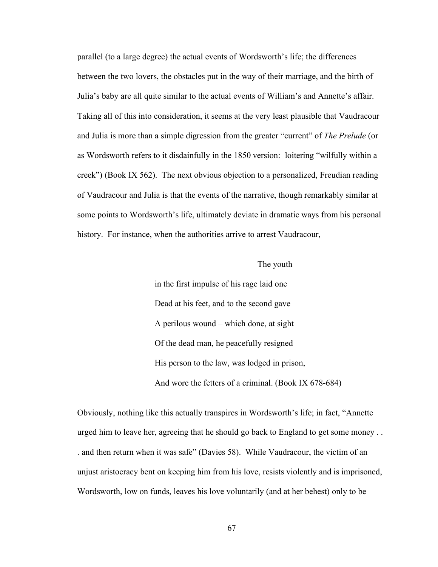parallel (to a large degree) the actual events of Wordsworth's life; the differences between the two lovers, the obstacles put in the way of their marriage, and the birth of Julia's baby are all quite similar to the actual events of William's and Annette's affair. Taking all of this into consideration, it seems at the very least plausible that Vaudracour and Julia is more than a simple digression from the greater "current" of *The Prelude* (or as Wordsworth refers to it disdainfully in the 1850 version: loitering "wilfully within a creek") (Book IX 562). The next obvious objection to a personalized, Freudian reading of Vaudracour and Julia is that the events of the narrative, though remarkably similar at some points to Wordsworth's life, ultimately deviate in dramatic ways from his personal history. For instance, when the authorities arrive to arrest Vaudracour,

## The youth

in the first impulse of his rage laid one Dead at his feet, and to the second gave A perilous wound – which done, at sight Of the dead man, he peacefully resigned His person to the law, was lodged in prison, And wore the fetters of a criminal. (Book IX 678-684)

Obviously, nothing like this actually transpires in Wordsworth's life; in fact, "Annette urged him to leave her, agreeing that he should go back to England to get some money . . . and then return when it was safe" (Davies 58). While Vaudracour, the victim of an unjust aristocracy bent on keeping him from his love, resists violently and is imprisoned, Wordsworth, low on funds, leaves his love voluntarily (and at her behest) only to be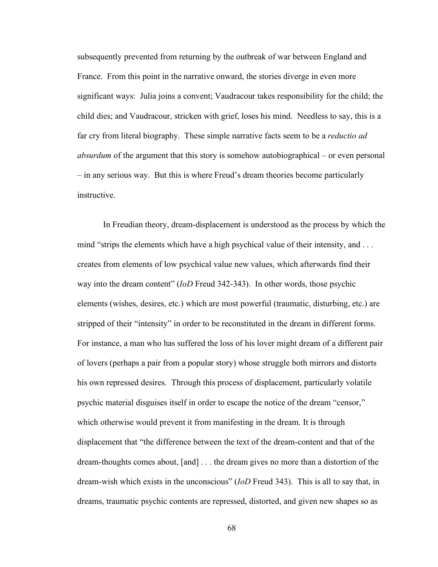subsequently prevented from returning by the outbreak of war between England and France. From this point in the narrative onward, the stories diverge in even more significant ways: Julia joins a convent; Vaudracour takes responsibility for the child; the child dies; and Vaudracour, stricken with grief, loses his mind. Needless to say, this is a far cry from literal biography. These simple narrative facts seem to be a *reductio ad absurdum* of the argument that this story is somehow autobiographical – or even personal – in any serious way. But this is where Freud's dream theories become particularly instructive.

In Freudian theory, dream-displacement is understood as the process by which the mind "strips the elements which have a high psychical value of their intensity, and ... creates from elements of low psychical value new values, which afterwards find their way into the dream content" (*IoD* Freud 342-343). In other words, those psychic elements (wishes, desires, etc.) which are most powerful (traumatic, disturbing, etc.) are stripped of their "intensity" in order to be reconstituted in the dream in different forms. For instance, a man who has suffered the loss of his lover might dream of a different pair of lovers (perhaps a pair from a popular story) whose struggle both mirrors and distorts his own repressed desires. Through this process of displacement, particularly volatile psychic material disguises itself in order to escape the notice of the dream "censor," which otherwise would prevent it from manifesting in the dream. It is through displacement that "the difference between the text of the dream-content and that of the dream-thoughts comes about, [and] . . . the dream gives no more than a distortion of the dream-wish which exists in the unconscious" (*IoD* Freud 343). This is all to say that, in dreams, traumatic psychic contents are repressed, distorted, and given new shapes so as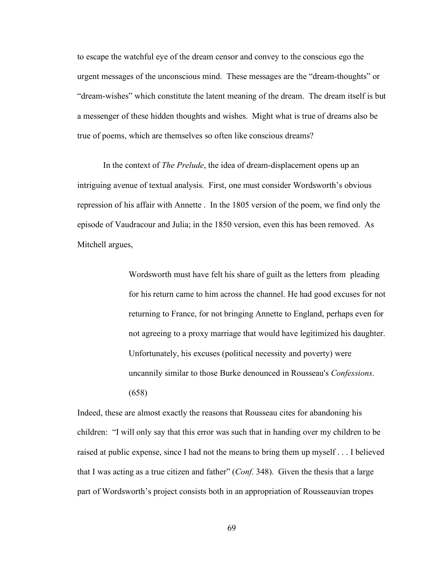to escape the watchful eye of the dream censor and convey to the conscious ego the urgent messages of the unconscious mind. These messages are the "dream-thoughts" or "dream-wishes" which constitute the latent meaning of the dream. The dream itself is but a messenger of these hidden thoughts and wishes. Might what is true of dreams also be true of poems, which are themselves so often like conscious dreams?

In the context of *The Prelude*, the idea of dream-displacement opens up an intriguing avenue of textual analysis. First, one must consider Wordsworth's obvious repression of his affair with Annette . In the 1805 version of the poem, we find only the episode of Vaudracour and Julia; in the 1850 version, even this has been removed. As Mitchell argues,

> Wordsworth must have felt his share of guilt as the letters from pleading for his return came to him across the channel. He had good excuses for not returning to France, for not bringing Annette to England, perhaps even for not agreeing to a proxy marriage that would have legitimized his daughter. Unfortunately, his excuses (political necessity and poverty) were uncannily similar to those Burke denounced in Rousseau's *Confessions*. (658)

Indeed, these are almost exactly the reasons that Rousseau cites for abandoning his children: "I will only say that this error was such that in handing over my children to be raised at public expense, since I had not the means to bring them up myself . . . I believed that I was acting as a true citizen and father" (*Conf*. 348). Given the thesis that a large part of Wordsworth's project consists both in an appropriation of Rousseauvian tropes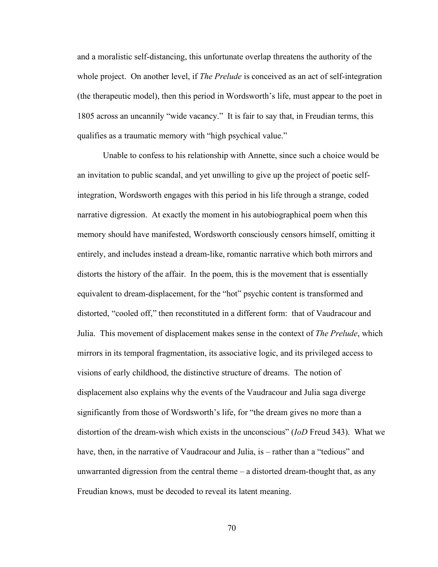and a moralistic self-distancing, this unfortunate overlap threatens the authority of the whole project. On another level, if *The Prelude* is conceived as an act of self-integration (the therapeutic model), then this period in Wordsworth's life, must appear to the poet in 1805 across an uncannily "wide vacancy." It is fair to say that, in Freudian terms, this qualifies as a traumatic memory with "high psychical value."

Unable to confess to his relationship with Annette, since such a choice would be an invitation to public scandal, and yet unwilling to give up the project of poetic selfintegration, Wordsworth engages with this period in his life through a strange, coded narrative digression. At exactly the moment in his autobiographical poem when this memory should have manifested, Wordsworth consciously censors himself, omitting it entirely, and includes instead a dream-like, romantic narrative which both mirrors and distorts the history of the affair. In the poem, this is the movement that is essentially equivalent to dream-displacement, for the "hot" psychic content is transformed and distorted, "cooled off," then reconstituted in a different form: that of Vaudracour and Julia. This movement of displacement makes sense in the context of *The Prelude*, which mirrors in its temporal fragmentation, its associative logic, and its privileged access to visions of early childhood, the distinctive structure of dreams. The notion of displacement also explains why the events of the Vaudracour and Julia saga diverge significantly from those of Wordsworth's life, for "the dream gives no more than a distortion of the dream-wish which exists in the unconscious" (*IoD* Freud 343). What we have, then, in the narrative of Vaudracour and Julia, is – rather than a "tedious" and unwarranted digression from the central theme – a distorted dream-thought that, as any Freudian knows, must be decoded to reveal its latent meaning.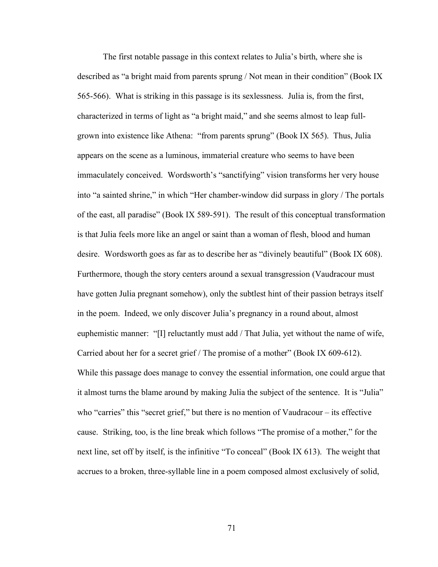The first notable passage in this context relates to Julia's birth, where she is described as "a bright maid from parents sprung / Not mean in their condition" (Book IX 565-566). What is striking in this passage is its sexlessness. Julia is, from the first, characterized in terms of light as "a bright maid," and she seems almost to leap fullgrown into existence like Athena: "from parents sprung" (Book IX 565). Thus, Julia appears on the scene as a luminous, immaterial creature who seems to have been immaculately conceived. Wordsworth's "sanctifying" vision transforms her very house into "a sainted shrine," in which "Her chamber-window did surpass in glory / The portals of the east, all paradise" (Book IX 589-591). The result of this conceptual transformation is that Julia feels more like an angel or saint than a woman of flesh, blood and human desire. Wordsworth goes as far as to describe her as "divinely beautiful" (Book IX 608). Furthermore, though the story centers around a sexual transgression (Vaudracour must have gotten Julia pregnant somehow), only the subtlest hint of their passion betrays itself in the poem. Indeed, we only discover Julia's pregnancy in a round about, almost euphemistic manner: "[I] reluctantly must add / That Julia, yet without the name of wife, Carried about her for a secret grief / The promise of a mother" (Book IX 609-612). While this passage does manage to convey the essential information, one could argue that it almost turns the blame around by making Julia the subject of the sentence. It is "Julia" who "carries" this "secret grief," but there is no mention of Vaudracour – its effective cause. Striking, too, is the line break which follows "The promise of a mother," for the next line, set off by itself, is the infinitive "To conceal" (Book IX 613). The weight that accrues to a broken, three-syllable line in a poem composed almost exclusively of solid,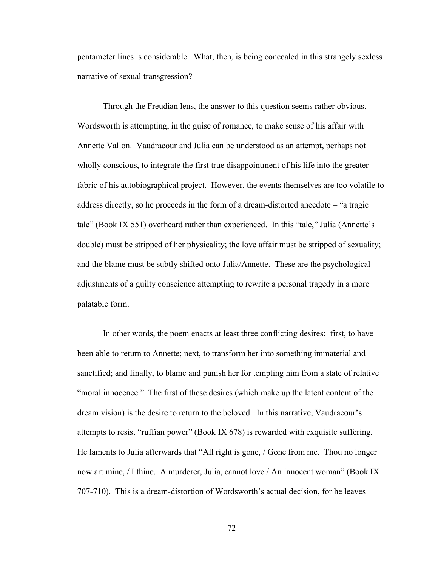pentameter lines is considerable. What, then, is being concealed in this strangely sexless narrative of sexual transgression?

Through the Freudian lens, the answer to this question seems rather obvious. Wordsworth is attempting, in the guise of romance, to make sense of his affair with Annette Vallon. Vaudracour and Julia can be understood as an attempt, perhaps not wholly conscious, to integrate the first true disappointment of his life into the greater fabric of his autobiographical project. However, the events themselves are too volatile to address directly, so he proceeds in the form of a dream-distorted anecdote – "a tragic tale" (Book IX 551) overheard rather than experienced. In this "tale," Julia (Annette's double) must be stripped of her physicality; the love affair must be stripped of sexuality; and the blame must be subtly shifted onto Julia/Annette. These are the psychological adjustments of a guilty conscience attempting to rewrite a personal tragedy in a more palatable form.

In other words, the poem enacts at least three conflicting desires: first, to have been able to return to Annette; next, to transform her into something immaterial and sanctified; and finally, to blame and punish her for tempting him from a state of relative "moral innocence." The first of these desires (which make up the latent content of the dream vision) is the desire to return to the beloved. In this narrative, Vaudracour's attempts to resist "ruffian power" (Book IX 678) is rewarded with exquisite suffering. He laments to Julia afterwards that "All right is gone, / Gone from me. Thou no longer now art mine, / I thine. A murderer, Julia, cannot love / An innocent woman" (Book IX 707-710). This is a dream-distortion of Wordsworth's actual decision, for he leaves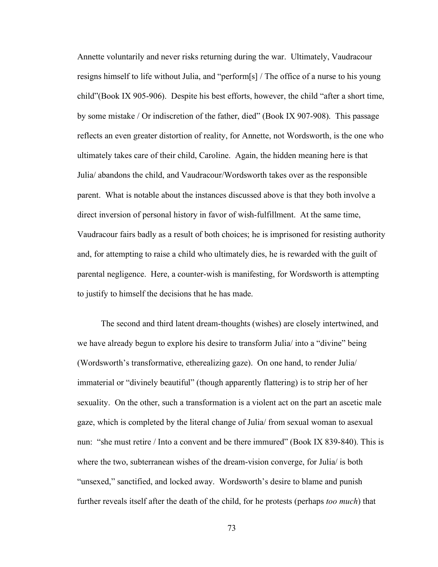Annette voluntarily and never risks returning during the war. Ultimately, Vaudracour resigns himself to life without Julia, and "perform[s] / The office of a nurse to his young child"(Book IX 905-906). Despite his best efforts, however, the child "after a short time, by some mistake / Or indiscretion of the father, died" (Book IX 907-908). This passage reflects an even greater distortion of reality, for Annette, not Wordsworth, is the one who ultimately takes care of their child, Caroline. Again, the hidden meaning here is that Julia/ abandons the child, and Vaudracour/Wordsworth takes over as the responsible parent. What is notable about the instances discussed above is that they both involve a direct inversion of personal history in favor of wish-fulfillment. At the same time, Vaudracour fairs badly as a result of both choices; he is imprisoned for resisting authority and, for attempting to raise a child who ultimately dies, he is rewarded with the guilt of parental negligence. Here, a counter-wish is manifesting, for Wordsworth is attempting to justify to himself the decisions that he has made.

The second and third latent dream-thoughts (wishes) are closely intertwined, and we have already begun to explore his desire to transform Julia/ into a "divine" being (Wordsworth's transformative, etherealizing gaze). On one hand, to render Julia/ immaterial or "divinely beautiful" (though apparently flattering) is to strip her of her sexuality. On the other, such a transformation is a violent act on the part an ascetic male gaze, which is completed by the literal change of Julia/ from sexual woman to asexual nun: "she must retire / Into a convent and be there immured" (Book IX 839-840). This is where the two, subterranean wishes of the dream-vision converge, for Julia/ is both "unsexed," sanctified, and locked away. Wordsworth's desire to blame and punish further reveals itself after the death of the child, for he protests (perhaps *too much*) that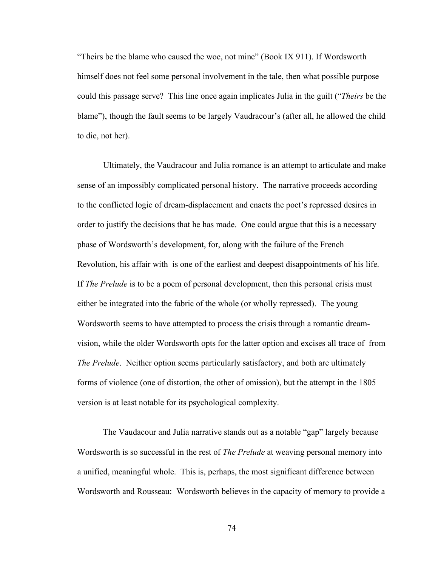"Theirs be the blame who caused the woe, not mine" (Book IX 911). If Wordsworth himself does not feel some personal involvement in the tale, then what possible purpose could this passage serve? This line once again implicates Julia in the guilt ("*Theirs* be the blame"), though the fault seems to be largely Vaudracour's (after all, he allowed the child to die, not her).

Ultimately, the Vaudracour and Julia romance is an attempt to articulate and make sense of an impossibly complicated personal history. The narrative proceeds according to the conflicted logic of dream-displacement and enacts the poet's repressed desires in order to justify the decisions that he has made. One could argue that this is a necessary phase of Wordsworth's development, for, along with the failure of the French Revolution, his affair with is one of the earliest and deepest disappointments of his life. If *The Prelude* is to be a poem of personal development, then this personal crisis must either be integrated into the fabric of the whole (or wholly repressed). The young Wordsworth seems to have attempted to process the crisis through a romantic dreamvision, while the older Wordsworth opts for the latter option and excises all trace of from *The Prelude*. Neither option seems particularly satisfactory, and both are ultimately forms of violence (one of distortion, the other of omission), but the attempt in the 1805 version is at least notable for its psychological complexity.

The Vaudacour and Julia narrative stands out as a notable "gap" largely because Wordsworth is so successful in the rest of *The Prelude* at weaving personal memory into a unified, meaningful whole. This is, perhaps, the most significant difference between Wordsworth and Rousseau: Wordsworth believes in the capacity of memory to provide a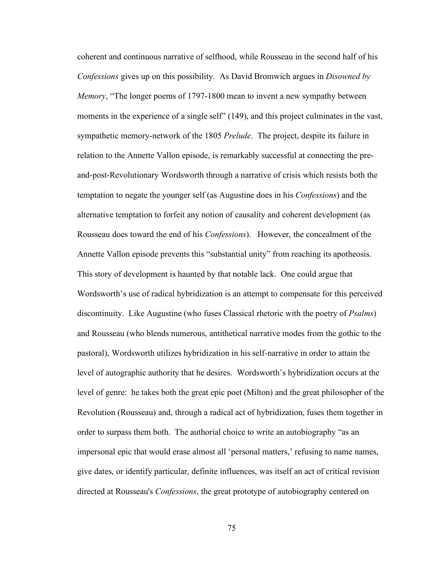coherent and continuous narrative of selfhood, while Rousseau in the second half of his *Confessions* gives up on this possibility. As David Bromwich argues in *Disowned by Memory*, "The longer poems of 1797-1800 mean to invent a new sympathy between moments in the experience of a single self" (149), and this project culminates in the vast, sympathetic memory-network of the 1805 *Prelude*. The project, despite its failure in relation to the Annette Vallon episode, is remarkably successful at connecting the preand-post-Revolutionary Wordsworth through a narrative of crisis which resists both the temptation to negate the younger self (as Augustine does in his *Confessions*) and the alternative temptation to forfeit any notion of causality and coherent development (as Rousseau does toward the end of his *Confessions*). However, the concealment of the Annette Vallon episode prevents this "substantial unity" from reaching its apotheosis. This story of development is haunted by that notable lack. One could argue that Wordsworth's use of radical hybridization is an attempt to compensate for this perceived discontinuity. Like Augustine (who fuses Classical rhetoric with the poetry of *Psalms*) and Rousseau (who blends numerous, antithetical narrative modes from the gothic to the pastoral), Wordsworth utilizes hybridization in his self-narrative in order to attain the level of autographic authority that he desires. Wordsworth's hybridization occurs at the level of genre: he takes both the great epic poet (Milton) and the great philosopher of the Revolution (Rousseau) and, through a radical act of hybridization, fuses them together in order to surpass them both. The authorial choice to write an autobiography "as an impersonal epic that would erase almost all 'personal matters,' refusing to name names, give dates, or identify particular, definite influences, was itself an act of critical revision directed at Rousseau's *Confessions*, the great prototype of autobiography centered on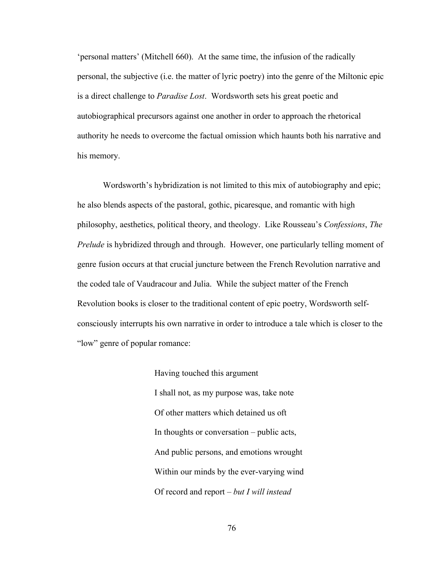'personal matters' (Mitchell 660). At the same time, the infusion of the radically personal, the subjective (i.e. the matter of lyric poetry) into the genre of the Miltonic epic is a direct challenge to *Paradise Lost*. Wordsworth sets his great poetic and autobiographical precursors against one another in order to approach the rhetorical authority he needs to overcome the factual omission which haunts both his narrative and his memory.

Wordsworth's hybridization is not limited to this mix of autobiography and epic; he also blends aspects of the pastoral, gothic, picaresque, and romantic with high philosophy, aesthetics, political theory, and theology. Like Rousseau's *Confessions*, *The Prelude* is hybridized through and through. However, one particularly telling moment of genre fusion occurs at that crucial juncture between the French Revolution narrative and the coded tale of Vaudracour and Julia. While the subject matter of the French Revolution books is closer to the traditional content of epic poetry, Wordsworth selfconsciously interrupts his own narrative in order to introduce a tale which is closer to the "low" genre of popular romance:

> Having touched this argument I shall not, as my purpose was, take note Of other matters which detained us oft In thoughts or conversation – public acts, And public persons, and emotions wrought Within our minds by the ever-varying wind Of record and report – *but I will instead*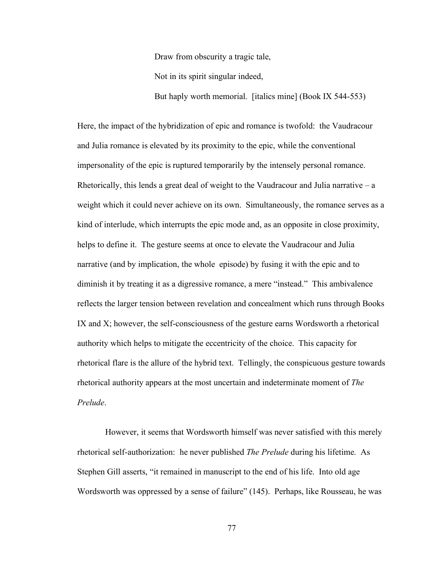Draw from obscurity a tragic tale, Not in its spirit singular indeed, But haply worth memorial. [italics mine] (Book IX 544-553)

Here, the impact of the hybridization of epic and romance is twofold: the Vaudracour and Julia romance is elevated by its proximity to the epic, while the conventional impersonality of the epic is ruptured temporarily by the intensely personal romance. Rhetorically, this lends a great deal of weight to the Vaudracour and Julia narrative  $-a$ weight which it could never achieve on its own. Simultaneously, the romance serves as a kind of interlude, which interrupts the epic mode and, as an opposite in close proximity, helps to define it. The gesture seems at once to elevate the Vaudracour and Julia narrative (and by implication, the whole episode) by fusing it with the epic and to diminish it by treating it as a digressive romance, a mere "instead." This ambivalence reflects the larger tension between revelation and concealment which runs through Books IX and X; however, the self-consciousness of the gesture earns Wordsworth a rhetorical authority which helps to mitigate the eccentricity of the choice. This capacity for rhetorical flare is the allure of the hybrid text. Tellingly, the conspicuous gesture towards rhetorical authority appears at the most uncertain and indeterminate moment of *The Prelude*.

However, it seems that Wordsworth himself was never satisfied with this merely rhetorical self-authorization: he never published *The Prelude* during his lifetime. As Stephen Gill asserts, "it remained in manuscript to the end of his life. Into old age Wordsworth was oppressed by a sense of failure" (145). Perhaps, like Rousseau, he was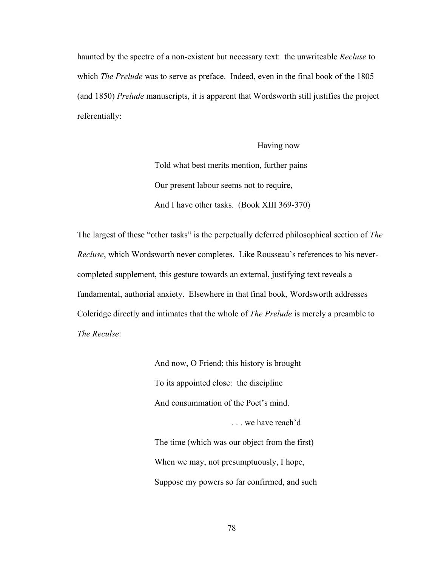haunted by the spectre of a non-existent but necessary text: the unwriteable *Recluse* to which *The Prelude* was to serve as preface. Indeed, even in the final book of the 1805 (and 1850) *Prelude* manuscripts, it is apparent that Wordsworth still justifies the project referentially:

> Having now Told what best merits mention, further pains Our present labour seems not to require, And I have other tasks. (Book XIII 369-370)

The largest of these "other tasks" is the perpetually deferred philosophical section of *The Recluse*, which Wordsworth never completes. Like Rousseau's references to his nevercompleted supplement, this gesture towards an external, justifying text reveals a fundamental, authorial anxiety. Elsewhere in that final book, Wordsworth addresses Coleridge directly and intimates that the whole of *The Prelude* is merely a preamble to *The Reculse*:

> And now, O Friend; this history is brought To its appointed close: the discipline And consummation of the Poet's mind. ... we have reach'd The time (which was our object from the first) When we may, not presumptuously, I hope, Suppose my powers so far confirmed, and such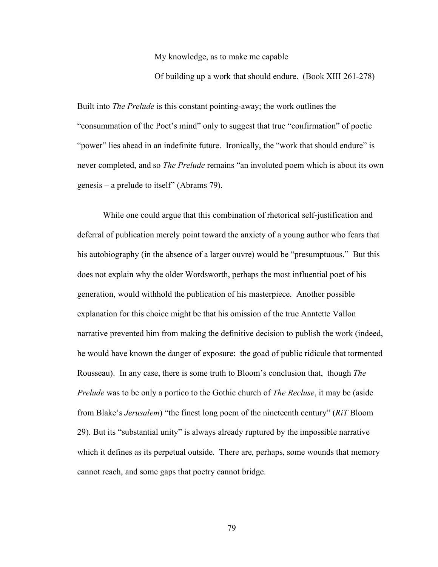My knowledge, as to make me capable

Of building up a work that should endure. (Book XIII 261-278)

Built into *The Prelude* is this constant pointing-away; the work outlines the "consummation of the Poet's mind" only to suggest that true "confirmation" of poetic "power" lies ahead in an indefinite future. Ironically, the "work that should endure" is never completed, and so *The Prelude* remains "an involuted poem which is about its own genesis – a prelude to itself" (Abrams 79).

While one could argue that this combination of rhetorical self-justification and deferral of publication merely point toward the anxiety of a young author who fears that his autobiography (in the absence of a larger ouvre) would be "presumptuous." But this does not explain why the older Wordsworth, perhaps the most influential poet of his generation, would withhold the publication of his masterpiece. Another possible explanation for this choice might be that his omission of the true Anntette Vallon narrative prevented him from making the definitive decision to publish the work (indeed, he would have known the danger of exposure: the goad of public ridicule that tormented Rousseau). In any case, there is some truth to Bloom's conclusion that, though *The Prelude* was to be only a portico to the Gothic church of *The Recluse*, it may be (aside from Blake's *Jerusalem*) "the finest long poem of the nineteenth century" (*RiT* Bloom 29). But its "substantial unity" is always already ruptured by the impossible narrative which it defines as its perpetual outside. There are, perhaps, some wounds that memory cannot reach, and some gaps that poetry cannot bridge.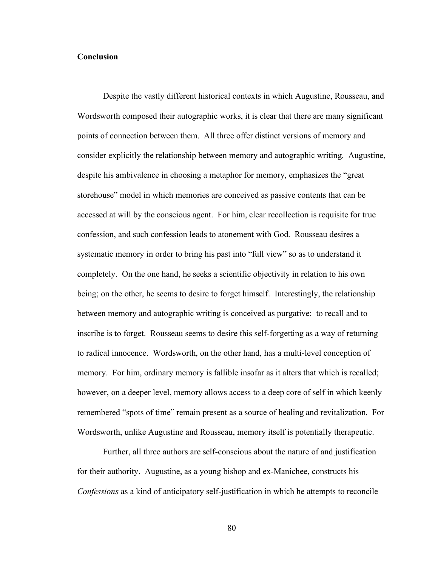## **Conclusion**

Despite the vastly different historical contexts in which Augustine, Rousseau, and Wordsworth composed their autographic works, it is clear that there are many significant points of connection between them. All three offer distinct versions of memory and consider explicitly the relationship between memory and autographic writing. Augustine, despite his ambivalence in choosing a metaphor for memory, emphasizes the "great storehouse" model in which memories are conceived as passive contents that can be accessed at will by the conscious agent. For him, clear recollection is requisite for true confession, and such confession leads to atonement with God. Rousseau desires a systematic memory in order to bring his past into "full view" so as to understand it completely. On the one hand, he seeks a scientific objectivity in relation to his own being; on the other, he seems to desire to forget himself. Interestingly, the relationship between memory and autographic writing is conceived as purgative: to recall and to inscribe is to forget. Rousseau seems to desire this self-forgetting as a way of returning to radical innocence. Wordsworth, on the other hand, has a multi-level conception of memory. For him, ordinary memory is fallible insofar as it alters that which is recalled; however, on a deeper level, memory allows access to a deep core of self in which keenly remembered "spots of time" remain present as a source of healing and revitalization. For Wordsworth, unlike Augustine and Rousseau, memory itself is potentially therapeutic.

Further, all three authors are self-conscious about the nature of and justification for their authority. Augustine, as a young bishop and ex-Manichee, constructs his *Confessions* as a kind of anticipatory self-justification in which he attempts to reconcile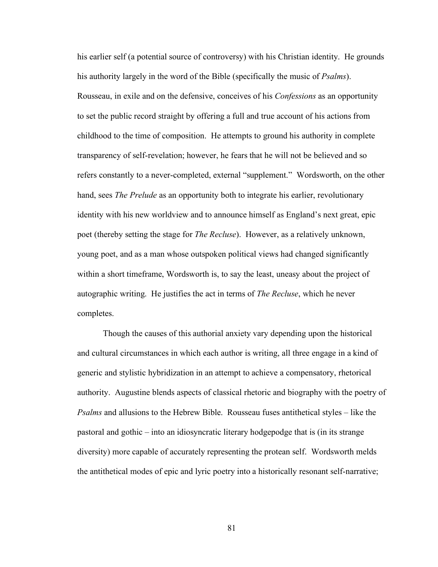his earlier self (a potential source of controversy) with his Christian identity. He grounds his authority largely in the word of the Bible (specifically the music of *Psalms*). Rousseau, in exile and on the defensive, conceives of his *Confessions* as an opportunity to set the public record straight by offering a full and true account of his actions from childhood to the time of composition. He attempts to ground his authority in complete transparency of self-revelation; however, he fears that he will not be believed and so refers constantly to a never-completed, external "supplement." Wordsworth, on the other hand, sees *The Prelude* as an opportunity both to integrate his earlier, revolutionary identity with his new worldview and to announce himself as England's next great, epic poet (thereby setting the stage for *The Recluse*). However, as a relatively unknown, young poet, and as a man whose outspoken political views had changed significantly within a short timeframe, Wordsworth is, to say the least, uneasy about the project of autographic writing. He justifies the act in terms of *The Recluse*, which he never completes.

Though the causes of this authorial anxiety vary depending upon the historical and cultural circumstances in which each author is writing, all three engage in a kind of generic and stylistic hybridization in an attempt to achieve a compensatory, rhetorical authority. Augustine blends aspects of classical rhetoric and biography with the poetry of *Psalms* and allusions to the Hebrew Bible. Rousseau fuses antithetical styles – like the pastoral and gothic – into an idiosyncratic literary hodgepodge that is (in its strange diversity) more capable of accurately representing the protean self. Wordsworth melds the antithetical modes of epic and lyric poetry into a historically resonant self-narrative;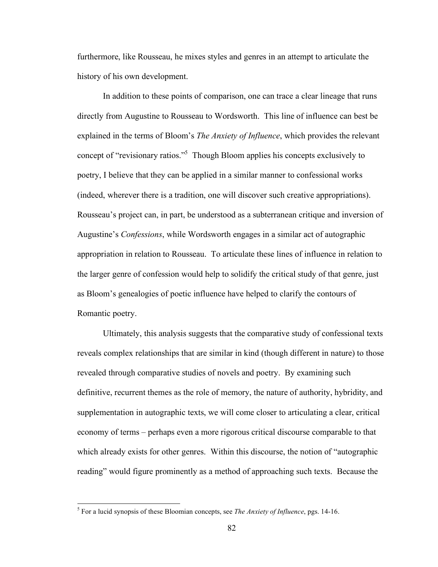furthermore, like Rousseau, he mixes styles and genres in an attempt to articulate the history of his own development.

In addition to these points of comparison, one can trace a clear lineage that runs directly from Augustine to Rousseau to Wordsworth. This line of influence can best be explained in the terms of Bloom's *The Anxiety of Influence*, which provides the relevant concept of "revisionary ratios." <sup>5</sup> Though Bloom applies his concepts exclusively to poetry, I believe that they can be applied in a similar manner to confessional works (indeed, wherever there is a tradition, one will discover such creative appropriations). Rousseau's project can, in part, be understood as a subterranean critique and inversion of Augustine's *Confessions*, while Wordsworth engages in a similar act of autographic appropriation in relation to Rousseau. To articulate these lines of influence in relation to the larger genre of confession would help to solidify the critical study of that genre, just as Bloom's genealogies of poetic influence have helped to clarify the contours of Romantic poetry.

Ultimately, this analysis suggests that the comparative study of confessional texts reveals complex relationships that are similar in kind (though different in nature) to those revealed through comparative studies of novels and poetry. By examining such definitive, recurrent themes as the role of memory, the nature of authority, hybridity, and supplementation in autographic texts, we will come closer to articulating a clear, critical economy of terms – perhaps even a more rigorous critical discourse comparable to that which already exists for other genres. Within this discourse, the notion of "autographic reading" would figure prominently as a method of approaching such texts. Because the

 <sup>5</sup> For <sup>a</sup> lucid synopsis of these Bloomian concepts, see *The Anxiety of Influence*, pgs. 14-16.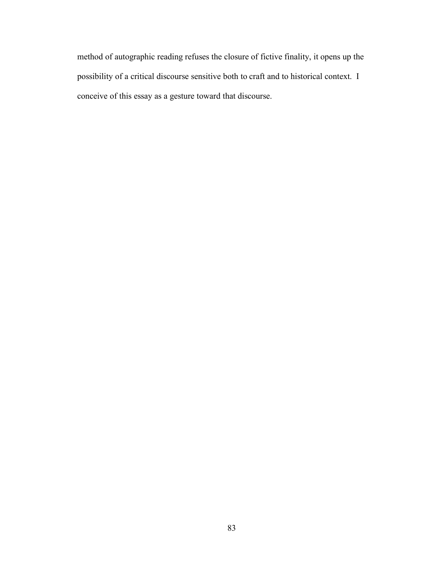method of autographic reading refuses the closure of fictive finality, it opens up the possibility of a critical discourse sensitive both to craft and to historical context. I conceive of this essay as a gesture toward that discourse.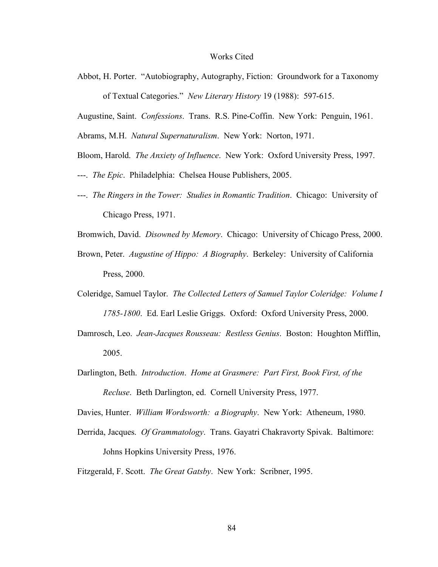## Works Cited

Abbot, H. Porter. "Autobiography, Autography, Fiction: Groundwork for a Taxonomy of Textual Categories." *New Literary History* 19 (1988): 597-615.

Augustine, Saint. *Confessions*. Trans. R.S. Pine-Coffin. New York: Penguin, 1961.

Abrams, M.H. *Natural Supernaturalism*. New York: Norton, 1971.

Bloom, Harold. *The Anxiety of Influence*. New York: Oxford University Press, 1997.

- ---. *The Epic*. Philadelphia: Chelsea House Publishers, 2005.
- ---. *The Ringers in the Tower: Studies in Romantic Tradition*. Chicago: University of Chicago Press, 1971.

Bromwich, David. *Disowned by Memory*. Chicago: University of Chicago Press, 2000.

- Brown, Peter. *Augustine of Hippo: A Biography*. Berkeley: University of California Press, 2000.
- Coleridge, Samuel Taylor. *The Collected Letters of Samuel Taylor Coleridge: Volume I 1785-1800*. Ed. Earl Leslie Griggs. Oxford: Oxford University Press, 2000.
- Damrosch, Leo. *Jean-Jacques Rousseau: Restless Genius*. Boston: Houghton Mifflin, 2005.
- Darlington, Beth. *Introduction*. *Home at Grasmere: Part First, Book First, of the Recluse*. Beth Darlington, ed. Cornell University Press, 1977.

Davies, Hunter. *William Wordsworth: a Biography*. New York: Atheneum, 1980.

Derrida, Jacques. *Of Grammatology*. Trans. Gayatri Chakravorty Spivak. Baltimore: Johns Hopkins University Press, 1976.

Fitzgerald, F. Scott. *The Great Gatsby*. New York: Scribner, 1995.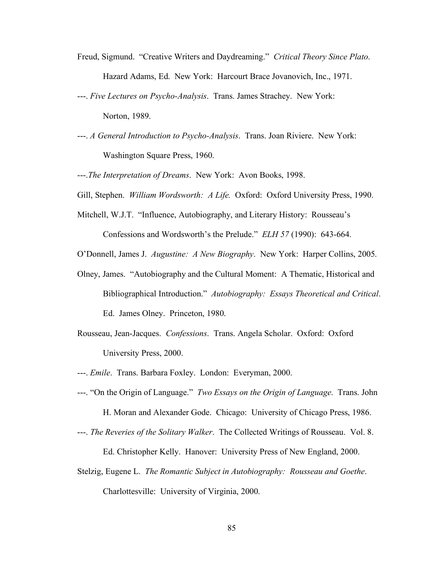- Freud, Sigmund. "Creative Writers and Daydreaming." *Critical Theory Since Plato*. Hazard Adams, Ed. New York: Harcourt Brace Jovanovich, Inc., 1971.
- ---. *Five Lectures on Psycho-Analysis*. Trans. James Strachey. New York: Norton, 1989.
- ---. *A General Introduction to Psycho-Analysis*. Trans. Joan Riviere. New York: Washington Square Press, 1960.
- ---.*The Interpretation of Dreams*. New York: Avon Books, 1998.
- Gill, Stephen. *William Wordsworth: A Life.* Oxford: Oxford University Press, 1990.
- Mitchell, W.J.T. "Influence, Autobiography, and Literary History: Rousseau's Confessions and Wordsworth's the Prelude." *ELH 57* (1990): 643-664.
- O'Donnell, James J. *Augustine: A New Biography*. New York: Harper Collins, 2005.
- Olney, James. "Autobiography and the Cultural Moment: A Thematic, Historical and Bibliographical Introduction." *Autobiography: Essays Theoretical and Critical*. Ed. James Olney. Princeton, 1980.
- Rousseau, Jean-Jacques. *Confessions*. Trans. Angela Scholar. Oxford: Oxford University Press, 2000.
- ---. *Emile*. Trans. Barbara Foxley. London: Everyman, 2000.
- ---. "On the Origin of Language." *Two Essays on the Origin of Language*. Trans. John H. Moran and Alexander Gode. Chicago: University of Chicago Press, 1986.
- ---. *The Reveries of the Solitary Walker*. The Collected Writings of Rousseau. Vol. 8. Ed. Christopher Kelly. Hanover: University Press of New England, 2000.
- Stelzig, Eugene L. *The Romantic Subject in Autobiography: Rousseau and Goethe*. Charlottesville: University of Virginia, 2000.